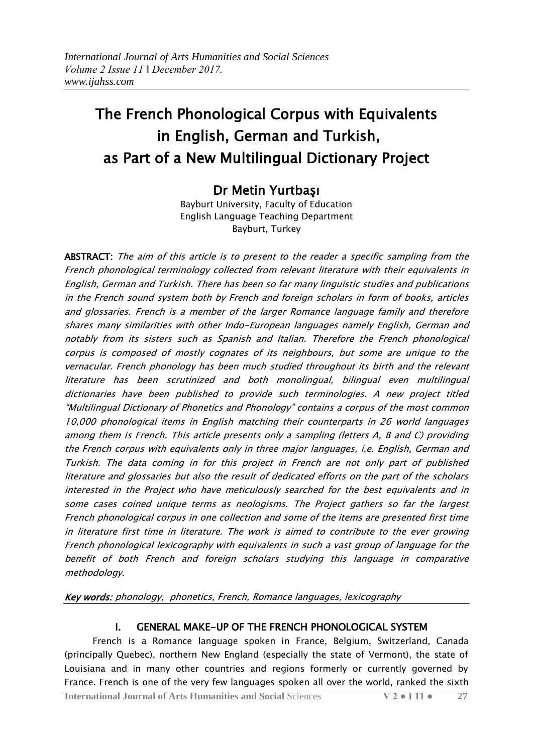# The French Phonological Corpus with Equivalents in English, German and Turkish, as Part of a New Multilingual Dictionary Project

## Dr Metin Yurtbaşı

Bayburt University, Faculty of Education English Language Teaching Department Bayburt, Turkey

ABSTRACT: The aim of this article is to present to the reader a specific sampling from the French phonological terminology collected from relevant literature with their equivalents in English, German and Turkish. There has been so far many linguistic studies and publications in the French sound system both by French and foreign scholars in form of books, articles and glossaries. French is a member of the larger Romance language family and therefore shares many similarities with other Indo-European languages namely English, German and notably from its sisters such as Spanish and Italian. Therefore the French phonological corpus is composed of mostly cognates of its neighbours, but some are unique to the vernacular. French phonology has been much studied throughout its birth and the relevant literature has been scrutinized and both monolingual, bilingual even multilingual dictionaries have been published to provide such terminologies. A new project titled ―Multilingual Dictionary of Phonetics and Phonology‖ contains a corpus of the most common 10,000 phonological items in English matching their counterparts in 26 world languages among them is French. This article presents only a sampling (letters A, B and C) providing the French corpus with equivalents only in three major languages, i.e. English, German and Turkish. The data coming in for this project in French are not only part of published literature and glossaries but also the result of dedicated efforts on the part of the scholars interested in the Project who have meticulously searched for the best equivalents and in some cases coined unique terms as neologisms. The Project gathers so far the largest French phonological corpus in one collection and some of the items are presented first time in literature first time in literature. The work is aimed to contribute to the ever growing French phonological lexicography with equivalents in such a vast group of language for the benefit of both French and foreign scholars studying this language in comparative methodology.

Key words: phonology, phonetics, French, Romance languages, lexicography

## I. GENERAL MAKE-UP OF THE FRENCH PHONOLOGICAL SYSTEM

 French is a Romance language spoken in France, Belgium, Switzerland, Canada (principally Quebec), northern New England (especially the state of Vermont), the state of Louisiana and in many other countries and regions formerly or currently governed by France. French is one of the very few languages spoken all over the world, ranked the sixth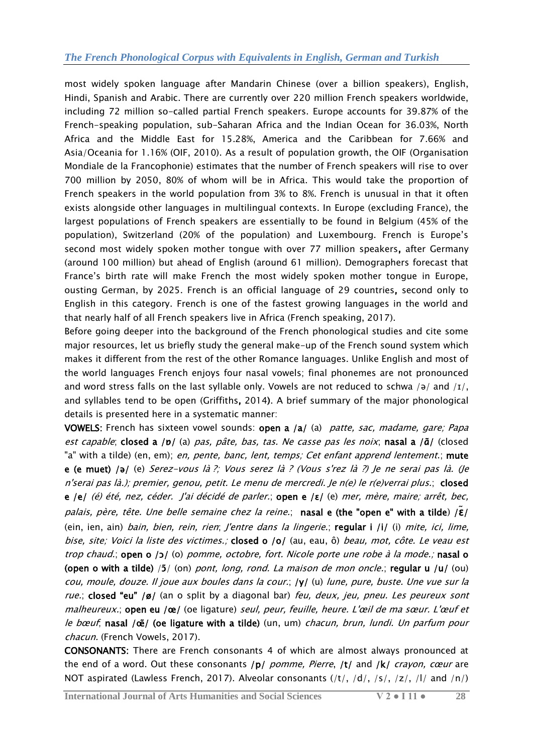most widely spoken language after Mandarin Chinese (over a billion speakers), English, Hindi, Spanish and Arabic. There are currently over 220 million French speakers worldwide, including 72 million so-called partial French speakers. Europe accounts for 39.87% of the French-speaking population, sub-Saharan Africa and the Indian Ocean for 36.03%, North Africa and the Middle East for 15.28%, America and the Caribbean for 7.66% and Asia/Oceania for 1.16% (OIF, 2010). As a result of population growth, the OIF (Organisation Mondiale de la Francophonie) estimates that the number of French speakers will rise to over 700 million by 2050, 80% of whom will be in Africa. This would take the proportion of French speakers in the world population from 3% to 8%. French is unusual in that it often exists alongside other languages in multilingual contexts. In Europe (excluding France), the largest populations of French speakers are essentially to be found in Belgium (45% of the population), Switzerland (20% of the population) and Luxembourg. French is Europe's second most widely spoken mother tongue with over 77 million speakers, after Germany (around 100 million) but ahead of English (around 61 million). Demographers forecast that France's birth rate will make French the most widely spoken mother tongue in Europe, ousting German, by 2025. French is an official language of 29 countries, second only to English in this category. French is one of the fastest growing languages in the world and that nearly half of all French speakers live in Africa (French speaking, 2017).

Before going deeper into the background of the French phonological studies and cite some major resources, let us briefly study the general make-up of the French sound system which makes it different from the rest of the other Romance languages. Unlike English and most of the world languages French enjoys four nasal vowels; final phonemes are not pronounced and word stress falls on the last syllable only. Vowels are not reduced to schwa /ə/ and / $I$ /, and syllables tend to be open (Griffiths, 2014). A brief summary of the major phonological details is presented here in a systematic manner:

VOWELS: French has sixteen vowel sounds: open a /a/ (a) patte, sac, madame, gare; Papa est capable; closed a /p/ (a) pas, pâte, bas, tas. Ne casse pas les noix; nasal a / $a/$  (closed "a" with a tilde) (en, em); en, pente, banc, lent, temps; Cet enfant apprend lentement.; mute e (e muet) /ə/ (e) Serez-vous là ?; Vous serez là ? (Vous s'rez là ?) Je ne serai pas là. (Je <sup>n</sup>'serai pas là.); premier, genou, petit. Le menu de mercredi. Je n(e) le r(e)verrai plus.; closed e /e/ (é) été, nez, céder. J'ai décidé de parler.; open e /ɛ/ (e) mer, mère, maire; arrêt, bec, palais, père, tête. Une belle semaine chez la reine.; nasal e (the "open e" with a tilde) /ɛ**̃**/ (ein, ien, ain) bain, bien, rein, rien; J'entre dans la lingerie.; regular i /i/ (i) mite, ici, lime, bise, site; Voici la liste des victimes.; closed o /o/ (au, eau, ô) beau, mot, côte. Le veau est trop chaud.; open o /ɔ/ (o) pomme, octobre, fort. Nicole porte une robe à la mode.; nasal o (open o with a tilde)  $/5/$  (on) pont, long, rond. La maison de mon oncle.; regular u /u/ (ou) cou, moule, douze. Il joue aux boules dans la cour.; /y/ (u) lune, pure, buste. Une vue sur la rue.; closed "eu" /ø/ (an o split by a diagonal bar) feu, deux, jeu, pneu. Les peureux sont malheureux.; open eu /œ/ (oe ligature) seul, peur, feuille, heure. L'œil de ma sœur. L'œuf et le bœuf, nasal /œ̃/ (oe ligature with a tilde) (un, um) chacun, brun, lundi. Un parfum pour chacun. (French Vowels, 2017).

CONSONANTS: There are French consonants 4 of which are almost always pronounced at the end of a word. Out these consonants /p/ pomme, Pierre, /t/ and /k/ crayon, cœur are NOT aspirated (Lawless French, 2017). Alveolar consonants (/t/, /d/, /s/, /z/, /l/ and /n/)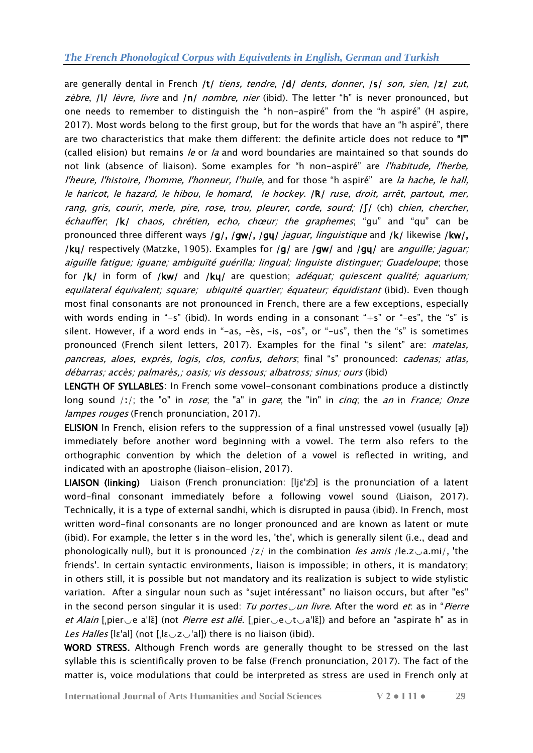are generally dental in French /t/ tiens, tendre, /d/ dents, donner, /s/ son, sien, /z/ zut, zèbre,  $|I|$  lèvre, livre and  $|n|$  nombre, nier (ibid). The letter "h" is never pronounced, but one needs to remember to distinguish the "h non-aspiré" from the "h aspiré" (H aspire, 2017). Most words belong to the first group, but for the words that have an "h aspiré", there are two characteristics that make them different: the definite article does not reduce to "I" (called elision) but remains *le* or *la* and word boundaries are maintained so that sounds do not link (absence of [liaison\)](http://ielanguages.com/french-liaison.html). Some examples for "h non-aspiré" are *l'habitude, l'herbe,* l'heure, l'histoire, l'homme, l'honneur, l'huile, and for those "h aspiré" are la hache, le hall, le haricot, le hazard, le hibou, le homard, le hockey. /R/ ruse, droit, arrêt, partout, mer, rang, gris, courir, merle, pire, rose, trou, pleurer, corde, sourd;  $\int \int$  (ch) chien, chercher,  $échauffer, |k|$  chaos, chrétien, echo, chœur; the graphemes; "gu" and "qu" can be pronounced three different ways /g/, /gw/, /gu/ *jaguar, linguistique* and /k/ likewise /kw/, /ky/ respectively (Matzke, 1905). Examples for /g/ are /gw/ and /gy/ are *anguille; jaguar;* aiguille fatigue; iguane; ambiguïté guérilla; lingual; linguiste distinguer; Guadeloupe; those for /k/ in form of /kw/ and /ku/ are question; adéquat; quiescent qualité; aquarium; equilateral équivalent; square; ubiquité quartier; équateur; équidistant (ibid). Even though most final consonants are not pronounced in French, there are a few exceptions, especially with words ending in "-s" (ibid). In words ending in a consonant "+s" or "-es", the "s" is silent. However, if a word ends in "-as,  $-\text{ès}$ ,  $-\text{is}$ ,  $-\text{os}$ ", or "-us", then the "s" is sometimes pronounced (French silent letters, 2017). Examples for the final "s silent" are: *matelas*, pancreas, aloes, exprès, logis, clos, confus, dehors; final "s" pronounced: cadenas; atlas, débarras; accès; palmarès,; oasis; vis dessous; albatross; sinus; ours (ibid)

LENGTH OF SYLLABLES: In French some vowel-consonant combinations produce a distinctly long sound  $\langle i \rangle$ ; the "o" in *rose*; the "a" in *gare*; the "in" in *cinq*; the *an* in *France; Onze* lampes rouges (French pronunciation, 2017).

ELISION In [French,](http://www.reviewfund.com/article?sq=&q=French_language) elision refers to the suppression of a final unstressed vowel (usually [ə]) immediately before another word beginning with a vowel. The term also refers to the orthographic convention by which the deletion of a vowel is reflected in writing, and indicated with an [apostrophe](http://www.reviewfund.com/article?sq=&q=Apostrophe) (liaison-elision, 2017).

LIAISON (linking) Liaison (French pronunciation: [[ljɛˈzɔ̃](http://www.reviewfund.com/article?sq=&q=Help:IPA/French)] is the pronunciation of a latent word-final [consonant](http://www.reviewfund.com/article?sq=&q=Consonant) immediately before a following [vowel](http://www.reviewfund.com/article?sq=&q=Vowel) sound (Liaison, 2017). Technically, it is a type of external [sandhi,](http://www.reviewfund.com/article?sq=&q=Sandhi) which is disrupted in [pausa](http://www.reviewfund.com/article?sq=&q=Pausa) (ibid). In [French,](http://www.reviewfund.com/article?sq=&q=French_language) most written word-final consonants are no longer pronounced and are known as latent or mute (ibid). For example, the letter s in the word les, 'the', which is generally silent (i.e., dead and phonologically null), but it is pronounced /z/ in the combination *les amis* /le.z $\sim$ a.mi/, 'the friends'. In certain [syntactic](http://www.reviewfund.com/article?sq=&q=Syntax) environments, liaison is impossible; in others, it is mandatory; in others still, it is possible but not mandatory and its realization is subject to wide stylistic variation. After a singular noun such as "sujet intéressant" no liaison occurs, but after "es" in the second person singular it is used: Tu portes un livre. After the word et: as in "Pierre *et Alain* [ˌpier $\vee$ e aˈlɛ̃] (not *Pierre est allé.* [ˌpier $\vee$ e $\vee$ t $\vee$ aˈlɛ̃]) and before an "aspirate h" as in Les Halles [lɛˈal] (not [ˌlɛ $\cup$ z $\cup$ 'al]) there is no liaison (ibid).

WORD STRESS. Although French words are generally thought to be stressed on the last syllable this is scientifically proven to be false (French pronunciation, 2017). The fact of the matter is, voice modulations that could be interpreted as stress are used in French only at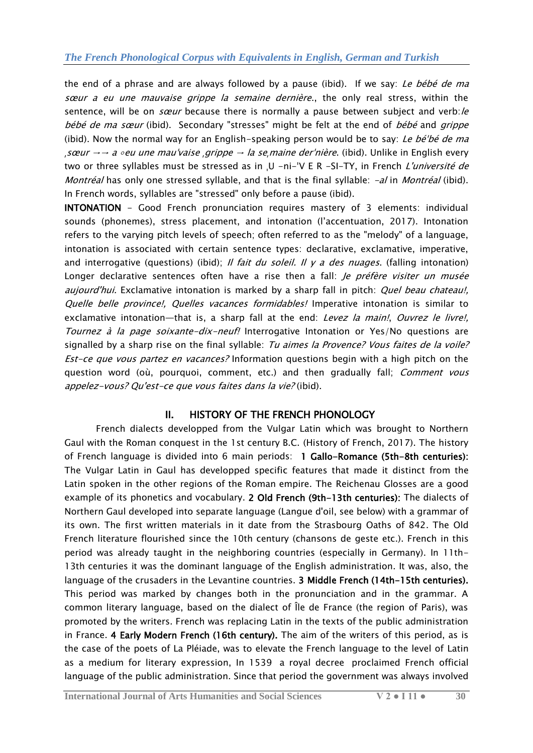the end of a phrase and are always followed by a pause (ibid). If we say: Le bébé de ma sœur a eu une mauvaise grippe la semaine dernière., the only real stress, within the sentence, will be on *sœur* because there is normally a pause between subject and verb:/e bébé de ma sœur (ibid). Secondary "stresses" might be felt at the end of bébé and grippe (ibid). Now the normal way for an English-speaking person would be to say: Le bébé de ma <sup>ˌ</sup>sœur →→ a ∘eu une mauˈvaise ˌgrippe → la seˌmaine derˈnière. (ibid). Unlike in English every two or three syllables must be stressed as in ,U -ni-'V E R -SI-TY, in French L'université de Montréal has only one stressed syllable, and that is the final syllable:  $-d$  in Montréal (ibid). In French words, syllables are "stressed" only before a pause (ibid).

INTONATION - Good French pronunciation requires mastery of 3 elements: individual sounds (phonemes), stress placement, and intonation (l'accentuation, 2017). Intonation refers to the varying pitch levels of speech; often referred to as the "melody" of a language, intonation is associated with certain sentence types: declarative, exclamative, imperative, and interrogative (questions) (ibid); *Il fait du soleil. Il y a des nuages*. (falling intonation) Longer declarative sentences often have a rise then a fall: *Je préfère visiter un musée* aujourd'hui. Exclamative intonation is marked by a sharp fall in pitch: *Quel beau chateau!*, Quelle belle province!, Quelles vacances formidables! Imperative intonation is similar to exclamative intonation—that is, a sharp fall at the end: Levez la main!, Ouvrez le livre!, Tournez à la page soixante-dix-neuf! Interrogative Intonation or Yes/No questions are signalled by a sharp rise on the final syllable: Tu aimes la Provence? Vous faites de la voile? Est-ce que vous partez en vacances? Information questions begin with a high pitch on the question word (où, pourquoi, comment, etc.) and then gradually fall; Comment vous appelez-vous? Qu'est-ce que vous faites dans la vie? (ibid).

## II. HISTORY OF THE FRENCH PHONOLOGY

French dialects developped from the [Vulgar Latin](http://www.orbilat.com/Languages/Latin_Vulgar/Vulgar_Latin.html) which was brought to Northern [Gaul](http://www.orbilat.com/Encyclopaedia/G/Gaul.html) with the Roman conquest in the 1st century B.C. (History of French, 2017). The history of French language is divided into 6 main periods: 1 Gallo-Romance (5th-8th centuries): The Vulgar Latin in Gaul has developped specific features that made it distinct from the Latin spoken in the other regions of the Roman empire. The [Reichenau Glosses](http://www.orbilat.com/Languages/Latin_Vulgar/Vocabulary/Reichenau_Glosses.htm) are a good example of its phonetics and vocabulary. 2 Old French (9th-13th centuries): The dialects of Northern Gaul developed into separate language (Langue d'oil, see below) with a grammar of its own. The first written materials in it date from the [Strasbourg Oaths of 842.](http://www.orbilat.com/Languages/French/Texts/Period_02/0842-Le_Serment_de_Strasbourg.htm) The Old French literature flourished since the 10th century (chansons de geste etc.). French in this period was already taught in the neighboring countries (especially in Germany). In 11th-13th centuries it was the dominant language of the English administration. It was, also, the language of the crusaders in the Levantine countries. 3 Middle French (14th-15th centuries). This period was marked by changes both in the pronunciation and in the grammar. A common literary language, based on the dialect of Île de France (the region of Paris), was promoted by the writers. French was replacing Latin in the texts of the public administration in France. 4 Early Modern French (16th century). The aim of the writers of this period, as is the case of the poets of La Pléiade, was to elevate the French language to the level of [Latin](http://www.orbilat.com/Languages/Latin/Latin.html) as a medium for literary expression, In 1539 [a royal decree](http://www.orbilat.com/Languages/French/Texts/Period_04/1539-L%27Ordonnance_de_Villers-Cotterets.html) proclaimed French official language of the public administration. Since that period the government was always involved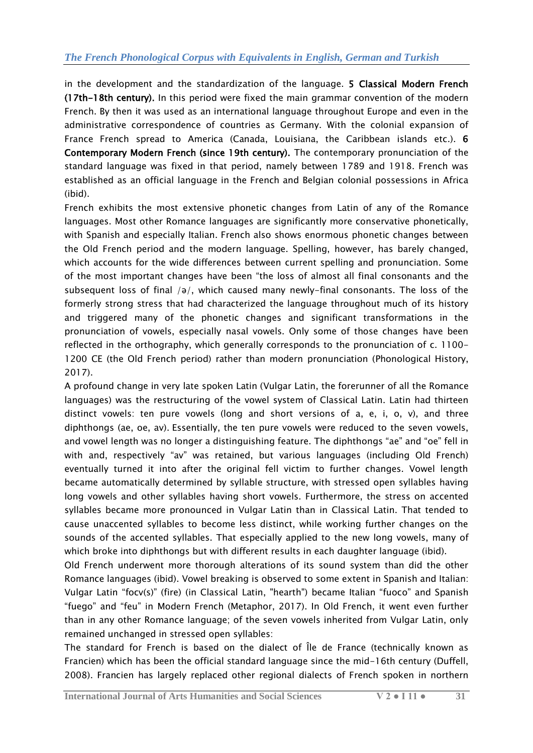in the development and the standardization of the language. 5 Classical Modern French (17th-18th century). In this period were fixed the main grammar convention of the modern French. By then it was used as an international language throughout Europe and even in the administrative correspondence of countries as Germany. With the colonial expansion of France French spread to America (Canada, Louisiana, the Caribbean islands etc.). 6 Contemporary Modern French (since 19th century). The contemporary pronunciation of the standard language was fixed in that period, namely between 1789 and 1918. French was established as an official language in the French and Belgian colonial possessions in Africa (ibid).

French exhibits the most extensive phonetic changes from Latin of any of the [Romance](http://www.reviewfund.com/article?sq=&q=Romance_languages)  [languages.](http://www.reviewfund.com/article?sq=&q=Romance_languages) Most other Romance languages are significantly more conservative phonetically, with [Spanish](http://www.reviewfund.com/article?sq=&q=Spanish_language) and especially [Italian.](http://www.reviewfund.com/article?sq=&q=Italian_language) French also shows enormous phonetic changes between the [Old French](http://www.reviewfund.com/article?sq=&q=Old_French) period and the modern language. Spelling, however, has barely changed, which accounts for the wide differences between current spelling and pronunciation. Some of the most important changes have been "the loss of almost all final consonants and the subsequent loss of final  $\sqrt{a}$ , which caused many newly-final consonants. The loss of the formerly strong stress that had characterized the language throughout much of its history and triggered many of the phonetic changes and significant transformations in the pronunciation of vowels, especially [nasal vowels.](http://www.reviewfund.com/article?sq=&q=Nasal_vowel) Only some of those changes have been reflected in the [orthography,](http://www.reviewfund.com/article?sq=&q=Orthography) which generally corresponds to the pronunciation of c. 1100- 1200 CE (the [Old French](http://www.reviewfund.com/article?sq=&q=Old_French) period) rather than modern pronunciation (Phonological History, 2017).

A profound change in very late spoken Latin [\(Vulgar Latin,](https://www.revolvy.com/main/index.php?s=Vulgar%20Latin&item_type=topic) the forerunner of all the [Romance](https://www.revolvy.com/main/index.php?s=Romance%20languages&item_type=topic)  [languages\)](https://www.revolvy.com/main/index.php?s=Romance%20languages&item_type=topic) was the restructuring of the [vowel](https://www.revolvy.com/main/index.php?s=Vowel&item_type=topic) system of [Classical Latin.](https://www.revolvy.com/main/index.php?s=Classical%20Latin&item_type=topic) Latin had thirteen distinct vowels: ten pure vowels (long and short versions of a, e, i, o, v), and three [diphthongs](https://www.revolvy.com/main/index.php?s=Diphthong&item_type=topic) (ae, oe, av). Essentially, the ten pure vowels were reduced to the seven vowels, and [vowel length](https://www.revolvy.com/main/index.php?s=Vowel%20length&item_type=topic) was no longer a distinguishing feature. The diphthongs "ae" and "oe" fell in with and, respectively "av" was retained, but various languages (including Old French) eventually turned it into after the original fell victim to further changes. Vowel length became automatically determined by syllable structure, with stressed [open syllables](https://www.revolvy.com/main/index.php?s=Open%20syllable&item_type=topic) having long vowels and other syllables having short vowels. Furthermore, the stress on accented syllables became more pronounced in Vulgar Latin than in Classical Latin. That tended to cause unaccented syllables to become less distinct, while working further changes on the sounds of the accented syllables. That especially applied to the new long vowels, many of which broke into diphthongs but with different results in each daughter language (ibid).

Old French underwent more thorough alterations of its sound system than did the other Romance languages (ibid). [Vowel breaking](https://www.revolvy.com/main/index.php?s=Vowel%20breaking&item_type=topic) is observed to some extent in Spanish and Italian: Vulgar Latin "focv(s)" (fire) (in Classical Latin, "hearth") became Italian "fuoco" and Spanish "fuego" and "feu" in Modern French (Metaphor, 2017). In Old French, it went even further than in any other Romance language; of the seven vowels inherited from Vulgar Latin, only remained unchanged in stressed open syllables:

The standard for French is based on the dialect of Île de France (technically known as Francien) which has been the official standard language since the mid-16th century (Duffell, 2008). Francien has largely replaced other regional dialects of French spoken in northern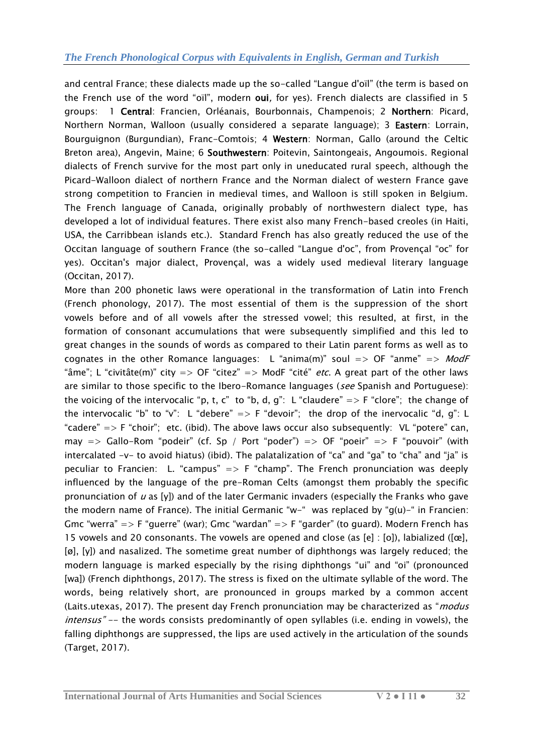and central France; these dialects made up the so-called "Langue d'oïl" (the term is based on the French use of the word "oïl", modern oui, for yes). French dialects are classified in 5 groups: 1 Central: Francien, Orléanais, Bourbonnais, Champenois; 2 Northern: Picard, Northern Norman, [Walloon](http://www.orbilat.com/Languages/Walloon/Walloon.htm) (usually considered a separate language); 3 Eastern: Lorrain, Bourguignon (Burgundian), Franc-Comtois; 4 Western: Norman, Gallo (around the Celtic Breton area), Angevin, Maine; 6 Southwestern: Poitevin, Saintongeais, Angoumois. Regional dialects of French survive for the most part only in uneducated rural speech, although the Picard-Walloon dialect of northern France and the Norman dialect of western France gave strong competition to Francien in medieval times, and Walloon is still spoken in Belgium. The [French language of Canada,](http://www.orbilat.com/Languages/French-Canadian/Canadian.html) originally probably of northwestern dialect type, has developed a lot of individual features. There exist also many French-based creoles (in Haiti, USA, the Carribbean islands etc.). Standard French has also greatly reduced the use of the [Occitan language](http://www.orbilat.com/Languages/Occitan/Occitan.html) of southern France (the so-called "Langue d'oc", from Provençal "oc" for yes). Occitan's major dialect, Provençal, was a widely used medieval literary language (Occitan, 2017).

More than 200 phonetic laws were operational in the transformation of Latin into French (French phonology, 2017). The most essential of them is the suppression of the short vowels before and of all vowels after the stressed vowel; this resulted, at first, in the formation of consonant accumulations that were subsequently simplified and this led to great changes in the sounds of words as compared to their Latin parent forms as well as to cognates in the other Romance languages: L "anima(m)" soul  $\Rightarrow$  OF "anme"  $\Rightarrow$  ModF "âme"; L "civitâte(m)" city => OF "citez" => ModF "cité" *etc*. A great part of the other laws are similar to those specific to the Ibero-Romance languages (see [Spanish](http://www.orbilat.com/Languages/Spanish/Spanish.html#Phonology) and [Portuguese\)](http://www.orbilat.com/Languages/Portuguese/Portuguese.html#Phonology): the voicing of the intervocalic "p, t, c" to "b, d, g": L "claudere" => F "clore"; the change of the intervocalic "b" to "v": L "debere"  $\Rightarrow$  F "devoir"; the drop of the inervocalic "d, g": L "cadere"  $\Rightarrow$  F "choir"; etc. (ibid). The above laws occur also subsequently: VL "potere" can, may  $\Rightarrow$  Gallo-Rom "podeir" (cf. Sp / Port "poder")  $\Rightarrow$  OF "poeir"  $\Rightarrow$  F "pouvoir" (with intercalated  $-v-$  to avoid [hiatus](http://www.orbilat.com/General_References/Linguistic_Terms.html#hiatus)) (ibid). The palatalization of "ca" and "qa" to "cha" and "ja" is peculiar to Francien: L. "campus"  $\Rightarrow$  F "champ". The French pronunciation was deeply influenced by the language of the pre-Roman Celts (amongst them probably the specific pronunciation of  $u$  as [y]) and of the later Germanic invaders (especially the Franks who gave the modern name of France). The initial Germanic "w-" was replaced by " $g(u)$ -" in Francien: Gmc "werra"  $\Rightarrow$  F "guerre" (war); Gmc "wardan"  $\Rightarrow$  F "garder" (to guard). Modern French has 15 vowels and 20 consonants. The vowels are opened and close (as [e] : [o]), labialized ([œ], [ø], [y]) and nasalized. The sometime great number of diphthongs was largely reduced; the modern language is marked especially by the rising diphthongs "ui" and "oi" (pronounced [wa]) (French diphthongs, 2017). The stress is fixed on the ultimate syllable of the word. The words, being relatively short, are pronounced in groups marked by a common accent (Laits.utexas, 2017). The present day French pronunciation may be characterized as "*modus* intensus" -- the words consists predominantly of open syllables (i.e. ending in vowels), the falling diphthongs are suppressed, the lips are used actively in the articulation of the sounds (Target, 2017).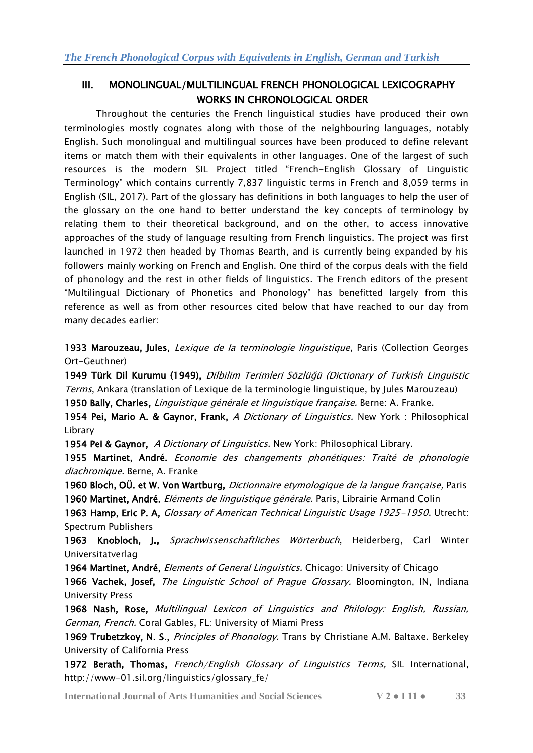## III. MONOLINGUAL/MULTILINGUAL FRENCH PHONOLOGICAL LEXICOGRAPHY WORKS IN CHRONOLOGICAL ORDER

Throughout the centuries the French linguistical studies have produced their own terminologies mostly cognates along with those of the neighbouring languages, notably English. Such monolingual and multilingual sources have been produced to define relevant items or match them with their equivalents in other languages. One of the largest of such resources is the modern SIL Project titled "French-English Glossary of Linguistic Terminology‖ which contains currently 7,837 linguistic terms in French and 8,059 terms in English (SIL, 2017). Part of the glossary has definitions in both languages to help the user of the glossary on the one hand to better understand the key concepts of terminology by relating them to their theoretical background, and on the other, to access innovative approaches of the study of language resulting from French linguistics. The project was first launched in 1972 then headed by Thomas Bearth, and is currently being expanded by his followers mainly working on French and English. One third of the corpus deals with the field of phonology and the rest in other fields of linguistics. The French editors of the present ―Multilingual Dictionary of Phonetics and Phonology‖ has benefitted largely from this reference as well as from other resources cited below that have reached to our day from many decades earlier:

1933 Marouzeau, Jules, *Lexique de la terminologie linguistique*, Paris (Collection Georges Ort-Geuthner)

1949 Türk Dil Kurumu (1949), [Dilbilim Terimleri Sözlüğü \(Dictionary of](http://tdkterim.gov.tr/?kategori=terimler_listeli&kisaltma=DIL&sozl=Dilbilim%20Terimleri%20S%CB%86zl%C2%B8%EF%A3%BF%C2%B8) Turkish Linguistic Terms[, Ankara](http://tdkterim.gov.tr/?kategori=terimler_listeli&kisaltma=DIL&sozl=Dilbilim%20Terimleri%20S%CB%86zl%C2%B8%EF%A3%BF%C2%B8) (translation of Lexique de la terminologie linguistique, by Jules Marouzeau)

1950 Bally, Charles, Linguistique générale et linguistique française. Berne: A. Franke.

1954 Pei, Mario A. & Gaynor, Frank, A Dictionary of Linguistics. New York : Philosophical Library

1954 Pei & Gaynor, A Dictionary of Linguistics. New York: Philosophical Library.

1955 Martinet, André. Economie des changements phonétiques: Traité de phonologie diachronique. Berne, A. Franke

1960 Bloch, OÜ. et W. Von Wartburg, Dictionnaire etymologique de la langue française, Paris 1960 Martinet, André. Eléments de linguistique générale. Paris, Librairie Armand Colin

1963 Hamp, Eric P. A, *Glossary of American Technical Linguistic Usage 1925-1950*. Utrecht: Spectrum Publishers

1963 Knobloch, J., Sprachwissenschaftliches Wörterbuch, Heiderberg, Carl Winter Universitatverlag

1964 Martinet, André, *Elements of General Linguistics*. Chicago: University of Chicago

1966 Vachek, Josef, The Linguistic School of Prague Glossary. Bloomington, IN, Indiana University Press

1968 Nash, Rose, Multilingual Lexicon of Linguistics and Philology: English, Russian, German, French. Coral Gables, FL: University of Miami Press

1969 Trubetzkoy, N. S., Principles of Phonology. Trans by Christiane A.M. Baltaxe. Berkeley University of California Press

1972 Berath, Thomas, [French/English Glossary of Linguistics Terms,](http://www.sil.org/linguistics/glossary_fe/glossary_index.asp) SIL International, http://www-01.sil.org/linguistics/glossary\_fe/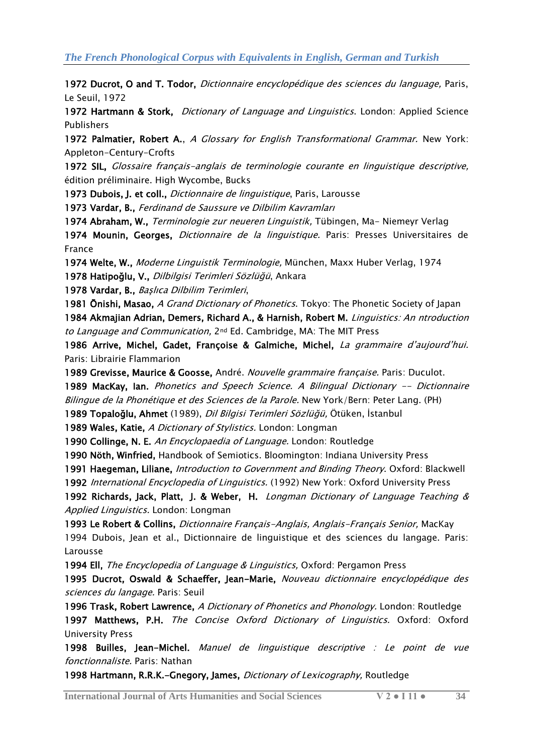1972 Ducrot, O and T. Todor, Dictionnaire encyclopédique des sciences du language, Paris, Le Seuil, 1972

1972 Hartmann & Stork, Dictionary of Language and Linguistics. London: Applied Science Publishers

1972 Palmatier, Robert A., A Glossary for English Transformational Grammar. New York: Appleton-Century-Crofts

1972 SIL, Glossaire français-anglais de terminologie courante en linguistique descriptive, édition préliminaire. High Wycombe, Bucks

1973 Dubois, J. et coll., *Dictionnaire de linguistique*, Paris, Larousse

1973 Vardar, B., Ferdinand de Saussure ve Dilbilim Kavramları

1974 Abraham, W., Terminologie zur neueren Linguistik, Tübingen, Ma- Niemeyr Verlag

1974 Mounin, Georges, *Dictionnaire de la linguistique.* Paris: Presses Universitaires de France

1974 Welte, W., Moderne Linguistik Terminologie, München, Maxx Huber Verlag, 1974

1978 Hatipoğlu, V., Dilbilgisi Terimleri Sözlüğü, Ankara

1978 Vardar, B., Başlıca Dilbilim Terimleri,

1981 Onishi, Masao, A Grand Dictionary of Phonetics. Tokyo: The Phonetic Society of Japan 1984 Akmajian Adrian, Demers, Richard A., & Harnish, Robert M. Linguistics: An ntroduction to Language and Communication, 2<sup>nd</sup> Ed. Cambridge, MA: The MIT Press

1986 Arrive, Michel, Gadet, Françoise & Galmiche, Michel, La grammaire d'aujourd'hui. Paris: Librairie Flammarion

1989 Grevisse, Maurice & Goosse, André. Nouvelle grammaire française. Paris: Duculot.

1989 MacKay, Ian. Phonetics and Speech Science. A Bilingual Dictionary -- Dictionnaire Bilingue de la Phonétique et des Sciences de la Parole. New York/Bern: Peter Lang. (PH)

1989 Topaloğlu, Ahmet (1989), *Dil Bilgisi Terimleri Sözlüğü,* Ötüken, İstanbul

1989 Wales, Katie, A Dictionary of Stylistics. London: Longman

1990 Collinge, N. E. An Encyclopaedia of Language. London: Routledge

1990 Nöth, Winfried, Handbook of Semiotics. Bloomington: Indiana University Press

1991 Haegeman, Liliane, *Introduction to Government and Binding Theory*. Oxford: Blackwell

1992 International Encyclopedia of Linguistics. (1992) New York: Oxford University Press

1992 Richards, Jack, Platt, J. & Weber, H. Longman Dictionary of Language Teaching & Applied Linguistics. London: Longman

1993 Le Robert & Collins, Dictionnaire Français-Anglais, Anglais-Français Senior, MacKay 1994 Dubois, Jean et al., Dictionnaire de linguistique et des sciences du langage. Paris: Larousse

1994 Ell, The Encyclopedia of Language & Linguistics, Oxford: Pergamon Press

1995 Ducrot, Oswald & Schaeffer, Jean-Marie, Nouveau dictionnaire encyclopédique des sciences du langage. Paris: Seuil

1996 Trask, Robert Lawrence, A Dictionary of Phonetics and Phonology. London: Routledge 1997 Matthews, P.H. The Concise Oxford Dictionary of Linguistics. Oxford: Oxford University Press

1998 Builles, Jean-Michel. Manuel de linguistique descriptive : Le point de vue fonctionnaliste. Paris: Nathan

1998 [Hartmann, R.R.K.-Gnegory, James,](http://books.google.com/books?id=E67tEcfQCwoC&printsec=frontcover&dq=Dictionary+of+Lexicography&as_brr=0&hl=tr&sig=zd-9BM5_Xcaq96RqjJVa6O9vZOo) *Dictionary of Lexicography*, Routledge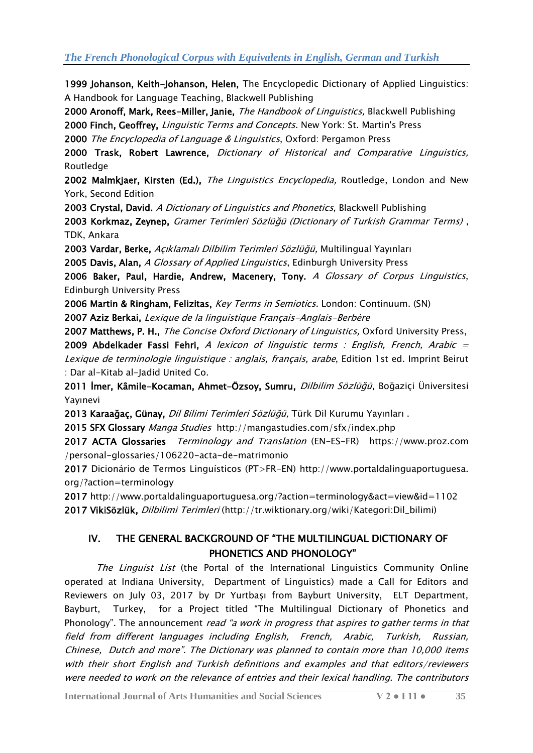1999 Johanson, Keith-Johanson, Helen, [The Encyclopedic Dictionary of Applied Linguistics:](http://books.google.com/books?id=1Qy-do1QP90C&pg=PA74&ots=WWDlM7yo1E&dq=oxford+linguistics+dictionary&sig=DIJbkAc0OtSdsYyZRO0ztWrxCdA#PPA392,M1)  [A Handbook for Language Teaching, Blackwell Publishing](http://books.google.com/books?id=1Qy-do1QP90C&pg=PA74&ots=WWDlM7yo1E&dq=oxford+linguistics+dictionary&sig=DIJbkAc0OtSdsYyZRO0ztWrxCdA#PPA392,M1)

2000 [Aronoff, Mark, Rees-Miller, Janie,](http://books.google.com/books?id=omRxLtx83wgC&pg=PA145&dq=dictionary+of+linguistics&sig=rjRyvlBDcUSqPbHS9nn660CLJ8g#PPA775,M1) The Handbook of Linguistics, Blackwell Publishing 2000 Finch, Geoffrey, Linguistic Terms and Concepts. New York: St. Martin's Press

2000 The Encyclopedia of Language & Linguistics, Oxford: Pergamon Press

2000 Trask, Robert Lawrence, [Dictionary of Historical and Comparative Linguistics,](http://books.google.com/books?id=wHBf5SXUUkUC&pg=RA1-PA222&dq=oxford+linguistics+dictionary&sig=jZ-06NQjkesnT_IxADfHXsbDABk#PPP1,M1) [Routledge](http://books.google.com/books?id=wHBf5SXUUkUC&pg=RA1-PA222&dq=oxford+linguistics+dictionary&sig=jZ-06NQjkesnT_IxADfHXsbDABk#PPP1,M1) 

2002 Malmkjaer, Kirsten (Ed.), *The Linguistics Encyclopedia*, Routledge, London and New [York, Second Edition](http://books.google.com/books?id=IG7tE4-p-uUC&pg=PA646&dq=The+Linguistics+Encyclopedia,+Routledge&as_brr=0&hl=tr&sig=Txc5gI16v_p5uvu9xBnz-AS7RQY#PPP1,M1)

2003 Crystal, David. [A Dictionary of Linguistics and Phonetics](http://books.google.com/books?id=bSxjt1irqh4C&pg=PP1&ots=ITD8ylcFA3&dq=david+crystal&sig=ipixJKB0-oxLHZY03uc3spiV6Y8), Blackwell Publishing

2003 Korkmaz, Zeynep, Gramer Terimleri Sö[zlüğü \(Dictionary of Turkish Grammar Terms\)](http://tdkterim.gov.tr/?kategori=terimler_listeli&kisaltma=GTS&sozl=Gramer%20Terimleri%20S%CB%86zl%C2%B8%EF%A3%BF%C2%B8) , [TDK, Ankara](http://tdkterim.gov.tr/?kategori=terimler_listeli&kisaltma=GTS&sozl=Gramer%20Terimleri%20S%CB%86zl%C2%B8%EF%A3%BF%C2%B8) 

2003 Vardar, Berke, [Açıklamalı Dilbilim Terimleri Sözlüğü](http://www.kitapyurdu.com/kitap/default.asp?id=73114&sa=31194729), Multilingual Yayınları

2005 Davis, Alan, [A Glossary of Applied Linguistics](http://books.google.com/books?id=1Ayh718AUpMC&pg=PA1&ots=45yvpXIXEj&dq=glossary+linguistics&sig=pxBPZqNyQIbcm6-iy7plzqLYB5Y#PPA3,M1), Edinburgh University Press

2006 [Baker, Paul, Hardie, Andrew, Macenery, Tony.](http://books.google.com/books?id=bQFNaGS9_NkC&pg=PA5&ots=1omPl0EECO&dq=glossary+linguistics&sig=7J6gcS5nk9T74rwqz6L8FzVWGww#PPA164,M1) A Glossary of Corpus Linguistics, [Edinburgh University Press](http://books.google.com/books?id=bQFNaGS9_NkC&pg=PA5&ots=1omPl0EECO&dq=glossary+linguistics&sig=7J6gcS5nk9T74rwqz6L8FzVWGww#PPA164,M1) 

2006 Martin & Ringham, Felizitas, Key Terms in Semiotics. London: Continuum. (SN)

2007 Aziz Berkai, Lexique de la linguistique Français-Anglais-Berbère

2007 Matthews, P. H., [The Concise Oxford Dictionary of Linguistics,](http://books.google.com/books?id=1_nlHAAACAAJ&dq=The+Concise+Oxford+Dictionary+of+Linguistics&as_brr=0&hl=tr) Oxford University Press, 2009 Abdelkader Fassi Fehri, A lexicon of linguistic terms : English, French, Arabic = Lexique de terminologie linguistique : anglais, français, arabe, Edition 1st ed. Imprint Beirut : Dar al-Kitab al-Jadid United Co.

2011 İmer, Kâmile[-Kocaman, Ahmet-Özsoy, Sumru,](http://www.kitapyurdu.com/kitap/default.asp?id=582440&sa=85859704) *Dilbilim Sözlüğü*, Boğaziçi Üniversitesi [Yayınevi](http://www.kitapyurdu.com/kitap/default.asp?id=582440&sa=85859704)

2013 Karaağaç, Günay, *Dil Bilimi Terimleri Sözlüğü*, Türk Dil Kurumu Yayınları .

2015 SFX Glossary Manga Studies http://mangastudies.com/sfx/index.php

2017 ACTA Glossaries [Terminology and Translation](articles/articles/Application%20Data/Microsoft/Word/ACTA%20Glossaries%20%20Terminology%20and%20Translation%20(EN-ES-FR)) (EN-ES-FR) https://www.proz.com /personal-glossaries/106220-acta-de-matrimonio

2017 [Dicionário de Termos Linguísticos \(PT>FR-EN\)](articles/articles/articles/november%202017/qazaq%20&%20french/Dicion�rio%20de%20Termos%20Lingu�sticos%20(PT%3eFR-EN)%20http:/www.portaldalinguaportuguesa.%20org/?action=terminology) http://www.portaldalinguaportuguesa. [org/?action=terminology](articles/articles/articles/november%202017/qazaq%20&%20french/Dicion�rio%20de%20Termos%20Lingu�sticos%20(PT%3eFR-EN)%20http:/www.portaldalinguaportuguesa.%20org/?action=terminology)

2017<http://www.portaldalinguaportuguesa.org/?action=terminology&act=view&id=1102> 2017 VikiSözlük, Dilbilimi Terimleri (http://tr.wiktionary.org/wiki/Kategori:Dil\_bilimi)

## IV. THE GENERAL BACKGROUND OF "THE MULTILINGUAL DICTIONARY OF PHONETICS AND PHONOLOGY"

The Linguist List (the Portal of the International Linguistics Community Online operated at Indiana University, Department of Linguistics) made a Call for Editors and Reviewers on July 03, 2017 by Dr Yurtbaşı from Bayburt University, ELT Department, Bayburt, Turkey, for a Project titled "The Multilingual Dictionary of Phonetics and Phonology". The announcement read "a work in progress that aspires to gather terms in that field from different languages including English, French, Arabic, Turkish, Russian, Chinese, Dutch and more". The Dictionary was planned to contain more than 10,000 items with their short English and Turkish definitions and examples and that editors/reviewers were needed to work on the relevance of entries and their lexical handling. The contributors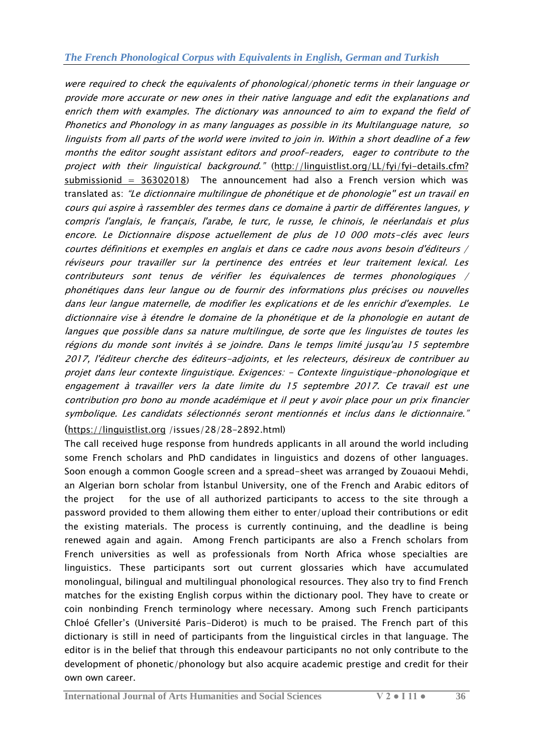were required to check the equivalents of phonological/phonetic terms in their language or provide more accurate or new ones in their native language and edit the explanations and enrich them with examples. The dictionary was announced to aim to expand the field of Phonetics and Phonology in as many languages as possible in its Multilanguage nature, so linguists from all parts of the world were invited to join in. Within a short deadline of a few months the editor sought assistant editors and proof-readers, eager to contribute to the project with their linguistical background." (http://linguistlist.org/LL/fyi/fyi-details.cfm? [submissionid = 36302018\)](http://linguistlist.org/LL/fyi/fyi-details.cfm?%20submissionid%20=%2036302018) The announcement had also a French version which was translated as: "Le dictionnaire multilingue de phonétique et de phonologie" est un travail en cours qui aspire à rassembler des termes dans ce domaine à partir de différentes langues, y compris l'anglais, le français, l'arabe, le turc, le russe, le chinois, le néerlandais et plus encore. Le Dictionnaire dispose actuellement de plus de 10 000 mots-clés avec leurs courtes définitions et exemples en anglais et dans ce cadre nous avons besoin d'éditeurs / réviseurs pour travailler sur la pertinence des entrées et leur traitement lexical. Les contributeurs sont tenus de vérifier les équivalences de termes phonologiques / phonétiques dans leur langue ou de fournir des informations plus précises ou nouvelles dans leur langue maternelle, de modifier les explications et de les enrichir d'exemples. Le dictionnaire vise à étendre le domaine de la phonétique et de la phonologie en autant de langues que possible dans sa nature multilingue, de sorte que les linguistes de toutes les régions du monde sont invités à se joindre. Dans le temps limité jusqu'au 15 septembre 2017, l'éditeur cherche des éditeurs-adjoints, et les relecteurs, désireux de contribuer au projet dans leur contexte linguistique. Exigences: - Contexte linguistique-phonologique et engagement à travailler vers la date limite du 15 septembre 2017. Ce travail est une contribution pro bono au monde académique et il peut y avoir place pour un prix financier symbolique. Les candidats sélectionnés seront mentionnés et inclus dans le dictionnaire." ([https://linguistlist.org](https://linguistlist.org/) /issues/28/28-2892.html)

The call received huge response from hundreds applicants in all around the world including some French scholars and PhD candidates in linguistics and dozens of other languages. Soon enough a common Google screen and a spread-sheet was arranged by Zouaoui Mehdi, an Algerian born scholar from İstanbul University, one of the French and Arabic editors of the project for the use of all authorized participants to access to the site through a password provided to them allowing them either to enter/upload their contributions or edit the existing materials. The process is currently continuing, and the deadline is being renewed again and again. Among French participants are also a French scholars from French universities as well as professionals from North Africa whose specialties are linguistics. These participants sort out current glossaries which have accumulated monolingual, bilingual and multilingual phonological resources. They also try to find French matches for the existing English corpus within the dictionary pool. They have to create or coin nonbinding French terminology where necessary. Among such French participants Chloé Gfeller's (Université Paris-Diderot) is much to be praised. The French part of this dictionary is still in need of participants from the linguistical circles in that language. The editor is in the belief that through this endeavour participants no not only contribute to the development of phonetic/phonology but also acquire academic prestige and credit for their own own career.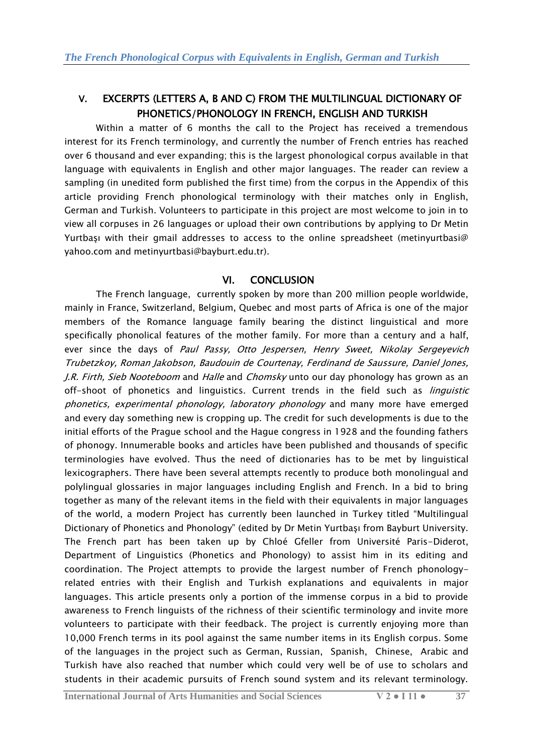## V. EXCERPTS (LETTERS A, B AND C) FROM THE MULTILINGUAL DICTIONARY OF PHONETICS/PHONOLOGY IN FRENCH, ENGLISH AND TURKISH

Within a matter of 6 months the call to the Project has received a tremendous interest for its French terminology, and currently the number of French entries has reached over 6 thousand and ever expanding; this is the largest phonological corpus available in that language with equivalents in English and other major languages. The reader can review a sampling (in unedited form published the first time) from the corpus in the Appendix of this article providing French phonological terminology with their matches only in English, German and Turkish. Volunteers to participate in this project are most welcome to join in to view all corpuses in 26 languages or upload their own contributions by applying to Dr Metin Yurtbaşı with their gmail addresses to access to the online spreadsheet (metinyurtbasi@ yahoo.com and metinyurtbasi@bayburt.edu.tr).

## VI. CONCLUSION

The French language, currently spoken by more than 200 million people worldwide, mainly in France, Switzerland, Belgium, Quebec and most parts of Africa is one of the major members of the Romance language family bearing the distinct linguistical and more specifically phonolical features of the mother family. For more than a century and a half, ever since the days of Paul Passy, Otto Jespersen, Henry Sweet, Nikolay Sergeyevich Trubetzkoy, Roman Jakobson, Baudouin de Courtenay, Ferdinand de Saussure, Daniel Jones, J.R. Firth, Sieb Nooteboom and Halle and Chomsky unto our day phonology has grown as an off-shoot of phonetics and linguistics. Current trends in the field such as *linguistic* phonetics, experimental phonology, laboratory phonology and many more have emerged and every day something new is cropping up. The credit for such developments is due to the initial efforts of the Prague school and the Hague congress in 1928 and the founding fathers of phonogy. Innumerable books and articles have been published and thousands of specific terminologies have evolved. Thus the need of dictionaries has to be met by linguistical lexicographers. There have been several attempts recently to produce both monolingual and polylingual glossaries in major languages including English and French. In a bid to bring together as many of the relevant items in the field with their equivalents in major languages of the world, a modern Project has currently been launched in Turkey titled "Multilingual Dictionary of Phonetics and Phonology‖ (edited by Dr Metin Yurtbaşı from Bayburt University. The French part has been taken up by Chloé Gfeller from Université Paris-Diderot, Department of Linguistics (Phonetics and Phonology) to assist him in its editing and coordination. The Project attempts to provide the largest number of French phonologyrelated entries with their English and Turkish explanations and equivalents in major languages. This article presents only a portion of the immense corpus in a bid to provide awareness to French linguists of the richness of their scientific terminology and invite more volunteers to participate with their feedback. The project is currently enjoying more than 10,000 French terms in its pool against the same number items in its English corpus. Some of the languages in the project such as German, Russian, Spanish, Chinese, Arabic and Turkish have also reached that number which could very well be of use to scholars and students in their academic pursuits of French sound system and its relevant terminology.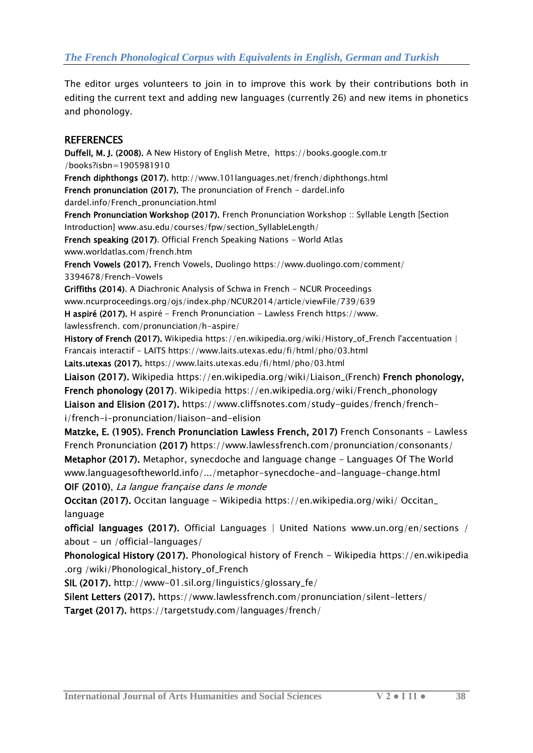The editor urges volunteers to join in to improve this work by their contributions both in editing the current text and adding new languages (currently 26) and new items in phonetics and phonology.

#### **REFERENCES**

Duffell, M. J. (2008). [A New History of English Metre,](https://books.google.com.tr/books?id=BAAOSblbBBoC&pg=PA74&lpg=PA74&dq=Francien+phonology+French&source=bl&ots=GkQx9bwKfV&sig=IE35GTkWc1ScWUyleQ3cv56vPWc&hl=en&sa=X&ved=0ahUKEwjr9Z2c4ujXAhWP16QKHdh5AM4Q6AEILzAB) [https://books.google.com.tr](https://books.google.com.tr/) /books?isbn=1905981910 French diphthongs (2017). <http://www.101languages.net/french/diphthongs.html> French pronunciation (2017). [The pronunciation of French -](http://dardel.info/French_pronunciation.html) dardel.info dardel.info/French\_pronunciation.html French Pronunciation Workshop (2017). [French Pronunciation Workshop :: Syllable Length \[Section](http://www.asu.edu/courses/fpw/section_SyllableLength/)  [Introduction\]](http://www.asu.edu/courses/fpw/section_SyllableLength/) www.asu.edu/courses/fpw/section\_SyllableLength/ French speaking (2017)[. Official French Speaking Nations -](http://www.worldatlas.com/french.htm) World Atlas www.worldatlas.com/french.htm French Vowels (2017). [French Vowels, Duolingo](https://www.duolingo.com/comment/3394678/French-Vowels) <https://www.duolingo.com/comment/> 3394678/French-Vowels Griffiths (2014). [A Diachronic Analysis of Schwa in French -](http://www.ncurproceedings.org/ojs/index.php/NCUR2014/article/viewFile/739/639) NCUR Proceedings [www.ncurproceedings.org/ojs/index.php/NCUR2014/article/viewFile/739/639](http://www.ncurproceedings.org/ojs/index.php/NCUR2014/article/viewFile/739/639) H aspiré (2017). H aspiré - [French Pronunciation -](https://www.lawlessfrench.com/pronunciation/h-aspire/) Lawless French [https://www.](https://www/) lawlessfrench. com/pronunciation/h-aspire/ [History of French \(2017\).](articles/articles/Application%20Data/Microsoft/Word/History%20of%20French%20(2017).%20Wikipedia) Wikipedia [https://en.wikipedia.org/wiki/History\\_of\\_French](https://en.wikipedia.org/wiki/History_of_French) l'accentuation | [Francais interactif -](https://www.google.com.tr/url?sa=t&rct=j&q=&esrc=s&source=web&cd=1&cad=rja&uact=8&ved=0ahUKEwj-0oTw4-jXAhWJJewKHdIAD-IQFggrMAA&url=https%3A%2F%2Fwww.laits.utexas.edu%2Ffi%2Fhtml%2Fpho%2F03.html&usg=AOvVaw0ej-Nc_ypl4OlFO1RYAqoj) LAITS https://www.laits.utexas.edu/fi/html/pho/03.html Laits.utexas (2017).<https://www.laits.utexas.edu/fi/html/pho/03.html> [Liaison \(2017\).](articles/articles/Application%20Data/Microsoft/Word/Liaison%20(2017).%20Wikipedia) Wikipedia [https://en.wikipedia.org/wiki/Liaison\\_\(French\)](https://en.wikipedia.org/wiki/Liaison_(French)) French phonology, [French phonology \(2017\). Wikipedia](articles/articles/Application%20Data/Microsoft/Word/French%20phonology%20(2017).%20Wikipedia) [https://en.wikipedia.org/wiki/French\\_phonology](https://en.wikipedia.org/wiki/French_phonology) [Liaison and Elision \(2017\)](articles/articles/Application%20Data/Microsoft/Word/Liaison%20and%20Elision%20(2017). [https://www.cliffsnotes.com/study-guides/french/french](https://www.cliffsnotes.com/study-guides/french/french-i/french-i-pronunciation/liaison-and-elision)[i/french-i-pronunciation/liaison-and-elision](https://www.cliffsnotes.com/study-guides/french/french-i/french-i-pronunciation/liaison-and-elision) Matzke, E. (1905). French Pronunciation Lawless French, 2017) [French Consonants -](https://www.lawlessfrench.com/pronunciation/consonants/) Lawless [French Pronunciation](https://www.lawlessfrench.com/pronunciation/consonants/) (2017)<https://www.lawlessfrench.com/pronunciation/consonants/> Metaphor (2017). [Metaphor, synecdoche and language change -](http://www.languagesoftheworld.info/etymology/metaphor-synecdoche-and-language-change.html) Languages Of The World [www.languagesoftheworld.info/.../metaphor-synecdoche-and-language-change.html](http://www.languagesoftheworld.info/.../metaphor-synecdoche-and-language-change.html) OIF (2010), La langue française dans le monde Occitan (2017). [Occitan language -](https://en.wikipedia.org/wiki/Occitan_language) Wikipedia [https://en.wikipedia.](https://en.wikipedia/)org/wiki/ Occitan\_ language official languages (2017). [Official Languages | United Nations](http://www.un.org/en/sections/about-un/official-languages/) [www.un.org/en/sections /](http://www.un.org/en/sections%20/) about - un /official-languages/ Phonological History (2017). [Phonological history of French -](https://en.wikipedia.org/wiki/Phonological_history_of_French) Wikipedia https://en.wikipedia .org /wiki/Phonological\_history\_of\_French SIL (2017). [http://www-01.sil.org/linguistics/glossary\\_fe/](http://www-01.sil.org/linguistics/glossary_fe/)

Silent Letters (2017). <https://www.lawlessfrench.com/pronunciation/silent-letters/> Target (2017). https://targetstudy.com/languages/french/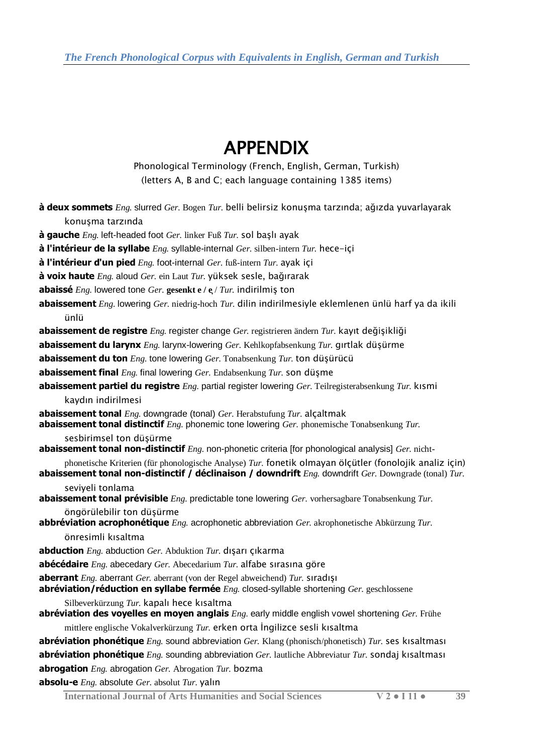# APPENDIX

Phonological Terminology (French, English, German, Turkish) (letters A, B and C; each language containing 1385 items)

| <b>à deux sommets</b> <i>Eng.</i> slurred <i>Ger.</i> Bogen <i>Tur.</i> belli belirsiz konuşma tarzında; ağızda yuvarlayarak                                                                                         |
|----------------------------------------------------------------------------------------------------------------------------------------------------------------------------------------------------------------------|
| konuşma tarzında                                                                                                                                                                                                     |
| <b>à gauche</b> $Eng.$ left-headed foot $Ger.$ linker Fuß $Tur.$ sol başlı ayak                                                                                                                                      |
| à l'intérieur de la syllabe $Eng.$ syllable-internal $Ger.$ silben-intern $Tur.$ hece-içi                                                                                                                            |
| à l'intérieur d'un pied $Eng.$ foot-internal $Ger.$ fuß-intern $Tur.$ ayak içi                                                                                                                                       |
| $\dot{a}$ voix haute $Eng.$ aloud Ger. ein Laut Tur. yüksek sesle, bağırarak                                                                                                                                         |
| <b>abaissé</b> <i>Eng.</i> lowered tone <i>Ger.</i> gesenkt e / $e$ / <i>Tur.</i> indirilmis ton                                                                                                                     |
| <b>abaissement</b> <i>Eng.</i> lowering <i>Ger.</i> niedrig-hoch <i>Tur.</i> dilin indirilmesiyle eklemlenen ünlü harf ya da ikili                                                                                   |
| ünlü                                                                                                                                                                                                                 |
| <b>abaissement de registre</b> Eng. register change Ger. registrieren ändern Tur. kayıt değişikliği                                                                                                                  |
| abaissement du larynx Eng. larynx-lowering Ger. Kehlkopfabsenkung Tur. girtlak düşürme                                                                                                                               |
| <b>abaissement du ton</b> $Eng.$ tone lowering $Ger.$ Tonabsenkung $Tur.$ ton düşürücü                                                                                                                               |
| <b>abaissement final</b> $Eng.$ final lowering $Ger.$ Endabsenkung $Tur.$ son düşme                                                                                                                                  |
| <b>abaissement partiel du registre</b> <i>Eng.</i> partial register lowering <i>Ger.</i> Teilregisterabsenkung Tur. kismi                                                                                            |
| kaydın indirilmesi                                                                                                                                                                                                   |
| <b>abaissement tonal</b> $Eng.$ downgrade (tonal) $Ger.$ Herabstufung $Tur.$ alcaltmak                                                                                                                               |
| <b>abaissement tonal distinctif</b> Eng. phonemic tone lowering Ger. phonemische Tonabsenkung Tur.                                                                                                                   |
| sesbirimsel ton düşürme<br><b>abaissement tonal non-distinctif</b> Eng. non-phonetic criteria [for phonological analysis] Ger. nicht-                                                                                |
| phonetische Kriterien (für phonologische Analyse) Tur. fonetik olmayan ölçütler (fonolojik analiz için)<br>abaissement tonal non-distinctif / déclinaison / downdrift $Eng.$ downdrift $Ger.$ Downgrade (tonal) Tur. |
| seviyeli tonlama<br><b>abaissement tonal prévisible</b> <i>Eng.</i> predictable tone lowering <i>Ger.</i> vorhersagbare Tonabsenkung <i>Tur.</i>                                                                     |
| öngörülebilir ton düşürme                                                                                                                                                                                            |
| <b>abbréviation acrophonétique</b> <i>Eng.</i> acrophonetic abbreviation <i>Ger.</i> akrophonetische Abkürzung Tur.                                                                                                  |
| önresimli kısaltma                                                                                                                                                                                                   |
| <b>abduction</b> $Eng.$ abduction $Ger.$ Abduktion $Tur.$ dişarı çıkarma                                                                                                                                             |
| <b>abécédaire</b> $Eng.$ abecedary $Ger.$ Abecedarium $Tur.$ alfabe sirasina göre                                                                                                                                    |
| <b>aberrant</b> <i>Eng.</i> aberrant <i>Ger.</i> aberrant (von der Regel abweichend) <i>Tur.</i> stradtst<br><b>abréviation/réduction en syllabe fermée</b> Eng. closed-syllable shortening Ger. geschlossene        |
| Silbeverkürzung Tur. kapalı hece kısaltma                                                                                                                                                                            |
| abréviation des voyelles en moyen anglais Eng. early middle english vowel shortening Ger. Frühe                                                                                                                      |
| mittlere englische Vokalverkürzung $Tur$ . erken orta İngilizce sesli kısaltma                                                                                                                                       |
| <b>abréviation phonétique</b> $Eng.$ sound abbreviation $Ger.$ Klang (phonisch/phonetisch) $Tur.$ ses kisaltmasi                                                                                                     |
| <b>abréviation phonétique</b> $Eng.$ sounding abbreviation $Ger.$ lautliche Abbreviatur Tur. sondaj kisaltmasi                                                                                                       |
| abrogation Eng. abrogation Ger. Abrogation Tur. bozma                                                                                                                                                                |
| absolu-e Eng. absolute Ger. absolut Tur. yalın                                                                                                                                                                       |

**International Journal of Arts Humanities and Social Sciences V 2 ● I 11 ● 39**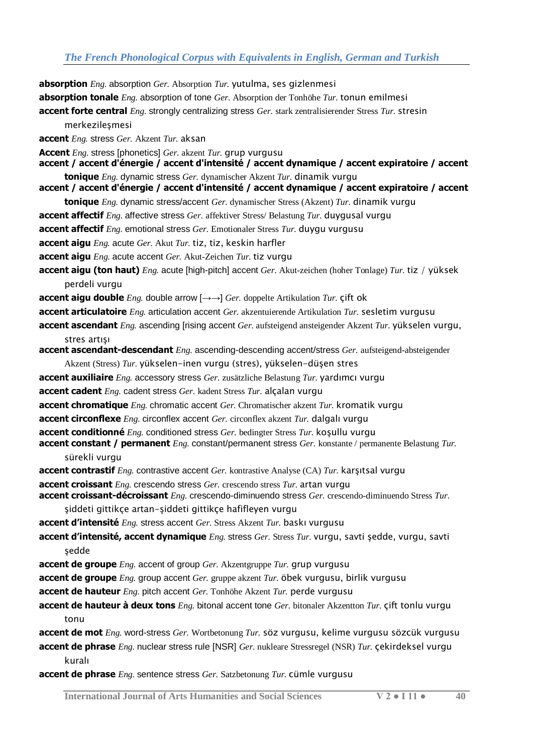**absorption tonale** *Eng.* absorption of tone *Ger.* Absorption der Tonhöhe *Tur.* tonun emilmesi

**absorption** *Eng.* absorption *Ger.* Absorption *Tur.* yutulma, ses gizlenmesi

**accent forte central** *Eng.* strongly centralizing stress *Ger.* stark zentralisierender Stress *Tur.* stresin merkezilesmesi **accent** *Eng.* stress *Ger.* Akzent *Tur.* aksan **Accent** *Eng.* stress [phonetics] *Ger.* akzent *Tur.* grup vurgusu **accent / accent d'énergie / accent d'intensité / accent dynamique / accent expiratoire / accent tonique** *Eng.* dynamic stress *Ger.* dynamischer Akzent *Tur.* dinamik vurgu **accent / accent d'énergie / accent d'intensité / accent dynamique / accent expiratoire / accent tonique** *Eng.* dynamic stress/accent *Ger.* dynamischer Stress (Akzent) *Tur.* dinamik vurgu **accent affectif** *Eng.* affective stress *Ger.* affektiver Stress/ Belastung *Tur.* duygusal vurgu **accent affectif** *Eng.* emotional stress *Ger.* Emotionaler Stress *Tur.* duygu vurgusu **accent aigu** *Eng.* acute *Ger.* Akut *Tur.* tiz, tiz, keskin harfler **accent aigu** *Eng.* acute accent *Ger.* Akut-Zeichen *Tur.* tiz vurgu **accent aigu (ton haut)** *Eng.* acute [high-pitch] accent *Ger.* Akut-zeichen (hoher Tonlage) *Tur.* tiz / yüksek perdeli vurgu **accent aigu double** *Eng.* double arrow  $[\rightarrow \rightarrow]$  *Ger.* doppelte Artikulation *Tur.*  $\varsigma$  *ift* ok **accent articulatoire** *Eng.* articulation accent *Ger.* akzentuierende Artikulation *Tur.* sesletim vurgusu **accent ascendant** *Eng.* ascending [rising accent *Ger.* aufsteigend ansteigender Akzent *Tur.* yükselen vurgu, stres artışı **accent ascendant-descendant** *Eng.* ascending-descending accent/stress *Ger.* aufsteigend-absteigender Akzent (Stress) *Tur.* yükselen-inen vurgu (stres), yükselen-düşen stres **accent auxiliaire** *Eng.* accessory stress *Ger.* zusätzliche Belastung *Tur.* yardımcı vurgu **accent cadent** *Eng.* cadent stress *Ger.* kadent Stress *Tur.* alçalan vurgu **accent chromatique** *Eng.* chromatic accent *Ger.* Chromatischer akzent *Tur.* kromatik vurgu **accent circonflexe** *Eng.* circonflex accent *Ger.* circonflex akzent *Tur.* dalgalı vurgu **accent conditionné** *Eng.* conditioned stress *Ger.* bedingter Stress *Tur.* koşullu vurgu **accent constant / permanent** *Eng.* constant/permanent stress *Ger.* konstante / permanente Belastung *Tur.*  sürekli vurgu **accent contrastif** *Eng.* contrastive accent *Ger.* kontrastive Analyse (CA) *Tur.* karşıtsal vurgu **accent croissant** *Eng.* crescendo stress *Ger.* crescendo stress *Tur.* artan vurgu **accent croissant-décroissant** *Eng.* crescendo-diminuendo stress *Ger.* crescendo-diminuendo Stress *Tur.*  şiddeti gittikçe artan-şiddeti gittikçe hafifleyen vurgu **accent d'intensité** *Eng.* stress accent *Ger.* Stress Akzent *Tur.* baskı vurgusu **accent d'intensité, accent dynamique** *Eng.* stress *Ger.* Stress *Tur.* vurgu, savti şedde, vurgu, savti sedde **accent de groupe** *Eng.* accent of group *Ger.* Akzentgruppe *Tur.* grup vurgusu **accent de groupe** *Eng.* group accent *Ger.* gruppe akzent *Tur.* öbek vurgusu, birlik vurgusu **accent de hauteur** *Eng.* pitch accent *Ger.* Tonhöhe Akzent *Tur.* perde vurgusu **accent de hauteur à deux tons** *Eng.* bitonal accent tone *Ger.* bitonaler Akzentton *Tur.* çift tonlu vurgu tonu

**accent de mot** *Eng.* word-stress *Ger.* Wortbetonung *Tur.* söz vurgusu, kelime vurgusu sözcük vurgusu **accent de phrase** *Eng.* nuclear stress rule [NSR] *Ger.* nukleare Stressregel (NSR) *Tur.* çekirdeksel vurgu

kuralı

**accent de phrase** *Eng.* sentence stress *Ger.* Satzbetonung *Tur.* cümle vurgusu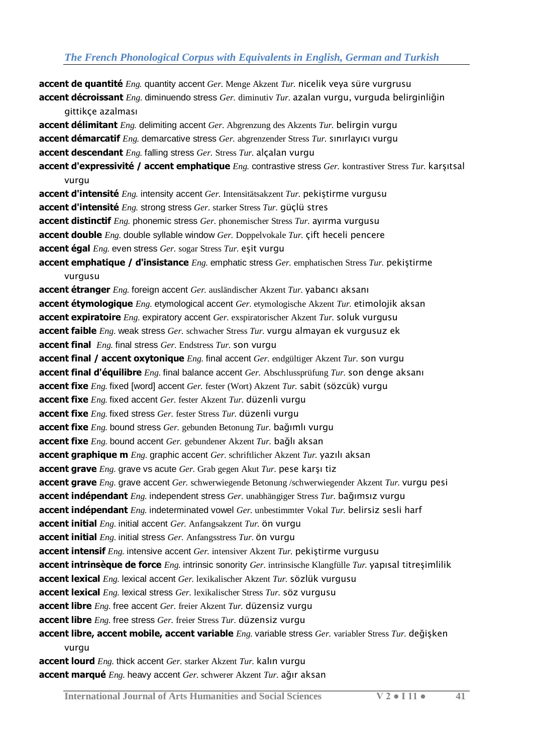**accent de quantité** *Eng.* quantity accent *Ger.* Menge Akzent *Tur.* nicelik veya süre vurgrusu **accent décroissant** *Eng.* diminuendo stress *Ger.* diminutiv *Tur.* azalan vurgu, vurguda belirginliğin gittikçe azalması **accent délimitant** *Eng.* delimiting accent *Ger.* Abgrenzung des Akzents *Tur.* belirgin vurgu **accent démarcatif** *Eng.* demarcative stress *Ger.* abgrenzender Stress *Tur.* sınırlayıcı vurgu **accent descendant** *Eng.* falling stress *Ger.* Stress *Tur.* alçalan vurgu **accent d'expressivité / accent emphatique** *Eng.* contrastive stress *Ger.* kontrastiver Stress *Tur.* karşıtsal vurgu **accent d'intensité** *Eng.* intensity accent *Ger.* Intensitätsakzent *Tur.* pekiştirme vurgusu **accent d'intensité** *Eng.* strong stress *Ger.* starker Stress *Tur.* güçlü stres **accent distinctif** *Eng.* phonemic stress *Ger.* phonemischer Stress *Tur.* ayırma vurgusu **accent double** *Eng.* double syllable window *Ger.* Doppelvokale *Tur.* çift heceli pencere **accent égal** *Eng.* even stress *Ger.* sogar Stress *Tur.* eşit vurgu **accent emphatique / d'insistance** *Eng.* emphatic stress *Ger.* emphatischen Stress *Tur.* pekiştirme vurgusu **accent étranger** *Eng.* foreign accent *Ger.* ausländischer Akzent *Tur.* yabancı aksanı **accent étymologique** *Eng.* etymological accent *Ger.* etymologische Akzent *Tur.* etimolojik aksan **accent expiratoire** *Eng.* expiratory accent *Ger.* exspiratorischer Akzent *Tur.* soluk vurgusu **accent faible** *Eng.* weak stress *Ger.* schwacher Stress *Tur.* vurgu almayan ek vurgusuz ek **accent final** *Eng.* final stress *Ger.* Endstress *Tur.* son vurgu **accent final / accent oxytonique** *Eng.* final accent *Ger.* endgültiger Akzent *Tur.* son vurgu **accent final d'équilibre** *Eng.* final balance accent *Ger.* Abschlussprüfung *Tur.* son denge aksanı **accent fixe** *Eng.* fixed [word] accent *Ger.* fester (Wort) Akzent *Tur.* sabit (sözcük) vurgu **accent fixe** *Eng.* fixed accent *Ger.* fester Akzent *Tur.* düzenli vurgu **accent fixe** *Eng.* fixed stress *Ger.* fester Stress *Tur.* düzenli vurgu **accent fixe** *Eng.* bound stress *Ger.* gebunden Betonung *Tur.* bağımlı vurgu **accent fixe** *Eng.* bound accent *Ger.* gebundener Akzent *Tur.* bağlı aksan **accent graphique m** *Eng.* graphic accent *Ger.* schriftlicher Akzent *Tur.* yazılı aksan **accent grave** *Eng.* grave vs acute *Ger.* Grab gegen Akut *Tur.* pese karşı tiz **accent grave** *Eng.* grave accent *Ger.* schwerwiegende Betonung /schwerwiegender Akzent *Tur.* vurgu pesi **accent indépendant** *Eng.* independent stress *Ger.* unabhängiger Stress *Tur.* bağımsız vurgu **accent indépendant** *Eng.* indeterminated vowel *Ger.* unbestimmter Vokal *Tur.* belirsiz sesli harf **accent initial** *Eng.* initial accent *Ger.* Anfangsakzent *Tur.* ön vurgu **accent initial** *Eng.* initial stress *Ger.* Anfangsstress *Tur.* ön vurgu **accent intensif** *Eng.* intensive accent *Ger.* intensiver Akzent *Tur.* pekiştirme vurgusu **accent intrinsèque de force** *Eng.* intrinsic sonority *Ger.* intrinsische Klangfülle *Tur.* yapısal titreşimlilik **accent lexical** *Eng.* lexical accent *Ger.* lexikalischer Akzent *Tur.* sözlük vurgusu **accent lexical** *Eng.* lexical stress *Ger.* lexikalischer Stress *Tur.* söz vurgusu **accent libre** *Eng.* free accent *Ger.* freier Akzent *Tur.* düzensiz vurgu **accent libre** *Eng.* free stress *Ger.* freier Stress *Tur.* düzensiz vurgu **accent libre, accent mobile, accent variable** *Eng.* variable stress *Ger.* variabler Stress *Tur.* değişken vurgu **accent lourd** *Eng.* thick accent *Ger.* starker Akzent *Tur.* kalın vurgu

**accent marqué** *Eng.* heavy accent *Ger.* schwerer Akzent *Tur.* ağır aksan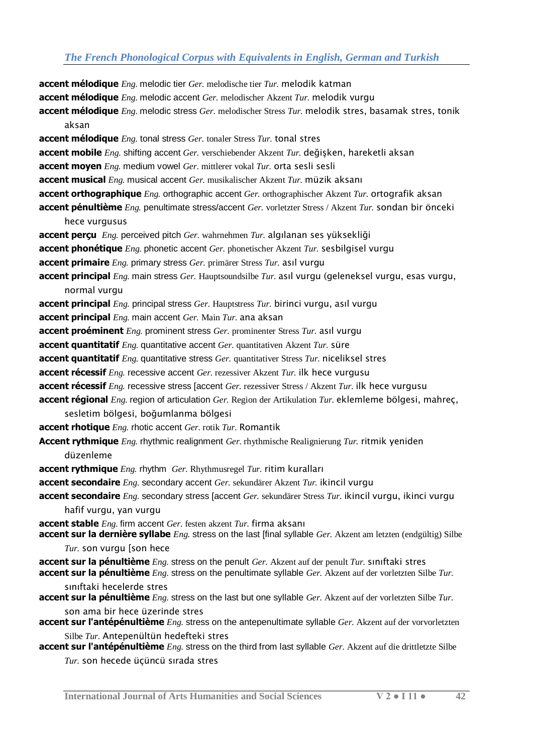**accent mélodique** *Eng.* melodic tier *Ger.* melodische tier *Tur.* melodik katman **accent mélodique** *Eng.* melodic accent *Ger.* melodischer Akzent *Tur.* melodik vurgu **accent mélodique** *Eng.* melodic stress *Ger.* melodischer Stress *Tur.* melodik stres, basamak stres, tonik aksan **accent mélodique** *Eng.* tonal stress *Ger.* tonaler Stress *Tur.* tonal stres **accent mobile** *Eng.* shifting accent *Ger.* verschiebender Akzent *Tur.* değişken, hareketli aksan **accent moyen** *Eng.* medium vowel *Ger.* mittlerer vokal *Tur.* orta sesli sesli **accent musical** *Eng.* musical accent *Ger.* musikalischer Akzent *Tur.* müzik aksanı **accent orthographique** *Eng.* orthographic accent *Ger.* orthographischer Akzent *Tur.* ortografik aksan **accent pénultième** *Eng.* penultimate stress/accent *Ger.* vorletzter Stress / Akzent *Tur.* sondan bir önceki hece vurgusus **accent perçu** *Eng.* perceived pitch *Ger.* wahrnehmen *Tur.* algılanan ses yüksekliği **accent phonétique** *Eng.* phonetic accent *Ger.* phonetischer Akzent *Tur.* sesbilgisel vurgu **accent primaire** *Eng.* primary stress *Ger.* primärer Stress *Tur.* asıl vurgu **accent principal** *Eng.* main stress *Ger.* Hauptsoundsilbe *Tur.* asıl vurgu (geleneksel vurgu, esas vurgu, normal vurgu **accent principal** *Eng.* principal stress *Ger.* Hauptstress *Tur.* birinci vurgu, asıl vurgu **accent principal** *Eng.* main accent *Ger.* Main *Tur.* ana aksan **accent proéminent** *Eng.* prominent stress *Ger.* prominenter Stress *Tur.* asıl vurgu **accent quantitatif** *Eng.* quantitative accent *Ger.* quantitativen Akzent *Tur.* süre **accent quantitatif** *Eng.* quantitative stress *Ger.* quantitativer Stress *Tur.* niceliksel stres **accent récessif** *Eng.* recessive accent *Ger.* rezessiver Akzent *Tur.* ilk hece vurgusu **accent récessif** *Eng.* recessive stress [accent *Ger.* rezessiver Stress / Akzent *Tur.* ilk hece vurgusu **accent régional** *Eng.* region of articulation *Ger.* Region der Artikulation *Tur.* eklemleme bölgesi, mahreç, sesletim bölgesi, boğumlanma bölgesi **accent rhotique** *Eng.* rhotic accent *Ger.* rotik *Tur.* Romantik **Accent rythmique** *Eng.* rhythmic realignment *Ger.* rhythmische Realignierung *Tur.* ritmik yeniden düzenleme **accent rythmique** *Eng.* rhythm *Ger.* Rhythmusregel *Tur.* ritim kuralları **accent secondaire** *Eng.* secondary accent *Ger.* sekundärer Akzent *Tur.* ikincil vurgu **accent secondaire** *Eng.* secondary stress [accent *Ger.* sekundärer Stress *Tur.* ikincil vurgu, ikinci vurgu hafif vurgu, yan vurgu **accent stable** *Eng.* firm accent *Ger.* festen akzent *Tur.* firma aksanı **accent sur la dernière syllabe** *Eng.* stress on the last [final syllable *Ger.* Akzent am letzten (endgültig) Silbe *Tur.* son vurgu [son hece **accent sur la pénultième** *Eng.* stress on the penult *Ger.* Akzent auf der penult *Tur.* sınıftaki stres **accent sur la pénultième** *Eng.* stress on the penultimate syllable *Ger.* Akzent auf der vorletzten Silbe *Tur.*  sınıftaki hecelerde stres **accent sur la pénultième** *Eng.* stress on the last but one syllable *Ger.* Akzent auf der vorletzten Silbe *Tur.*  son ama bir hece üzerinde stres **accent sur l'antépénultième** *Eng.* stress on the antepenultimate syllable *Ger.* Akzent auf der vorvorletzten Silbe *Tur.* Antepenültün hedefteki stres **accent sur l'antépénultième** *Eng.* stress on the third from last syllable *Ger.* Akzent auf die drittletzte Silbe *Tur.* son hecede üçüncü sırada stres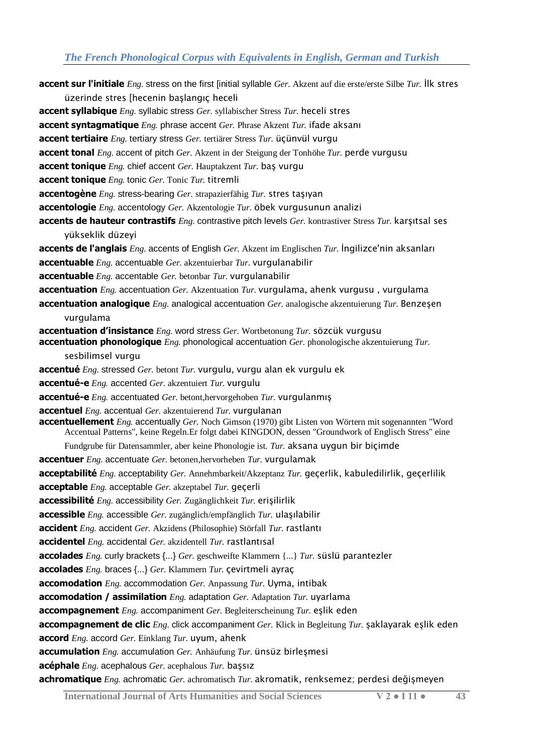**accent sur l'initiale** *Eng.* stress on the first [initial syllable *Ger.* Akzent auf die erste/erste Silbe *Tur.* İlk stres üzerinde stres [hecenin başlangıç heceli **accent syllabique** *Eng.* syllabic stress *Ger.* syllabischer Stress *Tur.* heceli stres **accent syntagmatique** *Eng.* phrase accent *Ger.* Phrase Akzent *Tur.* ifade aksanı **accent tertiaire** *Eng.* tertiary stress *Ger.* tertiärer Stress *Tur.* üçünvül vurgu **accent tonal** *Eng.* accent of pitch *Ger.* Akzent in der Steigung der Tonhöhe *Tur.* perde vurgusu **accent tonique** *Eng.* chief accent *Ger.* Hauptakzent *Tur.* baş vurgu **accent tonique** *Eng.* tonic *Ger.* Tonic *Tur.* titremli **accentogène** *Eng.* stress-bearing *Ger.* strapazierfähig *Tur.* stres taşıyan **accentologie** *Eng.* accentology *Ger.* Akzentologie *Tur.* öbek vurgusunun analizi **accents de hauteur contrastifs** *Eng.* contrastive pitch levels *Ger.* kontrastiver Stress *Tur.* karşıtsal ses yükseklik düzeyi **accents de l'anglais** *Eng.* accents of English *Ger.* Akzent im Englischen *Tur.* İngilizce'nin aksanları **accentuable** *Eng.* accentuable *Ger.* akzentuierbar *Tur.* vurgulanabilir **accentuable** *Eng.* accentable *Ger.* betonbar *Tur.* vurgulanabilir **accentuation** *Eng.* accentuation *Ger.* Akzentuation *Tur.* vurgulama, ahenk vurgusu , vurgulama **accentuation analogique** *Eng.* analogical accentuation *Ger.* analogische akzentuierung *Tur.* Benzeşen vurgulama **accentuation d'insistance** *Eng.* word stress *Ger.* Wortbetonung *Tur.* sözcük vurgusu **accentuation phonologique** *Eng.* phonological accentuation *Ger.* phonologische akzentuierung *Tur.*  sesbilimsel vurgu **accentué** *Eng.* stressed *Ger.* betont *Tur.* vurgulu, vurgu alan ek vurgulu ek **accentué-e** *Eng.* accented *Ger.* akzentuiert *Tur.* vurgulu **accentué-e** *Eng.* accentuated *Ger.* betont,hervorgehoben *Tur.* vurgulanmış **accentuel** *Eng.* accentual *Ger.* akzentuierend *Tur.* vurgulanan **accentuellement** *Eng.* accentually *Ger.* Noch Gimson (1970) gibt Listen von Wörtern mit sogenannten "Word Accentual Patterns", keine Regeln.Er folgt dabei KINGDON, dessen "Groundwork of Englisch Stress" eine Fundgrube für Datensammler, aber keine Phonologie ist. *Tur.* aksana uygun bir biçimde **accentuer** *Eng.* accentuate *Ger.* betonen,hervorheben *Tur.* vurgulamak **acceptabilité** *Eng.* acceptability *Ger.* Annehmbarkeit/Akzeptanz *Tur.* geçerlik, kabuledilirlik, geçerlilik **acceptable** *Eng.* acceptable *Ger.* akzeptabel *Tur.* geçerli **accessibilité** *Eng.* accessibility *Ger.* Zugänglichkeit *Tur.* erişilirlik **accessible** *Eng.* accessible *Ger.* zugänglich/empfänglich *Tur.* ulaşılabilir **accident** *Eng.* accident *Ger.* Akzidens (Philosophie) Störfall *Tur.* rastlantı **accidentel** *Eng.* accidental *Ger.* akzidentell *Tur.* rastlantısal **accolades** *Eng.* curly brackets {...} *Ger.* geschweifte Klammern {...} *Tur.* süslü parantezler **accolades** *Eng.* braces {...} *Ger.* Klammern *Tur.* çevirtmeli ayraç **accomodation** *Eng.* accommodation *Ger.* Anpassung *Tur.* Uyma, intibak **accomodation / assimilation** *Eng.* adaptation *Ger.* Adaptation *Tur.* uyarlama **accompagnement** *Eng.* accompaniment *Ger.* Begleiterscheinung *Tur.* eşlik eden **accompagnement de clic** *Eng.* click accompaniment *Ger.* Klick in Begleitung *Tur.* şaklayarak eşlik eden **accord** *Eng.* accord *Ger.* Einklang *Tur.* uyum, ahenk **accumulation** *Eng.* accumulation *Ger.* Anhäufung *Tur.* ünsüz birleşmesi **acéphale** *Eng.* acephalous *Ger.* acephalous *Tur.* başsız **achromatique** *Eng.* achromatic *Ger.* achromatisch *Tur.* akromatik, renksemez; perdesi değişmeyen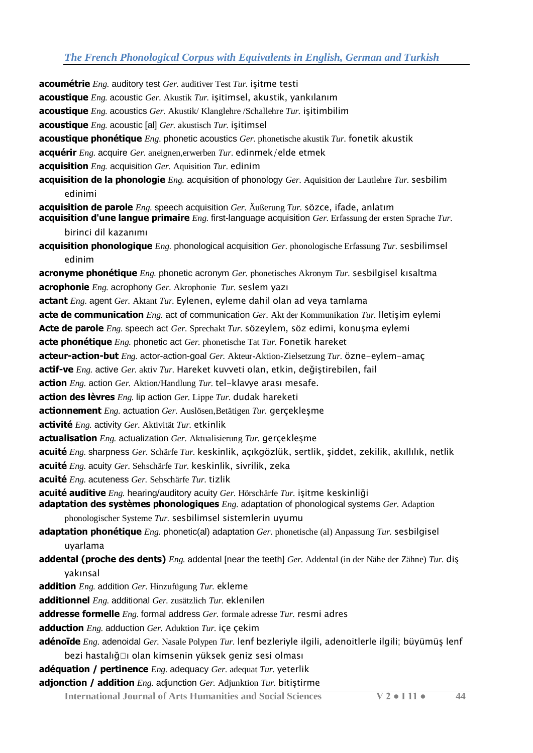**acoumétrie** *Eng.* auditory test *Ger.* auditiver Test *Tur.* işitme testi **acoustique** *Eng.* acoustic *Ger.* Akustik *Tur.* işitimsel, akustik, yankılanım **acoustique** *Eng.* acoustics *Ger.* Akustik/ Klanglehre /Schallehre *Tur.* işitimbilim **acoustique** *Eng.* acoustic [al] *Ger.* akustisch *Tur.* işitimsel **acoustique phonétique** *Eng.* phonetic acoustics *Ger.* phonetische akustik *Tur.* fonetik akustik **acquérir** *Eng.* acquire *Ger.* aneignen,erwerben *Tur.* edinmek/elde etmek **acquisition** *Eng.* acquisition *Ger.* Aquisition *Tur.* edinim **acquisition de la phonologie** *Eng.* acquisition of phonology *Ger.* Aquisition der Lautlehre *Tur.* sesbilim edinimi **acquisition de parole** *Eng.* speech acquisition *Ger.* Äußerung *Tur.* sözce, ifade, anlatım **acquisition d'une langue primaire** *Eng.* first-language acquisition *Ger.* Erfassung der ersten Sprache *Tur.*  birinci dil kazanımı **acquisition phonologique** *Eng.* phonological acquisition *Ger.* phonologische Erfassung *Tur.* sesbilimsel edinim **acronyme phonétique** *Eng.* phonetic acronym *Ger.* phonetisches Akronym *Tur.* sesbilgisel kısaltma **acrophonie** *Eng.* acrophony *Ger.* Akrophonie *Tur.* seslem yazı **actant** *Eng.* agent *Ger.* Aktant *Tur.* Eylenen, eyleme dahil olan ad veya tamlama **acte de communication** *Eng.* act of communication *Ger.* Akt der Kommunikation *Tur.* Iletişim eylemi **Acte de parole** *Eng.* speech act *Ger.* Sprechakt *Tur.* sözeylem, söz edimi, konuşma eylemi **acte phonétique** *Eng.* phonetic act *Ger.* phonetische Tat *Tur.* Fonetik hareket **acteur-action-but** *Eng.* actor-action-goal *Ger.* Akteur-Aktion-Zielsetzung *Tur.* özne-eylem-amaç **actif-ve** *Eng.* active *Ger.* aktiv *Tur.* Hareket kuvveti olan, etkin, değiştirebilen, fail **action** *Eng.* action *Ger.* Aktion/Handlung *Tur.* tel-klavye arası mesafe. **action des lèvres** *Eng.* lip action *Ger.* Lippe *Tur.* dudak hareketi **actionnement** *Eng.* actuation *Ger.* Auslösen,Betätigen *Tur.* gerçekleşme **activité** *Eng.* activity *Ger.* Aktivität *Tur.* etkinlik **actualisation** *Eng.* actualization *Ger.* Aktualisierung *Tur.* gerçekleşme **acuité** *Eng.* sharpness *Ger.* Schärfe *Tur.* keskinlik, açıkgözlük, sertlik, şiddet, zekilik, akıllılık, netlik **acuité** *Eng.* acuity *Ger.* Sehschärfe *Tur.* keskinlik, sivrilik, zeka **acuité** *Eng.* acuteness *Ger.* Sehschärfe *Tur.* tizlik **acuité auditive** *Eng.* hearing/auditory acuity *Ger.* Hörschärfe *Tur.* işitme keskinliği **adaptation des systèmes phonologiques** *Eng.* adaptation of phonological systems *Ger.* Adaption phonologischer Systeme *Tur.* sesbilimsel sistemlerin uyumu **adaptation phonétique** *Eng.* phonetic(al) adaptation *Ger.* phonetische (al) Anpassung *Tur.* sesbilgisel uyarlama **addental (proche des dents)** *Eng.* addental [near the teeth] *Ger.* Addental (in der Nähe der Zähne) *Tur.* diş yakınsal **addition** *Eng.* addition *Ger.* Hinzufügung *Tur.* ekleme **additionnel** *Eng.* additional *Ger.* zusätzlich *Tur.* eklenilen **addresse formelle** *Eng.* formal address *Ger.* formale adresse *Tur.* resmi adres **adduction** *Eng.* adduction *Ger.* Aduktion *Tur.* içe çekim **adénoïde** *Eng.* adenoidal *Ger.* Nasale Polypen *Tur.* lenf bezleriyle ilgili, adenoitlerle ilgili; büyümüş lenf bezi hastalığŸı olan kimsenin yüksek geniz sesi olması **adéquation / pertinence** *Eng.* adequacy *Ger.* adequat *Tur.* yeterlik

**adjonction / addition** *Eng.* adjunction *Ger.* Adjunktion *Tur.* bitiştirme

**International Journal of Arts Humanities and Social Sciences V 2 ● I 11 ● 44**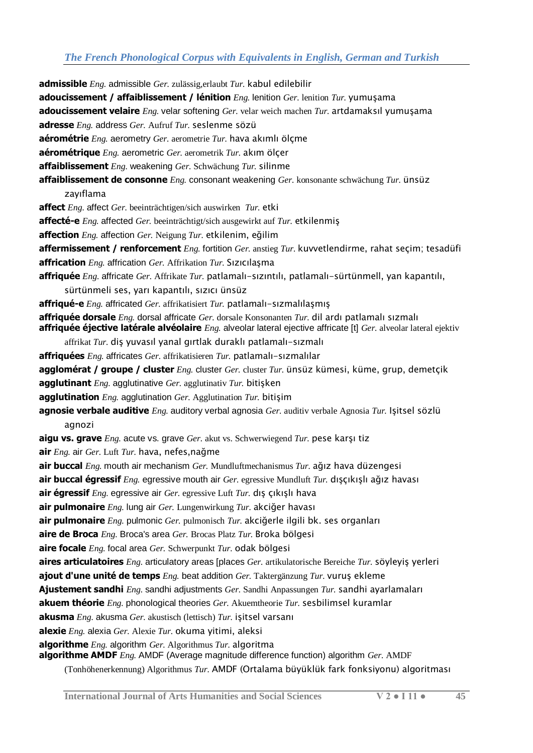**admissible** *Eng.* admissible *Ger.* zulässig,erlaubt *Tur.* kabul edilebilir **adoucissement / affaiblissement / lénition** *Eng.* lenition *Ger.* lenition *Tur.* yumuşama **adoucissement velaire** *Eng.* velar softening *Ger.* velar weich machen *Tur.* artdamaksıl yumuşama **adresse** *Eng.* address *Ger.* Aufruf *Tur.* seslenme sözü **aérométrie** *Eng.* aerometry *Ger.* aerometrie *Tur.* hava akımlı ölçme **aérométrique** *Eng.* aerometric *Ger.* aerometrik *Tur.* akım ölçer **affaiblissement** *Eng.* weakening *Ger.* Schwächung *Tur.* silinme **affaiblissement de consonne** *Eng.* consonant weakening *Ger.* konsonante schwächung *Tur.* ünsüz zayıflama **affect** *Eng.* affect *Ger.* beeinträchtigen/sich auswirken *Tur.* etki **affecté-e** *Eng.* affected *Ger.* beeinträchtigt/sich ausgewirkt auf *Tur.* etkilenmiş **affection** *Eng.* affection *Ger.* Neigung *Tur.* etkilenim, eğilim **affermissement / renforcement** *Eng.* fortition *Ger.* anstieg *Tur.* kuvvetlendirme, rahat seçim; tesadüfi **affrication** *Eng.* affrication *Ger.* Affrikation *Tur.* Sızıcılaşma **affriquée** *Eng.* affricate *Ger.* Affrikate *Tur.* patlamalı-sızıntılı, patlamalı-sürtünmell, yan kapantılı, sürtünmeli ses, yarı kapantılı, sızıcı ünsüz **affriqué-e** *Eng.* affricated *Ger.* affrikatisiert *Tur.* patlamalı-sızmalılaşmış **affriquée dorsale** *Eng.* dorsal affricate *Ger.* dorsale Konsonanten *Tur.* dil ardı patlamalı sızmalı **affriquée éjective latérale alvéolaire** *Eng.* alveolar lateral ejective affricate [t] *Ger.* alveolar lateral ejektiv affrikat *Tur.* diş yuvasıl yanal gırtlak duraklı patlamalı-sızmalı **affriquées** *Eng.* affricates *Ger.* affrikatisieren *Tur.* patlamalı-sızmalılar **agglomérat / groupe / cluster** *Eng.* cluster *Ger.* cluster *Tur.* ünsüz kümesi, küme, grup, demetçik **agglutinant** *Eng.* agglutinative *Ger.* agglutinativ *Tur.* bitişken **agglutination** *Eng.* agglutination *Ger.* Agglutination *Tur.* bitişim **agnosie verbale auditive** *Eng.* auditory verbal agnosia *Ger.* auditiv verbale Agnosia *Tur.* Işitsel sözlü agnozi **aigu vs. grave** *Eng.* acute vs. grave *Ger.* akut vs. Schwerwiegend *Tur.* pese karşı tiz **air** *Eng.* air *Ger.* Luft *Tur.* hava, nefes,nağme **air buccal** *Eng.* mouth air mechanism *Ger.* Mundluftmechanismus *Tur.* ağız hava düzengesi **air buccal égressif** *Eng.* egressive mouth air *Ger.* egressive Mundluft *Tur.* dışçıkışlı ağız havası **air égressif** *Eng.* egressive air *Ger.* egressive Luft *Tur.* dış çıkışlı hava **air pulmonaire** *Eng.* lung air *Ger.* Lungenwirkung *Tur.* akciğer havası **air pulmonaire** *Eng.* pulmonic *Ger.* pulmonisch *Tur.* akciğerle ilgili bk. ses organları **aire de Broca** *Eng.* Broca's area *Ger.* Brocas Platz *Tur.* Broka bölgesi **aire focale** *Eng.* focal area *Ger.* Schwerpunkt *Tur.* odak bölgesi **aires articulatoires** *Eng.* articulatory areas [places *Ger.* artikulatorische Bereiche *Tur.* söyleyiş yerleri **ajout d'une unité de temps** *Eng.* beat addition *Ger.* Taktergänzung *Tur.* vuruş ekleme **Ajustement sandhi** *Eng.* sandhi adjustments *Ger.* Sandhi Anpassungen *Tur.* sandhi ayarlamaları **akuem théorie** *Eng.* phonological theories *Ger.* Akuemtheorie *Tur.* sesbilimsel kuramlar **akusma** *Eng.* akusma *Ger.* akustisch (lettisch) *Tur.* işitsel varsanı **alexie** *Eng.* alexia *Ger.* Alexie *Tur.* okuma yitimi, aleksi **algorithme** *Eng.* algorithm *Ger.* Algorithmus *Tur.* algoritma **algorithme AMDF** *Eng.* AMDF (Average magnitude difference function) algorithm *Ger.* AMDF

(Tonhöhenerkennung) Algorithmus *Tur.* AMDF (Ortalama büyüklük fark fonksiyonu) algoritması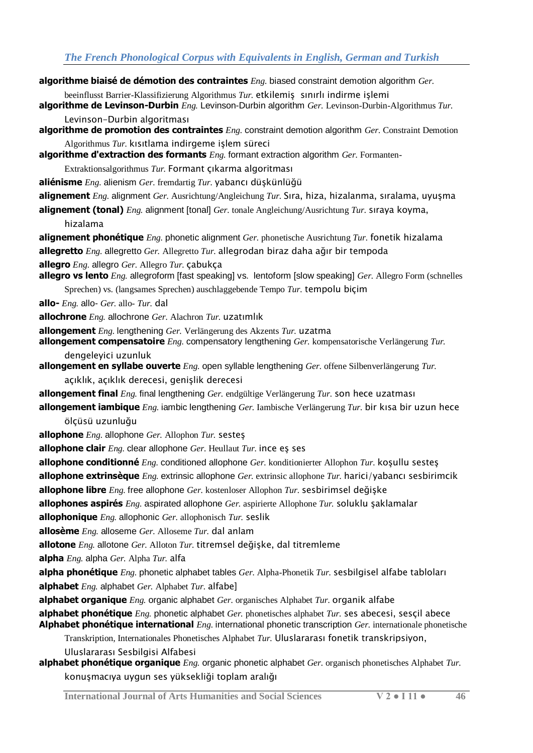- **algorithme biaisé de démotion des contraintes** *Eng.* biased constraint demotion algorithm *Ger.*
- beeinflusst Barrier-Klassifizierung Algorithmus *Tur.* etkilemiş sınırlı indirme işlemi
- **algorithme de Levinson-Durbin** *Eng.* Levinson-Durbin algorithm *Ger.* Levinson-Durbin-Algorithmus *Tur.*  Levinson-Durbin algoritması
- **algorithme de promotion des contraintes** *Eng.* constraint demotion algorithm *Ger.* Constraint Demotion Algorithmus *Tur.* kısıtlama indirgeme işlem süreci
- **algorithme d'extraction des formants** *Eng.* formant extraction algorithm *Ger.* Formanten-

Extraktionsalgorithmus *Tur.* Formant çıkarma algoritması

- **aliénisme** *Eng.* alienism *Ger.* fremdartig *Tur.* yabancı düşkünlüğü
- **alignement** *Eng.* alignment *Ger.* Ausrichtung/Angleichung *Tur.* Sıra, hiza, hizalanma, sıralama, uyuşma
- **alignement (tonal)** *Eng.* alignment [tonal] *Ger.* tonale Angleichung/Ausrichtung *Tur.* sıraya koyma, hizalama
- **alignement phonétique** *Eng.* phonetic alignment *Ger.* phonetische Ausrichtung *Tur.* fonetik hizalama **allegretto** *Eng.* allegretto *Ger.* Allegretto *Tur.* allegrodan biraz daha ağır bir tempoda
- **allegro** *Eng.* allegro *Ger.* Allegro *Tur.* çabukça
- **allegro vs lento** *Eng.* allegroform [fast speaking] vs. lentoform [slow speaking] *Ger.* Allegro Form (schnelles
	- Sprechen) vs. (langsames Sprechen) auschlaggebende Tempo *Tur.* tempolu biçim
- **allo-** *Eng.* allo- *Ger.* allo- *Tur.* dal
- **allochrone** *Eng.* allochrone *Ger.* Alachron *Tur.* uzatımlık
- **allongement** *Eng.* lengthening *Ger.* Verlängerung des Akzents *Tur.* uzatma
- **allongement compensatoire** *Eng.* compensatory lengthening *Ger.* kompensatorische Verlängerung *Tur.*  dengeleyici uzunluk
- **allongement en syllabe ouverte** *Eng.* open syllable lengthening *Ger.* offene Silbenverlängerung *Tur.* 
	- açıklık, açıklık derecesi, genişlik derecesi
- **allongement final** *Eng.* final lengthening *Ger.* endgültige Verlängerung *Tur.* son hece uzatması
- **allongement iambique** *Eng.* iambic lengthening *Ger.* Iambische Verlängerung *Tur.* bir kısa bir uzun hece ölçüsü uzunluğu
- **allophone** *Eng.* allophone *Ger.* Allophon *Tur.* sesteş
- **allophone clair** *Eng.* clear allophone *Ger.* Heullaut *Tur.* ince eş ses
- **allophone conditionné** *Eng.* conditioned allophone *Ger.* konditionierter Allophon *Tur.* koşullu sesteş
- **allophone extrinsèque** *Eng.* extrinsic allophone *Ger.* extrinsic allophone *Tur.* harici/yabancı sesbirimcik
- **allophone libre** *Eng.* free allophone *Ger.* kostenloser Allophon *Tur.* sesbirimsel değişke
- **allophones aspirés** *Eng.* aspirated allophone *Ger.* aspirierte Allophone *Tur.* soluklu şaklamalar
- **allophonique** *Eng.* allophonic *Ger.* allophonisch *Tur.* seslik
- **allosème** *Eng.* alloseme *Ger.* Alloseme *Tur.* dal anlam
- **allotone** *Eng.* allotone *Ger.* Alloton *Tur.* titremsel değişke, dal titremleme
- **alpha** *Eng.* alpha *Ger.* Alpha *Tur.* alfa
- **alpha phonétique** *Eng.* phonetic alphabet tables *Ger.* Alpha-Phonetik *Tur.* sesbilgisel alfabe tabloları **alphabet** *Eng.* alphabet *Ger.* Alphabet *Tur.* alfabe]
- **alphabet organique** *Eng.* organic alphabet *Ger.* organisches Alphabet *Tur.* organik alfabe
- **alphabet phonétique** *Eng.* phonetic alphabet *Ger.* phonetisches alphabet *Tur.* ses abecesi, sesçil abece **Alphabet phonétique international** *Eng.* international phonetic transcription *Ger.* internationale phonetische
	- Transkription, Internationales Phonetisches Alphabet *Tur.* Uluslararası fonetik transkripsiyon, Uluslararası Sesbilgisi Alfabesi
- **alphabet phonétique organique** *Eng.* organic phonetic alphabet *Ger.* organisch phonetisches Alphabet *Tur.*  konuşmacıya uygun ses yüksekliği toplam aralığı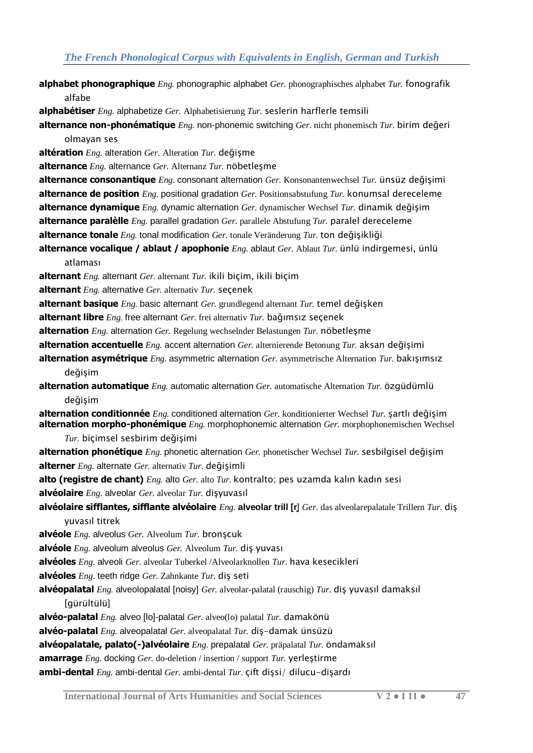**alphabet phonographique** *Eng.* phonographic alphabet *Ger.* phonographisches alphabet *Tur.* fonografik alfabe

**alphabétiser** *Eng.* alphabetize *Ger.* Alphabetisierung *Tur.* seslerin harflerle temsili

**alternance non-phonématique** *Eng.* non-phonemic switching *Ger.* nicht phonemisch *Tur.* birim değeri olmayan ses

**altération** *Eng.* alteration *Ger.* Alteration *Tur.* değişme

**alternance** *Eng.* alternance *Ger.* Alternanz *Tur.* nöbetleşme

**alternance consonantique** *Eng.* consonant alternation *Ger.* Konsonantenwechsel *Tur.* ünsüz değişimi **alternance de position** *Eng.* positional gradation *Ger.* Positionsabstufung *Tur.* konumsal dereceleme **alternance dynamique** *Eng.* dynamic alternation *Ger.* dynamischer Wechsel *Tur.* dinamik değişim

**alternance paralèlle** *Eng.* parallel gradation *Ger.* parallele Abstufung *Tur.* paralel dereceleme

**alternance tonale** *Eng.* tonal modification *Ger.* tonale Veränderung *Tur.* ton değişikliği

**alternance vocalique / ablaut / apophonie** *Eng.* ablaut *Ger.* Ablaut *Tur.* ünlü indirgemesi, ünlü atlaması

**alternant** *Eng.* alternant *Ger.* alternant *Tur.* ikili biçim, ikili biçim

**alternant** *Eng.* alternative *Ger.* alternativ *Tur.* seçenek

**alternant basique** *Eng.* basic alternant *Ger.* grundlegend alternant *Tur.* temel değişken

**alternant libre** *Eng.* free alternant *Ger.* frei alternativ *Tur.* bağımsız seçenek

**alternation** *Eng.* alternation *Ger.* Regelung wechselnder Belastungen *Tur.* nöbetleşme

**alternation accentuelle** *Eng.* accent alternation *Ger.* alternierende Betonung *Tur.* aksan değişimi

**alternation asymétrique** *Eng.* asymmetric alternation *Ger.* asymmetrische Alternation *Tur.* bakışımsız değişim

**alternation automatique** *Eng.* automatic alternation *Ger.* automatische Alternation *Tur.* özgüdümlü değişim

**alternation conditionnée** *Eng.* conditioned alternation *Ger.* konditionierter Wechsel *Tur.* şartlı değişim **alternation morpho-phonémique** *Eng.* morphophonemic alternation *Ger.* morphophonemischen Wechsel

- *Tur.* biçimsel sesbirim değişimi
- **alternation phonétique** *Eng.* phonetic alternation *Ger.* phonetischer Wechsel *Tur.* sesbilgisel değişim **alterner** *Eng.* alternate *Ger.* alternativ *Tur.* değişimli

**alto (registre de chant)** *Eng.* alto *Ger.* alto *Tur.* kontralto; pes uzamda kalın kadın sesi **alvéolaire** *Eng.* alveolar *Ger.* alveolar *Tur.* dişyuvasıl

**alvéolaire sifflantes, sifflante alvéolaire** *Eng.* **alveolar trill [r̥**] *Ger.* das alveolarepalatale Trillern *Tur.* diş yuvasıl titrek

**alvéole** *Eng.* alveolus *Ger.* Alveolum *Tur.* bronşcuk

**alvéole** *Eng.* alveolum alveolus *Ger.* Alveolum *Tur.* diş yuvası

**alvéoles** *Eng.* alveoli *Ger.* alveolar Tuberkel /Alveolarknollen *Tur.* hava kesecikleri

**alvéoles** *Eng.* teeth ridge *Ger.* Zahnkante *Tur.* diş seti

**alvéopalatal** *Eng.* alveolopalatal [noisy] *Ger.* alveolar-palatal (rauschig) *Tur.* diş yuvasıl damaksıl [gürültülü]

**alvéo-palatal** *Eng.* alveo [lo]-palatal *Ger.* alveo(lo) palatal *Tur.* damakönü

**alvéo-palatal** *Eng.* alveopalatal *Ger.* alveopalatal *Tur.* diş-damak ünsüzü

**alvéopalatale, palato(-)alvéolaire** *Eng.* prepalatal *Ger.* präpalatal *Tur.* öndamaksıl

**amarrage** *Eng.* docking *Ger.* do-deletion / insertion / support *Tur.* yerleştirme

**ambi-dental** *Eng.* ambi-dental *Ger.* ambi-dental *Tur.* çift dişsi/ dilucu-dişardı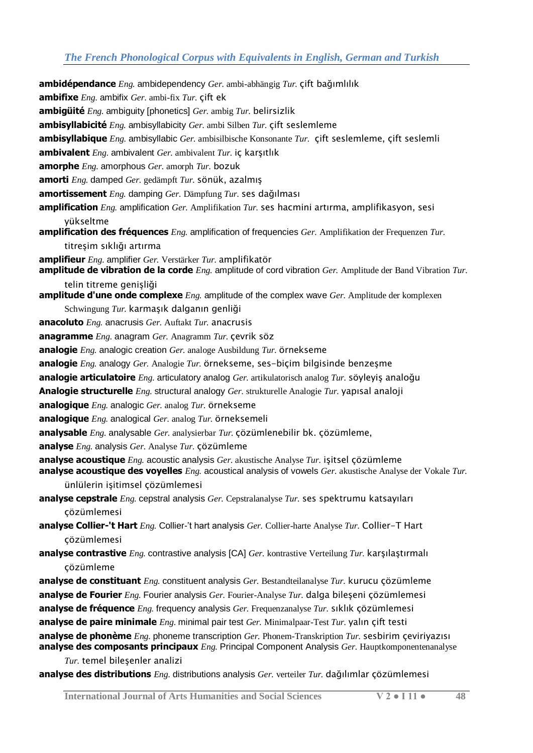**ambidépendance** *Eng.* ambidependency *Ger.* ambi-abhängig *Tur.* çift bağımlılık **ambifixe** *Eng.* ambifix *Ger.* ambi-fix *Tur.* çift ek **ambigüité** *Eng.* ambiguity [phonetics] *Ger.* ambig *Tur.* belirsizlik **ambisyllabicité** *Eng.* ambisyllabicity *Ger.* ambi Silben *Tur.* çift seslemleme **ambisyllabique** *Eng.* ambisyllabic *Ger.* ambisilbische Konsonante *Tur.* çift seslemleme, çift seslemli **ambivalent** *Eng.* ambivalent *Ger.* ambivalent *Tur.* iç karşıtlık **amorphe** *Eng.* amorphous *Ger.* amorph *Tur.* bozuk **amorti** *Eng.* damped *Ger.* gedämpft *Tur.* sönük, azalmış **amortissement** *Eng.* damping *Ger.* Dämpfung *Tur.* ses dağılması **amplification** *Eng.* amplification *Ger.* Amplifikation *Tur.* ses hacmini artırma, amplifikasyon, sesi yükseltme **amplification des fréquences** *Eng.* amplification of frequencies *Ger.* Amplifikation der Frequenzen *Tur.*  titreşim sıklığı artırma **amplifieur** *Eng.* amplifier *Ger.* Verstärker *Tur.* amplifikatör **amplitude de vibration de la corde** *Eng.* amplitude of cord vibration *Ger.* Amplitude der Band Vibration *Tur.*  telin titreme genişliği **amplitude d'une onde complexe** *Eng.* amplitude of the complex wave *Ger.* Amplitude der komplexen Schwingung *Tur.* karmaşık dalganın genliği **anacoluto** *Eng.* anacrusis *Ger.* Auftakt *Tur.* anacrusis **anagramme** *Eng.* anagram *Ger.* Anagramm *Tur.* çevrik söz **analogie** *Eng.* analogic creation *Ger.* analoge Ausbildung *Tur.* örnekseme **analogie** *Eng.* analogy *Ger.* Analogie *Tur.* örnekseme, ses-biçim bilgisinde benzeşme **analogie articulatoire** *Eng.* articulatory analog *Ger.* artikulatorisch analog *Tur.* söyleyiş analoğu **Analogie structurelle** *Eng.* structural analogy *Ger.* strukturelle Analogie *Tur.* yapısal analoji **analogique** *Eng.* analogic *Ger.* analog *Tur.* örnekseme **analogique** *Eng.* analogical *Ger.* analog *Tur.* örneksemeli **analysable** *Eng.* analysable *Ger.* analysierbar *Tur.* çözümlenebilir bk. çözümleme, **analyse** *Eng.* analysis *Ger.* Analyse *Tur.* çözümleme **analyse acoustique** *Eng.* acoustic analysis *Ger.* akustische Analyse *Tur.* işitsel çözümleme **analyse acoustique des voyelles** *Eng.* acoustical analysis of vowels *Ger.* akustische Analyse der Vokale *Tur.*  ünlülerin işitimsel çözümlemesi **analyse cepstrale** *Eng.* cepstral analysis *Ger.* Cepstralanalyse *Tur.* ses spektrumu katsayıları çözümlemesi **analyse Collier-'t Hart** *Eng.* Collier-'t hart analysis *Ger.* Collier-harte Analyse *Tur.* Collier-T Hart çözümlemesi **analyse contrastive** *Eng.* contrastive analysis [CA] *Ger.* kontrastive Verteilung *Tur.* karşılaştırmalı çözümleme **analyse de constituant** *Eng.* constituent analysis *Ger.* Bestandteilanalyse *Tur.* kurucu çözümleme **analyse de Fourier** *Eng.* Fourier analysis *Ger.* Fourier-Analyse *Tur.* dalga bileşeni çözümlemesi **analyse de fréquence** *Eng.* frequency analysis *Ger.* Frequenzanalyse *Tur.* sıklık çözümlemesi **analyse de paire minimale** *Eng.* minimal pair test *Ger.* Minimalpaar-Test *Tur.* yalın çift testi **analyse de phonème** *Eng.* phoneme transcription *Ger.* Phonem-Transkription *Tur.* sesbirim çeviriyazısı **analyse des composants principaux** *Eng.* Principal Component Analysis *Ger.* Hauptkomponentenanalyse *Tur.* temel bileşenler analizi

**analyse des distributions** *Eng.* distributions analysis *Ger.* verteiler *Tur.* dağılımlar çözümlemesi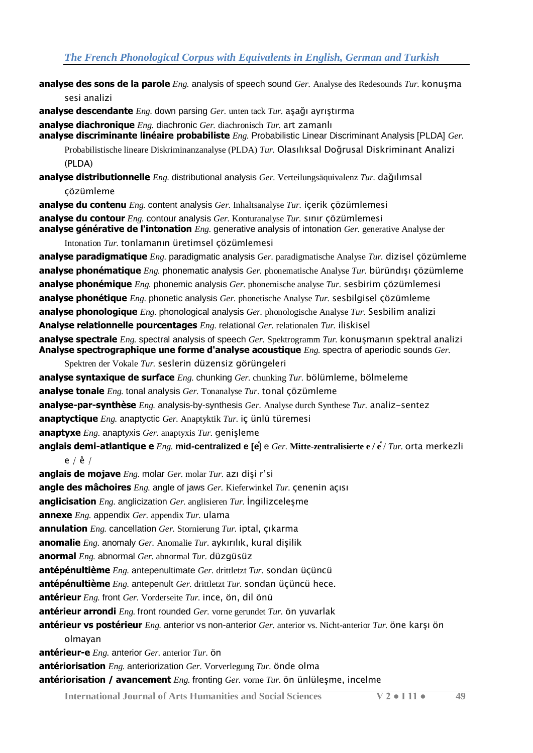**analyse des sons de la parole** *Eng.* analysis of speech sound *Ger.* Analyse des Redesounds *Tur.* konuşma

sesi analizi

**analyse descendante** *Eng.* down parsing *Ger.* unten tack *Tur.* aşağı ayrıştırma

**analyse diachronique** *Eng.* diachronic *Ger.* diachronisch *Tur.* art zamanlı **analyse discriminante linéaire probabiliste** *Eng.* Probabilistic Linear Discriminant Analysis [PLDA] *Ger.*

Probabilistische lineare Diskriminanzanalyse (PLDA) *Tur.* Olasılıksal Doğrusal Diskriminant Analizi  $(PI DA)$ 

**analyse distributionnelle** *Eng.* distributional analysis *Ger.* Verteilungsäquivalenz *Tur.* dağılımsal çözümleme

**analyse du contenu** *Eng.* content analysis *Ger.* Inhaltsanalyse *Tur.* içerik çözümlemesi **analyse du contour** *Eng.* contour analysis *Ger.* Konturanalyse *Tur.* sınır çözümlemesi **analyse générative de l'intonation** *Eng.* generative analysis of intonation *Ger.* generative Analyse der

Intonation *Tur.* tonlamanın üretimsel çözümlemesi

**analyse paradigmatique** *Eng.* paradigmatic analysis *Ger.* paradigmatische Analyse *Tur.* dizisel çözümleme **analyse phonématique** *Eng.* phonematic analysis *Ger.* phonematische Analyse *Tur.* büründışı çözümleme **analyse phonémique** *Eng.* phonemic analysis *Ger.* phonemische analyse *Tur.* sesbirim çözümlemesi **analyse phonétique** *Eng.* phonetic analysis *Ger.* phonetische Analyse *Tur.* sesbilgisel çözümleme **analyse phonologique** *Eng.* phonological analysis *Ger.* phonologische Analyse *Tur.* Sesbilim analizi **Analyse relationnelle pourcentages** *Eng.* relational *Ger.* relationalen *Tur.* iliskisel **analyse spectrale** *Eng.* spectral analysis of speech *Ger.* Spektrogramm *Tur.* konuşmanın spektral analizi **Analyse spectrographique une forme d'analyse acoustique** *Eng.* spectra of aperiodic sounds *Ger.* 

Spektren der Vokale *Tur.* seslerin düzensiz görüngeleri

**analyse syntaxique de surface** *Eng.* chunking *Ger.* chunking *Tur.* bölümleme, bölmeleme

**analyse tonale** *Eng.* tonal analysis *Ger.* Tonanalyse *Tur.* tonal çözümleme

**analyse-par-synthèse** *Eng.* analysis-by-synthesis *Ger.* Analyse durch Synthese *Tur.* analiz-sentez

**anaptyctique** *Eng.* anaptyctic *Ger.* Anaptyktik *Tur.* iç ünlü türemesi

**anaptyxe** *Eng.* anaptyxis *Ger.* anaptyxis *Tur.* genişleme

**anglais demi-atlantique e** *Eng.* **mid-centralized e [e̽**] e *Ger.* **Mitte-zentralisierte e / e̽**/ *Tur.* orta merkezli e /  $\check{e}$  /

**anglais de mojave** *Eng.* molar *Ger.* molar *Tur.* azı dişi r'si

**angle des mâchoires** *Eng.* angle of jaws *Ger.* Kieferwinkel *Tur.* çenenin açısı

**anglicisation** *Eng.* anglicization *Ger.* anglisieren *Tur.* İngilizceleşme

**annexe** *Eng.* appendix *Ger.* appendix *Tur.* ulama

**annulation** *Eng.* cancellation *Ger.* Stornierung *Tur.* iptal, çıkarma

**anomalie** *Eng.* anomaly *Ger.* Anomalie *Tur.* aykırılık, kural dişilik

**anormal** *Eng.* abnormal *Ger.* abnormal *Tur.* düzgüsüz

**antépénultième** *Eng.* antepenultimate *Ger.* drittletzt *Tur.* sondan üçüncü

**antépénultième** *Eng.* antepenult *Ger.* drittletzt *Tur.* sondan üçüncü hece.

**antérieur** *Eng.* front *Ger.* Vorderseite *Tur.* ince, ön, dil önü

**antérieur arrondi** *Eng.* front rounded *Ger.* vorne gerundet *Tur.* ön yuvarlak

**antérieur vs postérieur** *Eng.* anterior vs non-anterior *Ger.* anterior vs. Nicht-anterior *Tur.* öne karşı ön

olmayan

**antérieur-e** *Eng.* anterior *Ger.* anterior *Tur.* ön

**antériorisation** *Eng.* anteriorization *Ger.* Vorverlegung *Tur.* önde olma

**antériorisation / avancement** *Eng.* fronting *Ger.* vorne *Tur.* ön ünlüleşme, incelme

**International Journal of Arts Humanities and Social Sciences V 2 ● I 11 ● 49**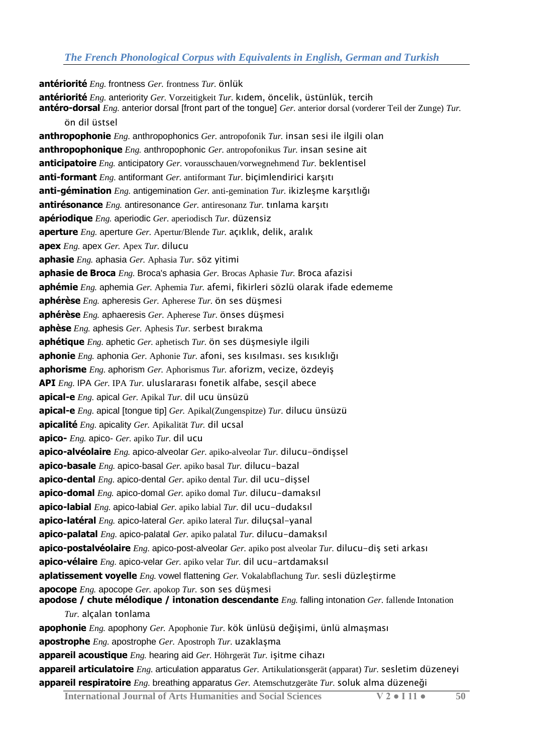**antériorité** *Eng.* frontness *Ger.* frontness *Tur.* önlük **antériorité** *Eng.* anteriority *Ger.* Vorzeitigkeit *Tur.* kıdem, öncelik, üstünlük, tercih **antéro-dorsal** *Eng.* anterior dorsal [front part of the tongue] *Ger.* anterior dorsal (vorderer Teil der Zunge) *Tur.*  ön dil üstsel **anthropophonie** *Eng.* anthropophonics *Ger.* antropofonik *Tur.* insan sesi ile ilgili olan **anthropophonique** *Eng.* anthropophonic *Ger.* antropofonikus *Tur.* insan sesine ait **anticipatoire** *Eng.* anticipatory *Ger.* vorausschauen/vorwegnehmend *Tur.* beklentisel **anti-formant** *Eng.* antiformant *Ger.* antiformant *Tur.* biçimlendirici karşıtı **anti-gémination** *Eng.* antigemination *Ger.* anti-gemination *Tur.* ikizleşme karşıtlığı **antirésonance** *Eng.* antiresonance *Ger.* antiresonanz *Tur.* tınlama karşıtı **apériodique** *Eng.* aperiodic *Ger.* aperiodisch *Tur.* düzensiz **aperture** *Eng.* aperture *Ger.* Apertur/Blende *Tur.* açıklık, delik, aralık **apex** *Eng.* apex *Ger.* Apex *Tur.* dilucu **aphasie** *Eng.* aphasia *Ger.* Aphasia *Tur.* söz yitimi **aphasie de Broca** *Eng.* Broca's aphasia *Ger.* Brocas Aphasie *Tur.* Broca afazisi **aphémie** *Eng.* aphemia *Ger.* Aphemia *Tur.* afemi, fikirleri sözlü olarak ifade edememe **aphérèse** *Eng.* apheresis *Ger.* Apherese *Tur.* ön ses düşmesi **aphérèse** *Eng.* aphaeresis *Ger.* Apherese *Tur.* önses düşmesi **aphèse** *Eng.* aphesis *Ger.* Aphesis *Tur.* serbest bırakma **aphétique** *Eng.* aphetic *Ger.* aphetisch *Tur.* ön ses düşmesiyle ilgili **aphonie** *Eng.* aphonia *Ger.* Aphonie *Tur.* afoni, ses kısılması. ses kısıklığı **aphorisme** *Eng.* aphorism *Ger.* Aphorismus *Tur.* aforizm, vecize, özdeyiş **API** *Eng.* IPA *Ger.* IPA *Tur.* uluslararası fonetik alfabe, sesçil abece **apical-e** *Eng.* apical *Ger.* Apikal *Tur.* dil ucu ünsüzü **apical-e** *Eng.* apical [tongue tip] *Ger.* Apikal(Zungenspitze) *Tur.* dilucu ünsüzü **apicalité** *Eng.* apicality *Ger.* Apikalität *Tur.* dil ucsal **apico-** *Eng.* apico- *Ger.* apiko *Tur.* dil ucu **apico-alvéolaire** *Eng.* apico-alveolar *Ger.* apiko-alveolar *Tur.* dilucu-öndişsel **apico-basale** *Eng.* apico-basal *Ger.* apiko basal *Tur.* dilucu-bazal **apico-dental** *Eng.* apico-dental *Ger.* apiko dental *Tur.* dil ucu-dişsel **apico-domal** *Eng.* apico-domal *Ger.* apiko domal *Tur.* dilucu-damaksıl **apico-labial** *Eng.* apico-labial *Ger.* apiko labial *Tur.* dil ucu-dudaksıl **apico-latéral** *Eng.* apico-lateral *Ger.* apiko lateral *Tur.* diluçsal-yanal **apico-palatal** *Eng.* apico-palatal *Ger.* apiko palatal *Tur.* dilucu-damaksıl **apico-postalvéolaire** *Eng.* apico-post-alveolar *Ger.* apiko post alveolar *Tur.* dilucu-diş seti arkası **apico-vélaire** *Eng.* apico-velar *Ger.* apiko velar *Tur.* dil ucu-artdamaksıl **aplatissement voyelle** *Eng.* vowel flattening *Ger.* Vokalabflachung *Tur.* sesli düzleştirme **apocope** *Eng.* apocope *Ger.* apokop *Tur.* son ses düşmesi **apodose / chute mélodique / intonation descendante** *Eng.* falling intonation *Ger.* fallende Intonation *Tur.* alçalan tonlama **apophonie** *Eng.* apophony *Ger.* Apophonie *Tur.* kök ünlüsü değişimi, ünlü almaşması **apostrophe** *Eng.* apostrophe *Ger.* Apostroph *Tur.* uzaklaşma **appareil acoustique** *Eng.* hearing aid *Ger.* Höhrgerät *Tur.* işitme cihazı **appareil articulatoire** *Eng.* articulation apparatus *Ger.* Artikulationsgerät (apparat) *Tur.* sesletim düzeneyi **appareil respiratoire** *Eng.* breathing apparatus *Ger.* Atemschutzgeräte *Tur.* soluk alma düzeneği

**International Journal of Arts Humanities and Social Sciences V 2 ● I 11 ● 50**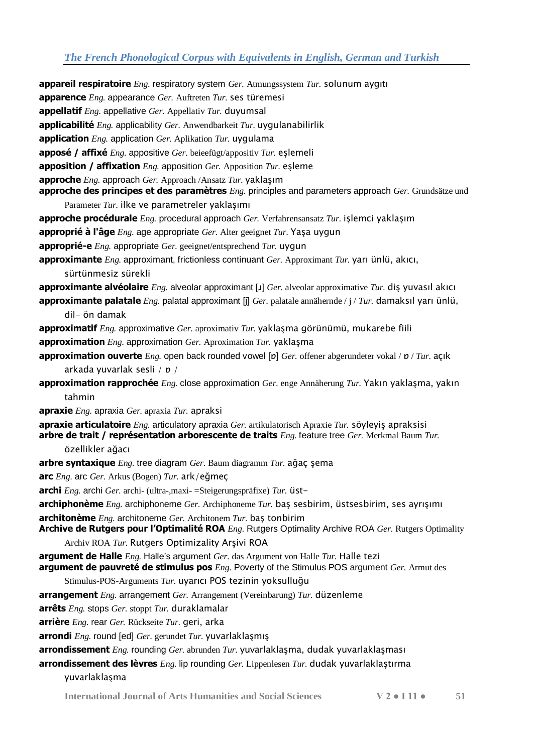**appareil respiratoire** *Eng.* respiratory system *Ger.* Atmungssystem *Tur.* solunum aygıtı **apparence** *Eng.* appearance *Ger.* Auftreten *Tur.* ses türemesi **appellatif** *Eng.* appellative *Ger.* Appellativ *Tur.* duyumsal **applicabilité** *Eng.* applicability *Ger.* Anwendbarkeit *Tur.* uygulanabilirlik **application** *Eng.* application *Ger.* Aplikation *Tur.* uygulama **apposé / affixé** *Eng.* appositive *Ger.* beieefügt/appositiv *Tur.* eşlemeli **apposition / affixation** *Eng.* apposition *Ger.* Apposition *Tur.* eşleme **approche** *Eng.* approach *Ger.* Approach /Ansatz *Tur.* yaklaşım **approche des principes et des paramètres** *Eng.* principles and parameters approach *Ger.* Grundsätze und Parameter *Tur.* ilke ve parametreler yaklaşımı **approche procédurale** *Eng.* procedural approach *Ger.* Verfahrensansatz *Tur.* işlemci yaklaşım **approprié à l'âge** *Eng.* age appropriate *Ger.* Alter geeignet *Tur.* Yaşa uygun **approprié-e** *Eng.* appropriate *Ger.* geeignet/entsprechend *Tur.* uygun **approximante** *Eng.* approximant, frictionless continuant *Ger.* Approximant *Tur.* yarı ünlü, akıcı, sürtünmesiz sürekli **approximante alvéolaire** *Eng.* alveolar approximant [ɹ] *Ger.* alveolar approximative *Tur.* diş yuvasıl akıcı **approximante palatale** *Eng.* palatal approximant [j] *Ger.* palatale annähernde / j / *Tur.* damaksıl yarı ünlü, dil- ön damak **approximatif** *Eng.* approximative *Ger.* aproximativ *Tur.* yaklaşma görünümü, mukarebe fiili **approximation** *Eng.* approximation *Ger.* Aproximation *Tur.* yaklaşma **approximation ouverte** *Eng.* open back rounded vowel [ɒ] *Ger.* offener abgerundeter vokal / ɒ / *Tur.* açık arkada yuvarlak sesli / ɒ / **approximation rapprochée** *Eng.* close approximation *Ger.* enge Annäherung *Tur.* Yakın yaklaşma, yakın tahmin **apraxie** *Eng.* apraxia *Ger.* apraxia *Tur.* apraksi **apraxie articulatoire** *Eng.* articulatory apraxia *Ger.* artikulatorisch Apraxie *Tur.* söyleyiş apraksisi **arbre de trait / représentation arborescente de traits** *Eng.* feature tree *Ger.* Merkmal Baum *Tur.*  özellikler ağacı **arbre syntaxique** *Eng.* tree diagram *Ger.* Baum diagramm *Tur.* ağaç şema **arc** *Eng.* arc *Ger.* Arkus (Bogen) *Tur.* ark/eğmeç **archi** *Eng.* archi *Ger.* archi- (ultra-,maxi- =Steigerungspräfixe) *Tur.* üst**archiphonème** *Eng.* archiphoneme *Ger.* Archiphoneme *Tur.* baş sesbirim, üstsesbirim, ses ayrışımı **architonème** *Eng.* architoneme *Ger.* Architonem *Tur.* baş tonbirim **Archive de Rutgers pour l'Optimalité ROA** *Eng.* Rutgers Optimality Archive ROA *Ger.* Rutgers Optimality Archiv ROA *Tur.* Rutgers Optimizality Arşivi ROA **argument de Halle** *Eng.* Halle's argument *Ger.* das Argument von Halle *Tur.* Halle tezi **argument de pauvreté de stimulus pos** *Eng.* Poverty of the Stimulus POS argument *Ger.* Armut des Stimulus-POS-Arguments *Tur.* uyarıcı POS tezinin yoksulluğu **arrangement** *Eng.* arrangement *Ger.* Arrangement (Vereinbarung) *Tur.* düzenleme **arrêts** *Eng.* stops *Ger.* stoppt *Tur.* duraklamalar **arrière** *Eng.* rear *Ger.* Rückseite *Tur.* geri, arka **arrondi** *Eng.* round [ed] *Ger.* gerundet *Tur.* yuvarlaklaşmış **arrondissement** *Eng.* rounding *Ger.* abrunden *Tur.* yuvarlaklaşma, dudak yuvarlaklaşması

**arrondissement des lèvres** *Eng.* lip rounding *Ger.* Lippenlesen *Tur.* dudak yuvarlaklaştırma yuvarlaklaşma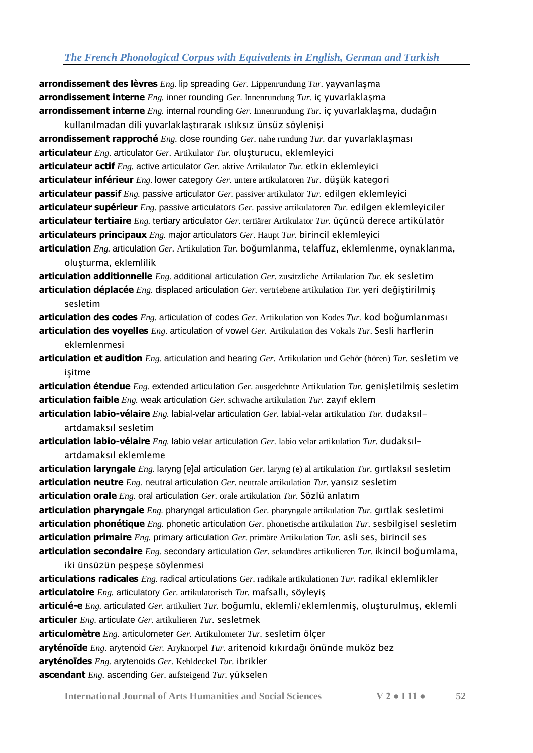**arrondissement des lèvres** *Eng.* lip spreading *Ger.* Lippenrundung *Tur.* yayvanlaşma **arrondissement interne** *Eng.* inner rounding *Ger.* Innenrundung *Tur.* iç yuvarlaklaşma **arrondissement interne** *Eng.* internal rounding *Ger.* Innenrundung *Tur.* iç yuvarlaklaşma, dudağın

kullanılmadan dili yuvarlaklaştırarak ıslıksız ünsüz söylenişi **arrondissement rapproché** *Eng.* close rounding *Ger.* nahe rundung *Tur.* dar yuvarlaklaşması **articulateur** *Eng.* articulator *Ger.* Artikulator *Tur.* oluşturucu, eklemleyici **articulateur actif** *Eng.* active articulator *Ger.* aktive Artikulator *Tur.* etkin eklemleyici **articulateur inférieur** *Eng.* lower category *Ger.* untere artikulatoren *Tur.* düşük kategori **articulateur passif** *Eng.* passive articulator *Ger.* passiver artikulator *Tur.* edilgen eklemleyici **articulateur supérieur** *Eng.* passive articulators *Ger.* passive artikulatoren *Tur.* edilgen eklemleyiciler **articulateur tertiaire** *Eng.* tertiary articulator *Ger.* tertiärer Artikulator *Tur.* üçüncü derece artikülatör **articulateurs principaux** *Eng.* major articulators *Ger.* Haupt *Tur.* birincil eklemleyici **articulation** *Eng.* articulation *Ger.* Artikulation *Tur.* boğumlanma, telaffuz, eklemlenme, oynaklanma,

oluşturma, eklemlilik

**articulation additionnelle** *Eng.* additional articulation *Ger.* zusätzliche Artikulation *Tur.* ek sesletim **articulation déplacée** *Eng.* displaced articulation *Ger.* vertriebene artikulation *Tur.* yeri değiştirilmiş sesletim

**articulation des codes** *Eng.* articulation of codes *Ger.* Artikulation von Kodes *Tur.* kod boğumlanması **articulation des voyelles** *Eng.* articulation of vowel *Ger.* Artikulation des Vokals *Tur.* Sesli harflerin eklemlenmesi

**articulation et audition** *Eng.* articulation and hearing *Ger.* Artikulation und Gehör (hören) *Tur.* sesletim ve işitme

**articulation étendue** *Eng.* extended articulation *Ger.* ausgedehnte Artikulation *Tur.* genişletilmiş sesletim **articulation faible** *Eng.* weak articulation *Ger.* schwache artikulation *Tur.* zayıf eklem

**articulation labio-vélaire** *Eng.* labial-velar articulation *Ger.* labial-velar artikulation *Tur.* dudaksılartdamaksıl sesletim

**articulation labio-vélaire** *Eng.* labio velar articulation *Ger.* labio velar artikulation *Tur.* dudaksılartdamaksıl eklemleme

**articulation laryngale** *Eng.* laryng [e]al articulation *Ger.* laryng (e) al artikulation *Tur.* gırtlaksıl sesletim **articulation neutre** *Eng.* neutral articulation *Ger.* neutrale artikulation *Tur.* yansız sesletim

**articulation orale** *Eng.* oral articulation *Ger.* orale artikulation *Tur.* Sözlü anlatım

**articulation pharyngale** *Eng.* pharyngal articulation *Ger.* pharyngale artikulation *Tur.* gırtlak sesletimi **articulation phonétique** *Eng.* phonetic articulation *Ger.* phonetische artikulation *Tur.* sesbilgisel sesletim **articulation primaire** *Eng.* primary articulation *Ger.* primäre Artikulation *Tur.* asli ses, birincil ses **articulation secondaire** *Eng.* secondary articulation *Ger.* sekundäres artikulieren *Tur.* ikincil boğumlama,

iki ünsüzün peşpeşe söylenmesi

**articulations radicales** *Eng.* radical articulations *Ger.* radikale artikulationen *Tur.* radikal eklemlikler **articulatoire** *Eng.* articulatory *Ger.* artikulatorisch *Tur.* mafsallı, söyleyiş

**articulé-e** *Eng.* articulated *Ger.* artikuliert *Tur.* boğumlu, eklemli/eklemlenmiş, oluşturulmuş, eklemli **articuler** *Eng.* articulate *Ger.* artikulieren *Tur.* sesletmek

**articulomètre** *Eng.* articulometer *Ger.* Artikulometer *Tur.* sesletim ölçer

**aryténoïde** *Eng.* arytenoid *Ger.* Aryknorpel *Tur.* aritenoid kıkırdağı önünde muköz bez

**aryténoïdes** *Eng.* arytenoids *Ger.* Kehldeckel *Tur.* ibrikler

**ascendant** *Eng.* ascending *Ger.* aufsteigend *Tur.* yükselen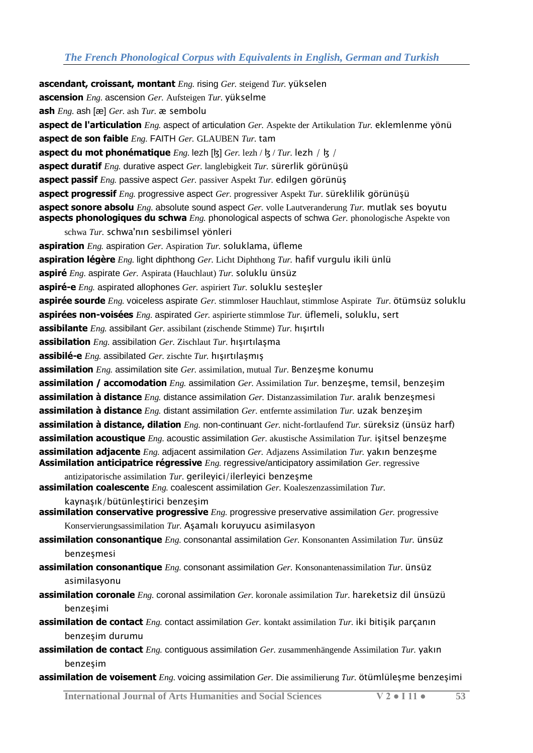**ascendant, croissant, montant** *Eng.* rising *Ger.* steigend *Tur.* yükselen **ascension** *Eng.* ascension *Ger.* Aufsteigen *Tur.* yükselme **ash** *Eng.* ash [æ] *Ger.* ash *Tur.* æ sembolu **aspect de l'articulation** *Eng.* aspect of articulation *Ger.* Aspekte der Artikulation *Tur.* eklemlenme yönü **aspect de son faible** *Eng.* FAITH *Ger.* GLAUBEN *Tur.* tam **aspect du mot phonématique** *Eng.* lezh [ɮ] *Ger.* lezh / ɮ / *Tur.* lezh / ɮ / **aspect duratif** *Eng.* durative aspect *Ger.* langlebigkeit *Tur.* sürerlik görünüşü **aspect passif** *Eng.* passive aspect *Ger.* passiver Aspekt *Tur.* edilgen görünüş **aspect progressif** *Eng.* progressive aspect *Ger.* progressiver Aspekt *Tur.* süreklilik görünüşü **aspect sonore absolu** *Eng.* absolute sound aspect *Ger.* volle Lautveranderung *Tur.* mutlak ses boyutu **aspects phonologiques du schwa** *Eng.* phonological aspects of schwa *Ger.* phonologische Aspekte von schwa *Tur.* schwa'nın sesbilimsel yönleri **aspiration** *Eng.* aspiration *Ger.* Aspiration *Tur.* soluklama, üfleme **aspiration légère** *Eng.* light diphthong *Ger.* Licht Diphthong *Tur.* hafif vurgulu ikili ünlü **aspiré** *Eng.* aspirate *Ger.* Aspirata (Hauchlaut) *Tur.* soluklu ünsüz **aspiré-e** *Eng.* aspirated allophones *Ger.* aspiriert *Tur.* soluklu sesteşler **aspirée sourde** *Eng.* voiceless aspirate *Ger.* stimmloser Hauchlaut, stimmlose Aspirate *Tur.* ötümsüz soluklu **aspirées non-voisées** *Eng.* aspirated *Ger.* aspirierte stimmlose *Tur.* üflemeli, soluklu, sert **assibilante** *Eng.* assibilant *Ger.* assibilant (zischende Stimme) *Tur.* hışırtılı **assibilation** *Eng.* assibilation *Ger.* Zischlaut *Tur.* hışırtılaşma **assibilé-e** *Eng.* assibilated *Ger.* zischte *Tur.* hışırtılaşmış **assimilation** *Eng.* assimilation site *Ger.* assimilation, mutual *Tur.* Benzesme konumu **assimilation / accomodation** *Eng.* assimilation *Ger.* Assimilation *Tur.* benzeşme, temsil, benzeşim **assimilation à distance** *Eng.* distance assimilation *Ger.* Distanzassimilation *Tur.* aralık benzeşmesi **assimilation à distance** *Eng.* distant assimilation *Ger.* entfernte assimilation *Tur.* uzak benzeşim **assimilation à distance, dilation** *Eng.* non-continuant *Ger.* nicht-fortlaufend *Tur.* süreksiz (ünsüz harf) **assimilation acoustique** *Eng.* acoustic assimilation *Ger.* akustische Assimilation *Tur.* işitsel benzeşme **assimilation adjacente** *Eng.* adjacent assimilation *Ger.* Adjazens Assimilation *Tur.* yakın benzeşme **Assimilation anticipatrice régressive** *Eng.* regressive/anticipatory assimilation *Ger.* regressive antizipatorische assimilation *Tur.* gerileyici/ilerleyici benzeşme **assimilation coalescente** *Eng.* coalescent assimilation *Ger.* Koaleszenzassimilation *Tur.*  kaynaşık/bütünleştirici benzeşim **assimilation conservative progressive** *Eng.* progressive preservative assimilation *Ger.* progressive Konservierungsassimilation *Tur.* Aşamalı koruyucu asimilasyon **assimilation consonantique** *Eng.* consonantal assimilation *Ger.* Konsonanten Assimilation *Tur.* ünsüz benzeşmesi **assimilation consonantique** *Eng.* consonant assimilation *Ger.* Konsonantenassimilation *Tur.* ünsüz asimilasyonu **assimilation coronale** *Eng.* coronal assimilation *Ger.* koronale assimilation *Tur.* hareketsiz dil ünsüzü

- benzeşimi **assimilation de contact** *Eng.* contact assimilation *Ger.* kontakt assimilation *Tur.* iki bitişik parçanın
- **assimilation de contact** *Eng.* contiguous assimilation *Ger.* zusammenhängende Assimilation *Tur.* yakın benzeşim
- **assimilation de voisement** *Eng.* voicing assimilation *Ger.* Die assimilierung *Tur.* ötümlüleşme benzeşimi

**International Journal of Arts Humanities and Social Sciences V 2 ● I 11 ● 53**

benzeşim durumu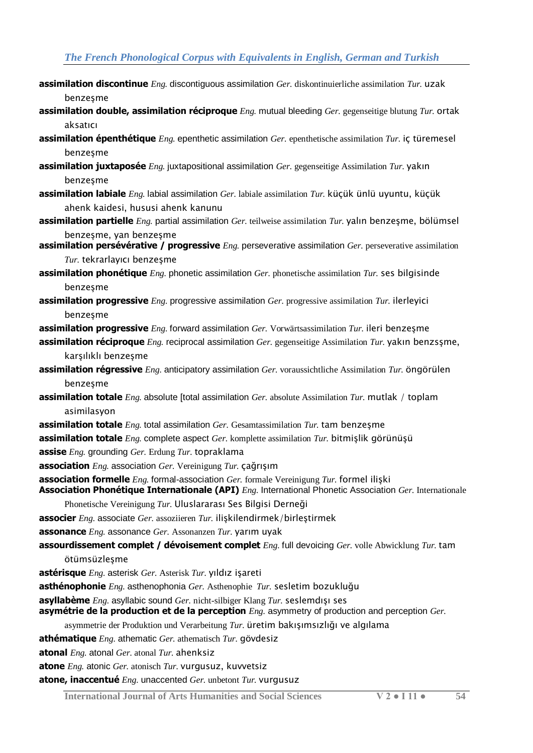- **assimilation discontinue** *Eng.* discontiguous assimilation *Ger.* diskontinuierliche assimilation *Tur.* uzak benzeşme
- **assimilation double, assimilation réciproque** *Eng.* mutual bleeding *Ger.* gegenseitige blutung *Tur.* ortak aksatıcı
- **assimilation épenthétique** *Eng.* epenthetic assimilation *Ger.* epenthetische assimilation *Tur.* iç türemesel benzeşme
- **assimilation juxtaposée** *Eng.* juxtapositional assimilation *Ger.* gegenseitige Assimilation *Tur.* yakın benzeşme
- **assimilation labiale** *Eng.* labial assimilation *Ger.* labiale assimilation *Tur.* küçük ünlü uyuntu, küçük ahenk kaidesi, hususi ahenk kanunu
- **assimilation partielle** *Eng.* partial assimilation *Ger.* teilweise assimilation *Tur.* yalın benzeşme, bölümsel benzeşme, yan benzeşme
- **assimilation persévérative / progressive** *Eng.* perseverative assimilation *Ger.* perseverative assimilation *Tur.* tekrarlayıcı benzeşme
- **assimilation phonétique** *Eng.* phonetic assimilation *Ger.* phonetische assimilation *Tur.* ses bilgisinde benzeşme
- **assimilation progressive** *Eng.* progressive assimilation *Ger.* progressive assimilation *Tur.* ilerleyici benzeşme
- **assimilation progressive** *Eng.* forward assimilation *Ger.* Vorwärtsassimilation *Tur.* ileri benzeşme
- **assimilation réciproque** *Eng.* reciprocal assimilation *Ger.* gegenseitige Assimilation *Tur.* yakın benzsşme, karşılıklı benzeşme
- **assimilation régressive** *Eng.* anticipatory assimilation *Ger.* voraussichtliche Assimilation *Tur.* öngörülen benzeşme
- **assimilation totale** *Eng.* absolute [total assimilation *Ger.* absolute Assimilation *Tur.* mutlak / toplam asimilasyon
- **assimilation totale** *Eng.* total assimilation *Ger.* Gesamtassimilation *Tur.* tam benzeşme
- **assimilation totale** *Eng.* complete aspect *Ger.* komplette assimilation *Tur.* bitmişlik görünüşü
- **assise** *Eng.* grounding *Ger.* Erdung *Tur.* topraklama
- **association** *Eng.* association *Ger.* Vereinigung *Tur.* çağrışım
- **association formelle** *Eng.* formal-association *Ger.* formale Vereinigung *Tur.* formel ilişki
- **Association Phonétique Internationale (API)** *Eng.* International Phonetic Association *Ger.* Internationale
	- Phonetische Vereinigung *Tur.* Uluslararası Ses Bilgisi Derneği
- **associer** *Eng.* associate *Ger.* assoziieren *Tur.* ilişkilendirmek/birleştirmek
- **assonance** *Eng.* assonance *Ger.* Assonanzen *Tur.* yarım uyak
- **assourdissement complet / dévoisement complet** *Eng.* full devoicing *Ger.* volle Abwicklung *Tur.* tam ötümsüzleşme
- **astérisque** *Eng.* asterisk *Ger.* Asterisk *Tur.* yıldız işareti
- **asthénophonie** *Eng.* asthenophonia *Ger.* Asthenophie *Tur.* sesletim bozukluğu
- **asyllabème** *Eng.* asyllabic sound *Ger.* nicht-silbiger Klang *Tur.* seslemdışı ses
- **asymétrie de la production et de la perception** *Eng.* asymmetry of production and perception *Ger.*
- asymmetrie der Produktion und Verarbeitung *Tur.* üretim bakışımsızlığı ve algılama
- **athématique** *Eng.* athematic *Ger.* athematisch *Tur.* gövdesiz
- **atonal** *Eng.* atonal *Ger.* atonal *Tur.* ahenksiz
- **atone** *Eng.* atonic *Ger.* atonisch *Tur.* vurgusuz, kuvvetsiz
- **atone, inaccentué** *Eng.* unaccented *Ger.* unbetont *Tur.* vurgusuz
	- **International Journal of Arts Humanities and Social Sciences V 2 I 11 54**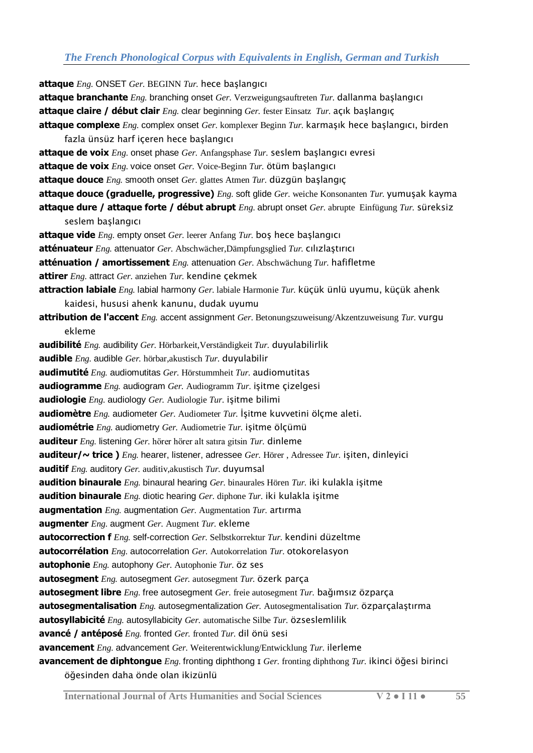**attaque** *Eng.* ONSET *Ger.* BEGINN *Tur.* hece başlangıcı **attaque branchante** *Eng.* branching onset *Ger.* Verzweigungsauftreten *Tur.* dallanma başlangıcı **attaque claire / début clair** *Eng.* clear beginning *Ger.* fester Einsatz *Tur.* açık başlangıç **attaque complexe** *Eng.* complex onset *Ger.* komplexer Beginn *Tur.* karmaşık hece başlangıcı, birden fazla ünsüz harf içeren hece başlangıcı **attaque de voix** *Eng.* onset phase *Ger.* Anfangsphase *Tur.* seslem başlangıcı evresi **attaque de voix** *Eng.* voice onset *Ger.* Voice-Beginn *Tur.* ötüm başlangıcı **attaque douce** *Eng.* smooth onset *Ger.* glattes Atmen *Tur.* düzgün başlangıç **attaque douce (graduelle, progressive)** *Eng.* soft glide *Ger.* weiche Konsonanten *Tur.* yumuşak kayma **attaque dure / attaque forte / début abrupt** *Eng.* abrupt onset *Ger.* abrupte Einfügung *Tur.* süreksiz seslem başlangıcı **attaque vide** *Eng.* empty onset *Ger.* leerer Anfang *Tur.* boş hece başlangıcı **atténuateur** *Eng.* attenuator *Ger.* Abschwächer,Dämpfungsglied *Tur.* cılızlaştırıcı **atténuation / amortissement** *Eng.* attenuation *Ger.* Abschwächung *Tur.* hafifletme **attirer** *Eng.* attract *Ger.* anziehen *Tur.* kendine çekmek **attraction labiale** *Eng.* labial harmony *Ger.* labiale Harmonie *Tur.* küçük ünlü uyumu, küçük ahenk kaidesi, hususi ahenk kanunu, dudak uyumu **attribution de l'accent** *Eng.* accent assignment *Ger.* Betonungszuweisung/Akzentzuweisung *Tur.* vurgu ekleme **audibilité** *Eng.* audibility *Ger.* Hörbarkeit,Verständigkeit *Tur.* duyulabilirlik **audible** *Eng.* audible *Ger.* hörbar,akustisch *Tur.* duyulabilir **audimutité** *Eng.* audiomutitas *Ger.* Hörstummheit *Tur.* audiomutitas **audiogramme** *Eng.* audiogram *Ger.* Audiogramm *Tur.* işitme çizelgesi **audiologie** *Eng.* audiology *Ger.* Audiologie *Tur.* işitme bilimi **audiomètre** *Eng.* audiometer *Ger.* Audiometer *Tur.* İşitme kuvvetini ölçme aleti. **audiométrie** *Eng.* audiometry *Ger.* Audiometrie *Tur.* işitme ölçümü **auditeur** *Eng.* listening *Ger.* hörer hörer alt satıra gitsin *Tur.* dinleme **auditeur/~ trice )** *Eng.* hearer, listener, adressee *Ger.* Hörer , Adressee *Tur.* işiten, dinleyici **auditif** *Eng.* auditory *Ger.* auditiv,akustisch *Tur.* duyumsal **audition binaurale** *Eng.* binaural hearing *Ger.* binaurales Hören *Tur.* iki kulakla işitme **audition binaurale** *Eng.* diotic hearing *Ger.* diphone *Tur.* iki kulakla işitme **augmentation** *Eng.* augmentation *Ger.* Augmentation *Tur.* artırma **augmenter** *Eng.* augment *Ger.* Augment *Tur.* ekleme **autocorrection f** *Eng.* self-correction *Ger.* Selbstkorrektur *Tur.* kendini düzeltme **autocorrélation** *Eng.* autocorrelation *Ger.* Autokorrelation *Tur.* otokorelasyon **autophonie** *Eng.* autophony *Ger.* Autophonie *Tur.* öz ses **autosegment** *Eng.* autosegment *Ger.* autosegment *Tur.* özerk parça **autosegment libre** *Eng.* free autosegment *Ger.* freie autosegment *Tur.* bağımsız özparça **autosegmentalisation** *Eng.* autosegmentalization *Ger.* Autosegmentalisation *Tur.* özparçalaştırma **autosyllabicité** *Eng.* autosyllabicity *Ger.* automatische Silbe *Tur.* özseslemlilik **avancé / antéposé** *Eng.* fronted *Ger.* fronted *Tur.* dil önü sesi **avancement** *Eng.* advancement *Ger.* Weiterentwicklung/Entwicklung *Tur.* ilerleme **avancement de diphtongue** *Eng.* fronting diphthong ɪ *Ger.* fronting diphthong *Tur.* ikinci öğesi birinci öğesinden daha önde olan ikizünlü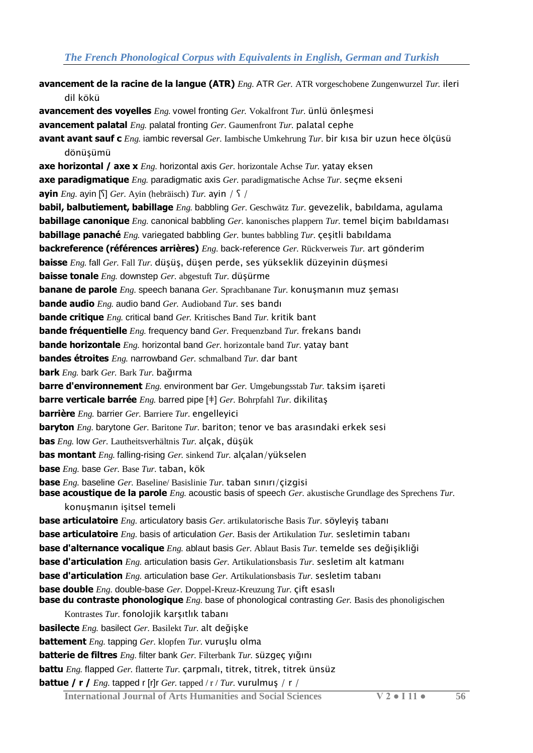**avancement de la racine de la langue (ATR)** *Eng.* ATR *Ger.* ATR vorgeschobene Zungenwurzel *Tur.* ileri dil kökü **avancement des voyelles** *Eng.* vowel fronting *Ger.* Vokalfront *Tur.* ünlü önleşmesi **avancement palatal** *Eng.* palatal fronting *Ger.* Gaumenfront *Tur.* palatal cephe **avant avant sauf c** *Eng.* iambic reversal *Ger.* Iambische Umkehrung *Tur.* bir kısa bir uzun hece ölçüsü dönüşümü **axe horizontal / axe x** *Eng.* horizontal axis *Ger.* horizontale Achse *Tur.* yatay eksen **axe paradigmatique** *Eng.* paradigmatic axis *Ger.* paradigmatische Achse *Tur.* seçme ekseni **ayin** *Eng.* ayin [ʕ] *Ger.* Ayin (hebräisch) *Tur.* ayin / ʕ / **babil, balbutiement, babillage** *Eng.* babbling *Ger.* Geschwätz *Tur.* gevezelik, babıldama, agulama **babillage canonique** *Eng.* canonical babbling *Ger.* kanonisches plappern *Tur.* temel biçim babıldaması **babillage panaché** *Eng.* variegated babbling *Ger.* buntes babbling *Tur.* çeşitli babıldama **backreference (références arrières)** *Eng.* back-reference *Ger.* Rückverweis *Tur.* art gönderim **baisse** *Eng.* fall *Ger.* Fall *Tur.* düşüş, düşen perde, ses yükseklik düzeyinin düşmesi **baisse tonale** *Eng.* downstep *Ger.* abgestuft *Tur.* düşürme **banane de parole** *Eng.* speech banana *Ger.* Sprachbanane *Tur.* konuşmanın muz şeması **bande audio** *Eng.* audio band *Ger.* Audioband *Tur.* ses bandı **bande critique** *Eng.* critical band *Ger.* Kritisches Band *Tur.* kritik bant **bande fréquentielle** *Eng.* frequency band *Ger.* Frequenzband *Tur.* frekans bandı **bande horizontale** *Eng.* horizontal band *Ger.* horizontale band *Tur.* yatay bant **bandes étroites** *Eng.* narrowband *Ger.* schmalband *Tur.* dar bant **bark** *Eng.* bark *Ger.* Bark *Tur.* bağırma **barre d'environnement** *Eng.* environment bar *Ger.* Umgebungsstab *Tur.* taksim işareti **barre verticale barrée** *Eng.* barred pipe [ǂ] *Ger.* Bohrpfahl *Tur.* dikilitaş **barrière** *Eng.* barrier *Ger.* Barriere *Tur.* engelleyici **baryton** *Eng.* barytone *Ger.* Baritone *Tur.* bariton; tenor ve bas arasındaki erkek sesi **bas** *Eng.* low *Ger.* Lautheitsverhältnis *Tur.* alçak, düşük **bas montant** *Eng.* falling-rising *Ger.* sinkend *Tur.* alçalan/yükselen **base** *Eng.* base *Ger.* Base *Tur.* taban, kök **base** *Eng.* baseline *Ger.* Baseline/ Basislinie *Tur.* taban sınırı/çizgisi **base acoustique de la parole** *Eng.* acoustic basis of speech *Ger.* akustische Grundlage des Sprechens *Tur.*  konuşmanın işitsel temeli **base articulatoire** *Eng.* articulatory basis *Ger.* artikulatorische Basis *Tur.* söyleyiş tabanı **base articulatoire** *Eng.* basis of articulation *Ger.* Basis der Artikulation *Tur.* sesletimin tabanı **base d'alternance vocalique** *Eng.* ablaut basis *Ger.* Ablaut Basis *Tur.* temelde ses değişikliği **base d'articulation** *Eng.* articulation basis *Ger.* Artikulationsbasis *Tur.* sesletim alt katmanı **base d'articulation** *Eng.* articulation base *Ger.* Artikulationsbasis *Tur.* sesletim tabanı **base double** *Eng.* double-base *Ger.* Doppel-Kreuz-Kreuzung *Tur.* çift esaslı **base du contraste phonologique** *Eng.* base of phonological contrasting *Ger.* Basis des phonoligischen Kontrastes *Tur.* fonolojik karşıtlık tabanı **basilecte** *Eng.* basilect *Ger.* Basilekt *Tur.* alt değişke **battement** *Eng.* tapping *Ger.* klopfen *Tur.* vuruşlu olma **batterie de filtres** *Eng.* filter bank *Ger.* Filterbank *Tur.* süzgeç yığını **battu** *Eng.* flapped *Ger.* flatterte *Tur.* çarpmalı, titrek, titrek, titrek ünsüz **battue / r /** *Eng.* tapped r [r]r *Ger.* tapped / r / *Tur.* vurulmuş / r /

**International Journal of Arts Humanities and Social Sciences V 2 ● I 11 ● 56**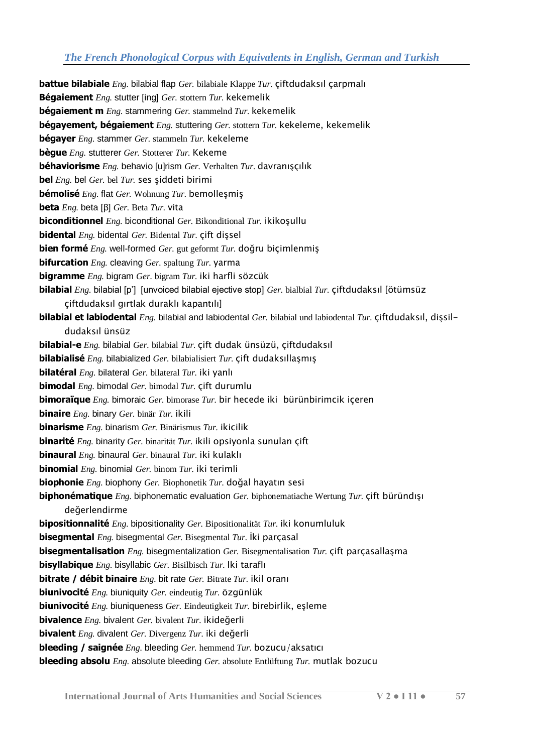**battue bilabiale** *Eng.* bilabial flap *Ger.* bilabiale Klappe *Tur.* çiftdudaksıl çarpmalı **Bégaiement** *Eng.* stutter [ing] *Ger.* stottern *Tur.* kekemelik **bégaiement m** *Eng.* stammering *Ger.* stammelnd *Tur.* kekemelik **bégayement, bégaiement** *Eng.* stuttering *Ger.* stottern *Tur.* kekeleme, kekemelik **bégayer** *Eng.* stammer *Ger.* stammeln *Tur.* kekeleme **bègue** *Eng.* stutterer *Ger.* Stotterer *Tur.* Kekeme **béhaviorisme** *Eng.* behavio [u]rism *Ger.* Verhalten *Tur.* davranışçılık **bel** *Eng.* bel *Ger.* bel *Tur.* ses şiddeti birimi **bémolisé** *Eng.* flat *Ger.* Wohnung *Tur.* bemolleşmiş **beta** *Eng.* beta [β] *Ger.* Beta *Tur.* vita **biconditionnel** *Eng.* biconditional *Ger.* Bikonditional *Tur.* ikikoşullu **bidental** *Eng.* bidental *Ger.* Bidental *Tur.* çift dişsel **bien formé** *Eng.* well-formed *Ger.* gut geformt *Tur.* doğru biçimlenmiş **bifurcation** *Eng.* cleaving *Ger.* spaltung *Tur.* yarma **bigramme** *Eng.* bigram *Ger.* bigram *Tur.* iki harfli sözcük **bilabial** *Eng.* bilabial [p'] [unvoiced bilabial ejective stop] *Ger.* bialbial *Tur.* çiftdudaksıl [ötümsüz çiftdudaksıl gırtlak duraklı kapantılı] **bilabial et labiodental** *Eng.* bilabial and labiodental *Ger.* bilabial und labiodental *Tur.* çiftdudaksıl, dişsildudaksıl ünsüz **bilabial-e** *Eng.* bilabial *Ger.* bilabial *Tur.* çift dudak ünsüzü, çiftdudaksıl **bilabialisé** *Eng.* bilabialized *Ger.* bilabialisiert *Tur.* çift dudaksıllaşmış **bilatéral** *Eng.* bilateral *Ger.* bilateral *Tur.* iki yanlı **bimodal** *Eng.* bimodal *Ger.* bimodal *Tur.* çift durumlu **bimoraïque** *Eng.* bimoraic *Ger.* bimorase *Tur.* bir hecede iki bürünbirimcik içeren **binaire** *Eng.* binary *Ger.* binär *Tur.* ikili **binarisme** *Eng.* binarism *Ger.* Binärismus *Tur.* ikicilik **binarité** *Eng.* binarity *Ger.* binarität *Tur.* ikili opsiyonla sunulan çift **binaural** *Eng.* binaural *Ger.* binaural *Tur.* iki kulaklı **binomial** *Eng.* binomial *Ger.* binom *Tur.* iki terimli **biophonie** *Eng.* biophony *Ger.* Biophonetik *Tur.* doğal hayatın sesi **biphonématique** *Eng.* biphonematic evaluation *Ger.* biphonematiache Wertung *Tur.* çift büründışı değerlendirme **bipositionnalité** *Eng.* bipositionality *Ger.* Bipositionalität *Tur.* iki konumluluk **bisegmental** *Eng.* bisegmental *Ger.* Bisegmental *Tur.* İki parçasal **bisegmentalisation** *Eng.* bisegmentalization *Ger.* Bisegmentalisation *Tur.* çift parçasallaşma **bisyllabique** *Eng.* bisyllabic *Ger.* Bisilbisch *Tur.* Iki taraflı **bitrate / débit binaire** *Eng.* bit rate *Ger.* Bitrate *Tur.* ikil oranı **biunivocité** *Eng.* biuniquity *Ger.* eindeutig *Tur.* özgünlük **biunivocité** *Eng.* biuniqueness *Ger.* Eindeutigkeit *Tur.* birebirlik, eşleme **bivalence** *Eng.* bivalent *Ger.* bivalent *Tur.* ikideğerli **bivalent** *Eng.* divalent *Ger.* Divergenz *Tur.* iki değerli **bleeding / saignée** *Eng.* bleeding *Ger.* hemmend *Tur.* bozucu/aksatıcı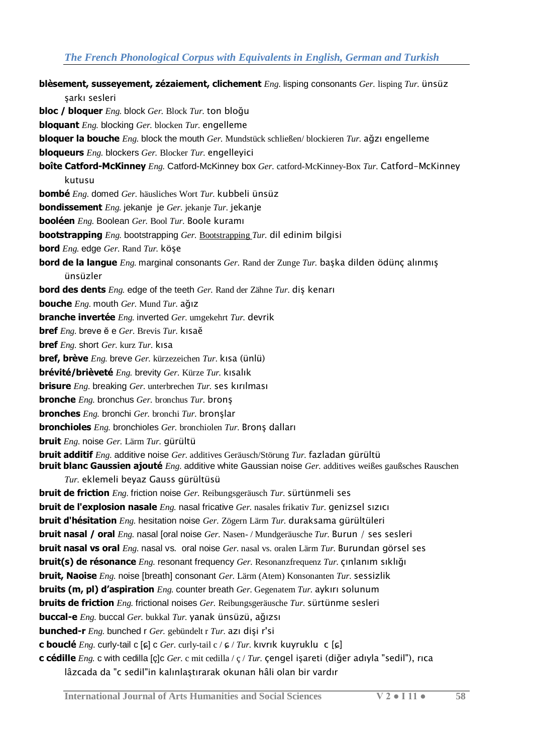| blèsement, susseyement, zézaiement, clichement Eng. lisping consonants Ger. lisping Tur. ünsüz                                                                                                                          |
|-------------------------------------------------------------------------------------------------------------------------------------------------------------------------------------------------------------------------|
| şarkı sesleri                                                                                                                                                                                                           |
| <b>bloc / bloquer</b> <i>Eng.</i> block <i>Ger.</i> Block <i>Tur.</i> ton bloğu                                                                                                                                         |
| <b>bloquant</b> <i>Eng.</i> blocking <i>Ger.</i> blocken <i>Tur.</i> engelleme                                                                                                                                          |
| <b>bloquer la bouche</b> <i>Eng.</i> block the mouth <i>Ger.</i> Mundstück schließen/blockieren <i>Tur.</i> ağzı engelleme                                                                                              |
| <b>bloqueurs</b> <i>Eng.</i> blockers <i>Ger.</i> Blocker <i>Tur.</i> engelleyici                                                                                                                                       |
| <b>boîte Catford-McKinney</b> <i>Eng.</i> Catford-McKinney box <i>Ger.</i> catford-McKinney-Box <i>Tur.</i> Catford-McKinney                                                                                            |
| kutusu                                                                                                                                                                                                                  |
| <b>bombé</b> Eng. domed Ger. häusliches Wort Tur. kubbeli ünsüz                                                                                                                                                         |
| <b>bondissement</b> <i>Eng.</i> jekanje je Ger. jekanje Tur. jekanje                                                                                                                                                    |
| <b>booléen</b> Eng. Boolean Ger. Bool Tur. Boole kurami                                                                                                                                                                 |
| <b>bootstrapping</b> <i>Eng.</i> bootstrapping <i>Ger.</i> Bootstrapping <i>Tur.</i> dil edinim bilgisi                                                                                                                 |
| <b>bord</b> <i>Eng.</i> edge <i>Ger.</i> Rand <i>Tur.</i> köşe                                                                                                                                                          |
| <b>bord de la langue</b> <i>Eng.</i> marginal consonants <i>Ger.</i> Rand der Zunge <i>Tur.</i> başka dilden ödünç alınmış                                                                                              |
| ünsüzler                                                                                                                                                                                                                |
| <b>bord des dents</b> <i>Eng.</i> edge of the teeth <i>Ger.</i> Rand der Zähne <i>Tur.</i> dis kenari                                                                                                                   |
| <b>bouche</b> <i>Eng.</i> mouth <i>Ger.</i> Mund <i>Tur.</i> ağız                                                                                                                                                       |
| <b>branche invertée</b> <i>Eng.</i> inverted <i>Ger.</i> umgekehrt <i>Tur.</i> devrik                                                                                                                                   |
| <b>bref</b> <i>Eng.</i> breve ĕ e Ger. Brevis <i>Tur.</i> kısaĕ                                                                                                                                                         |
| <b>bref</b> <i>Eng.</i> short <i>Ger.</i> kurz <i>Tur.</i> kisa                                                                                                                                                         |
| <b>bref, brève</b> <i>Eng.</i> breve <i>Ger.</i> kürzezeichen <i>Tur.</i> kısa (ünlü)                                                                                                                                   |
| <b>brévité/brièveté</b> Eng. brevity Ger. Kürze Tur. kısalık                                                                                                                                                            |
| <b>brisure</b> <i>Eng.</i> breaking <i>Ger.</i> unterbrechen <i>Tur.</i> ses kirilmasi                                                                                                                                  |
| <b>bronche</b> $Eng.$ bronchus $Ger.$ bronchus $Tur.$ brons                                                                                                                                                             |
| <b>bronches</b> $Eng.$ bronchi $Ger.$ bronchi $Tur.$ bronslar                                                                                                                                                           |
| <b>bronchioles</b> Eng. bronchioles Ger. bronchiolen Tur. Brons dalları                                                                                                                                                 |
| <b>bruit</b> Eng. noise Ger. Lärm Tur. gürültü                                                                                                                                                                          |
| <b>bruit additif</b> Eng. additive noise Ger. additives Geräusch/Störung Tur. fazladan gürültü<br><b>bruit blanc Gaussien ajouté</b> <i>Eng.</i> additive white Gaussian noise Ger. additives weißes gaußsches Rauschen |
| Tur. eklemeli beyaz Gauss gürültüsü                                                                                                                                                                                     |
| <b>bruit de friction</b> <i>Eng.</i> friction noise <i>Ger.</i> Reibungsgeräusch <i>Tur.</i> sürtünmeli ses                                                                                                             |
| <b>bruit de l'explosion nasale</b> <i>Eng.</i> nasal fricative <i>Ger.</i> nasales frikativ <i>Tur.</i> genizsel sizici                                                                                                 |
| <b>bruit d'hésitation</b> Eng. hesitation noise Ger. Zögern Lärm Tur. duraksama gürültüleri                                                                                                                             |
| <b>bruit nasal / oral</b> <i>Eng.</i> nasal [oral noise <i>Ger.</i> Nasen-/Mundgeräusche <i>Tur.</i> Burun / ses sesleri                                                                                                |
| bruit nasal vs oral <i>Eng.</i> nasal vs. oral noise Ger. nasal vs. oralen Lärm Tur. Burundan görsel ses                                                                                                                |
| <b>bruit(s) de résonance</b> $Eng.$ resonant frequency $Ger.$ Resonanzfrequenz $Tur.$ cinlanim sikligi                                                                                                                  |
| <b>bruit, Naoise</b> <i>Eng.</i> noise [breath] consonant <i>Ger.</i> Lärm (Atem) Konsonanten <i>Tur.</i> sessizlik                                                                                                     |
| <b>bruits (m, pl) d'aspiration</b> $Eng.$ counter breath $Ger.$ Gegenatem $Tur.$ aykiri solunum                                                                                                                         |
| <b>bruits de friction</b> <i>Eng.</i> frictional noises <i>Ger.</i> Reibungsgeräusche <i>Tur.</i> sürtünme sesleri                                                                                                      |
| <b>buccal-e</b> <i>Eng.</i> buccal <i>Ger.</i> bukkal <i>Tur.</i> yanak ünsüzü, ağızsı                                                                                                                                  |
| <b>bunched-r</b> Eng. bunched r Ger. gebündelt r Tur. azı dişi r'si                                                                                                                                                     |
| <b>c bouclé</b> <i>Eng.</i> curly-tail c [ɕ] c <i>Ger.</i> curly-tail c / ɕ / <i>Tur.</i> kivrik kuyruklu c [ɕ]                                                                                                         |
| c cédille $Eng.$ c with cedilla [ç]c Ger. c mit cedilla / ç / Tur. çengel işareti (diğer adıyla "sedil"), rıca                                                                                                          |
| lâzcada da "c sedil"in kalınlaştırarak okunan hâli olan bir vardır                                                                                                                                                      |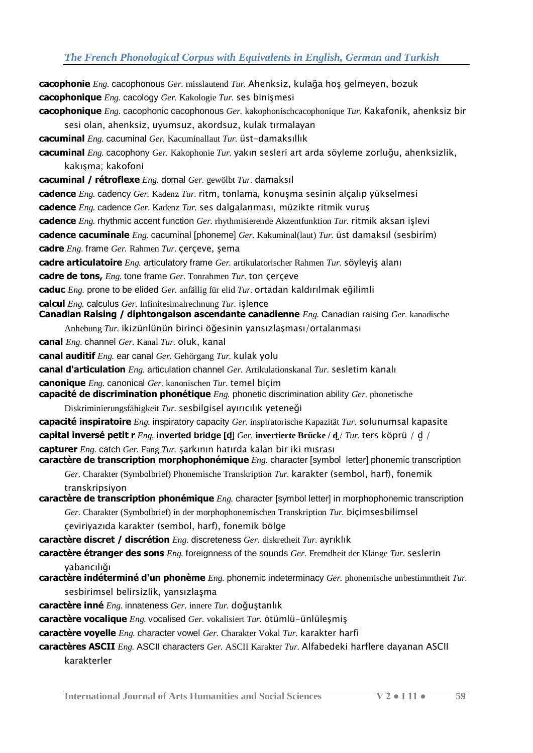**cacophonie** *Eng.* cacophonous *Ger.* misslautend *Tur.* Ahenksiz, kulağa hoş gelmeyen, bozuk **cacophonique** *Eng.* cacology *Ger.* Kakologie *Tur.* ses binişmesi **cacophonique** *Eng.* cacophonic cacophonous *Ger.* kakophonischcacophonique *Tur.* Kakafonik, ahenksiz bir sesi olan, ahenksiz, uyumsuz, akordsuz, kulak tırmalayan **cacuminal** *Eng.* cacuminal *Ger.* Kacuminallaut *Tur.* üst-damaksıllık **cacuminal** *Eng.* cacophony *Ger.* Kakophonie *Tur.* yakın sesleri art arda söyleme zorluğu, ahenksizlik, kakışma; kakofoni **cacuminal / rétroflexe** *Eng.* domal *Ger.* gewölbt *Tur.* damaksıl **cadence** *Eng.* cadency *Ger.* Kadenz *Tur.* ritm, tonlama, konuşma sesinin alçalıp yükselmesi **cadence** *Eng.* cadence *Ger.* Kadenz *Tur.* ses dalgalanması, müzikte ritmik vuruş **cadence** *Eng.* rhythmic accent function *Ger.* rhythmisierende Akzentfunktion *Tur.* ritmik aksan işlevi **cadence cacuminale** *Eng.* cacuminal [phoneme] *Ger.* Kakuminal(laut) *Tur.* üst damaksıl (sesbirim) **cadre** *Eng.* frame *Ger.* Rahmen *Tur.* çerçeve, şema **cadre articulatoire** *Eng.* articulatory frame *Ger.* artikulatorischer Rahmen *Tur.* söyleyiş alanı **cadre de tons,** *Eng.* tone frame *Ger.* Tonrahmen *Tur.* ton çerçeve **caduc** *Eng.* prone to be elided *Ger.* anfällig für elid *Tur.* ortadan kaldırılmak eğilimli **calcul** *Eng.* calculus *Ger.* Infinitesimalrechnung *Tur.* işlence **Canadian Raising / diphtongaison ascendante canadienne** *Eng.* Canadian raising *Ger.* kanadische Anhebung *Tur.* ikizünlünün birinci öğesinin yansızlaşması/ortalanması **canal** *Eng.* channel *Ger.* Kanal *Tur.* oluk, kanal **canal auditif** *Eng.* ear canal *Ger.* Gehörgang *Tur.* kulak yolu **canal d'articulation** *Eng.* articulation channel *Ger.* Artikulationskanal *Tur.* sesletim kanalı **canonique** *Eng.* canonical *Ger.* kanonischen *Tur.* temel biçim **capacité de discrimination phonétique** *Eng.* phonetic discrimination ability *Ger.* phonetische Diskriminierungsfähigkeit *Tur.* sesbilgisel ayırıcılık yeteneği **capacité inspiratoire** *Eng.* inspiratory capacity *Ger.* inspiratorische Kapazität *Tur.* solunumsal kapasite **capital inversé petit r** *Eng.* **inverted bridge [d̺**] *Ger.* **invertierte Brücke / d̺**/ *Tur.* ters köprü / d̺/ **capturer** *Eng.* catch *Ger.* Fang *Tur.* şarkının hatırda kalan bir iki mısrası **caractère de transcription morphophonémique** *Eng.* character [symbol letter] phonemic transcription *Ger.* Charakter (Symbolbrief) Phonemische Transkription *Tur.* karakter (sembol, harf), fonemik transkripsiyon **caractère de transcription phonémique** *Eng.* character [symbol letter] in morphophonemic transcription *Ger.* Charakter (Symbolbrief) in der morphophonemischen Transkription *Tur.* biçimsesbilimsel çeviriyazıda karakter (sembol, harf), fonemik bölge **caractère discret / discrétion** *Eng.* discreteness *Ger.* diskretheit *Tur.* ayrıklık **caractère étranger des sons** *Eng.* foreignness of the sounds *Ger.* Fremdheit der Klänge *Tur.* seslerin yabancılığı **caractère indéterminé d'un phonème** *Eng.* phonemic indeterminacy *Ger.* phonemische unbestimmtheit *Tur.*  sesbirimsel belirsizlik, yansızlaşma **caractère inné** *Eng.* innateness *Ger.* innere *Tur.* doğuştanlık **caractère vocalique** *Eng.* vocalised *Ger.* vokalisiert *Tur.* ötümlü-ünlüleşmiş **caractère voyelle** *Eng.* character vowel *Ger.* Charakter Vokal *Tur.* karakter harfi **caractères ASCII** *Eng.* ASCII characters *Ger.* ASCII Karakter *Tur.* Alfabedeki harflere dayanan ASCII

karakterler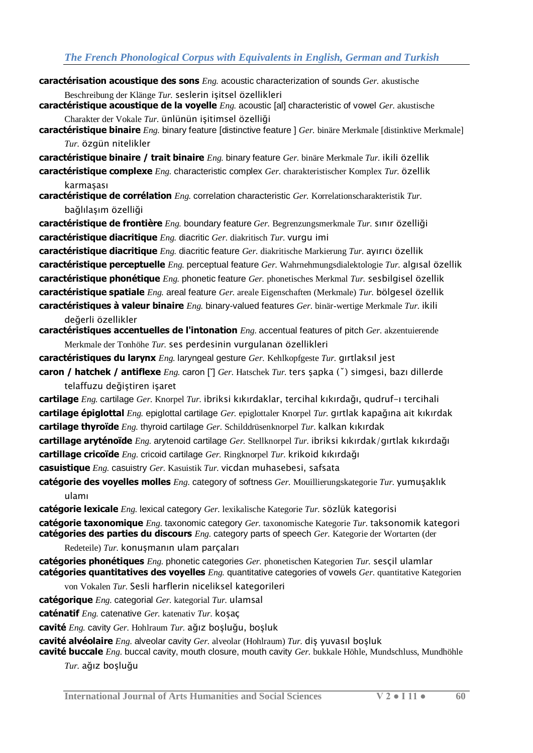- **caractérisation acoustique des sons** *Eng.* acoustic characterization of sounds *Ger.* akustische Beschreibung der Klänge *Tur.* seslerin işitsel özellikleri
- **caractéristique acoustique de la voyelle** *Eng.* acoustic [al] characteristic of vowel *Ger.* akustische Charakter der Vokale *Tur.* ünlünün işitimsel özelliği
- **caractéristique binaire** *Eng.* binary feature [distinctive feature ] *Ger.* binäre Merkmale [distinktive Merkmale] *Tur.* özgün nitelikler

**caractéristique binaire / trait binaire** *Eng.* binary feature *Ger.* binäre Merkmale *Tur.* ikili özellik **caractéristique complexe** *Eng.* characteristic complex *Ger.* charakteristischer Komplex *Tur.* özellik

karmaşası **caractéristique de corrélation** *Eng.* correlation characteristic *Ger.* Korrelationscharakteristik *Tur.*  bağlılaşım özelliği

**caractéristique de frontière** *Eng.* boundary feature *Ger.* Begrenzungsmerkmale *Tur.* sınır özelliği **caractéristique diacritique** *Eng.* diacritic *Ger.* diakritisch *Tur.* vurgu imi

**caractéristique diacritique** *Eng.* diacritic feature *Ger.* diakritische Markierung *Tur.* ayırıcı özellik **caractéristique perceptuelle** *Eng.* perceptual feature *Ger.* Wahrnehmungsdialektologie *Tur.* algısal özellik **caractéristique phonétique** *Eng.* phonetic feature *Ger.* phonetisches Merkmal *Tur.* sesbilgisel özellik **caractéristique spatiale** *Eng.* areal feature *Ger.* areale Eigenschaften (Merkmale) *Tur.* bölgesel özellik **caractéristiques à valeur binaire** *Eng.* binary-valued features *Ger.* binär-wertige Merkmale *Tur.* ikili

değerli özellikler

**caractéristiques accentuelles de l'intonation** *Eng.* accentual features of pitch *Ger.* akzentuierende Merkmale der Tonhöhe *Tur.* ses perdesinin vurgulanan özellikleri

**caractéristiques du larynx** *Eng.* laryngeal gesture *Ger.* Kehlkopfgeste *Tur.* gırtlaksıl jest **caron / hatchek / antiflexe** *Eng.* caron [ˇ] *Ger.* Hatschek *Tur.* ters şapka (ˇ) simgesi, bazı dillerde

telaffuzu değiştiren işaret

**cartilage** *Eng.* cartilage *Ger.* Knorpel *Tur.* ibriksi kıkırdaklar, tercihal kıkırdağı, qudruf-ı tercihali **cartilage épiglottal** *Eng.* epiglottal cartilage *Ger.* epiglottaler Knorpel *Tur.* gırtlak kapağına ait kıkırdak **cartilage thyroïde** *Eng.* thyroid cartilage *Ger.* Schilddrüsenknorpel *Tur.* kalkan kıkırdak

**cartillage aryténoïde** *Eng.* arytenoid cartilage *Ger.* Stellknorpel *Tur.* ibriksi kıkırdak/gırtlak kıkırdağı **cartillage cricoïde** *Eng.* cricoid cartilage *Ger.* Ringknorpel *Tur.* krikoid kıkırdağı

**casuistique** *Eng.* casuistry *Ger.* Kasuistik *Tur.* vicdan muhasebesi, safsata

**catégorie des voyelles molles** *Eng.* category of softness *Ger.* Mouillierungskategorie *Tur.* yumuşaklık ulamı

**catégorie lexicale** *Eng.* lexical category *Ger.* lexikalische Kategorie *Tur.* sözlük kategorisi

**catégorie taxonomique** *Eng.* taxonomic category *Ger.* taxonomische Kategorie *Tur.* taksonomik kategori **catégories des parties du discours** *Eng.* category parts of speech *Ger.* Kategorie der Wortarten (der

Redeteile) *Tur.* konuşmanın ulam parçaları

**catégories phonétiques** *Eng.* phonetic categories *Ger.* phonetischen Kategorien *Tur.* sesçil ulamlar **catégories quantitatives des voyelles** *Eng.* quantitative categories of vowels *Ger.* quantitative Kategorien

von Vokalen *Tur.* Sesli harflerin niceliksel kategorileri

**catégorique** *Eng.* categorial *Ger.* kategorial *Tur.* ulamsal

**caténatif** *Eng.* catenative *Ger.* katenativ *Tur.* koşaç

**cavité** *Eng.* cavity *Ger.* Hohlraum *Tur.* ağız boşluğu, boşluk

**cavité alvéolaire** *Eng.* alveolar cavity *Ger.* alveolar (Hohlraum) *Tur.* diş yuvasıl boşluk

**cavité buccale** *Eng.* buccal cavity, mouth closure, mouth cavity *Ger.* bukkale Höhle, Mundschluss, Mundhöhle *Tur.* ağız boşluğu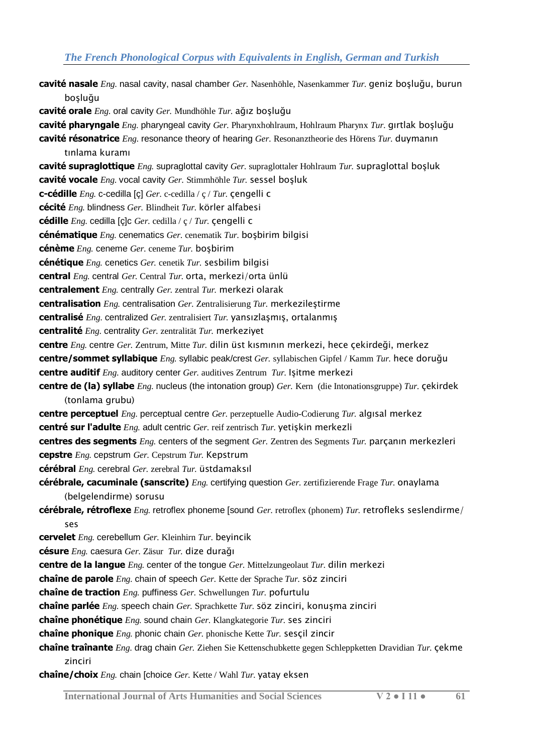- **cavité nasale** *Eng.* nasal cavity, nasal chamber *Ger.* Nasenhöhle, Nasenkammer *Tur.* geniz boşluğu, burun boşluğu **cavité orale** *Eng.* oral cavity *Ger.* Mundhöhle *Tur.* ağız boşluğu **cavité pharyngale** *Eng.* pharyngeal cavity *Ger.* Pharynxhohlraum, Hohlraum Pharynx *Tur.* gırtlak boşluğu **cavité résonatrice** *Eng.* resonance theory of hearing *Ger.* Resonanztheorie des Hörens *Tur.* duymanın tınlama kuramı **cavité supraglottique** *Eng.* supraglottal cavity *Ger.* supraglottaler Hohlraum *Tur.* supraglottal boşluk **cavité vocale** *Eng.* vocal cavity *Ger.* Stimmhöhle *Tur.* sessel boşluk **c-cédille** *Eng.* c-cedilla [ç] *Ger.* c-cedilla / ç / *Tur.* çengelli c **cécité** *Eng.* blindness *Ger.* Blindheit *Tur.* körler alfabesi **cédille** *Eng.* cedilla [ç]c *Ger.* cedilla / ç / *Tur.* çengelli c **cénématique** *Eng.* cenematics *Ger.* cenematik *Tur.* boşbirim bilgisi **cénème** *Eng.* ceneme *Ger.* ceneme *Tur.* boşbirim **cénétique** *Eng.* cenetics *Ger.* cenetik *Tur.* sesbilim bilgisi **central** *Eng.* central *Ger.* Central *Tur.* orta, merkezi/orta ünlü **centralement** *Eng.* centrally *Ger.* zentral *Tur.* merkezi olarak **centralisation** *Eng.* centralisation *Ger.* Zentralisierung *Tur.* merkezileştirme **centralisé** *Eng.* centralized *Ger.* zentralisiert *Tur.* yansızlaşmış, ortalanmış **centralité** *Eng.* centrality *Ger.* zentralität *Tur.* merkeziyet **centre** *Eng.* centre *Ger.* Zentrum, Mitte *Tur.* dilin üst kısmının merkezi, hece çekirdeği, merkez **centre/sommet syllabique** *Eng.* syllabic peak/crest *Ger.* syllabischen Gipfel / Kamm *Tur.* hece doruğu **centre auditif** *Eng.* auditory center *Ger.* auditives Zentrum *Tur.* Işitme merkezi **centre de (la) syllabe** *Eng.* nucleus (the intonation group) *Ger.* Kern (die Intonationsgruppe) *Tur.* çekirdek (tonlama grubu) **centre perceptuel** *Eng.* perceptual centre *Ger.* perzeptuelle Audio-Codierung *Tur.* algısal merkez **centré sur l'adulte** *Eng.* adult centric *Ger.* reif zentrisch *Tur.* yetişkin merkezli **centres des segments** *Eng.* centers of the segment *Ger.* Zentren des Segments *Tur.* parçanın merkezleri **cepstre** *Eng.* cepstrum *Ger.* Cepstrum *Tur.* Kepstrum **cérébral** *Eng.* cerebral *Ger.* zerebral *Tur.* üstdamaksıl **cérébrale, cacuminale (sanscrite)** *Eng.* certifying question *Ger.* zertifizierende Frage *Tur.* onaylama (belgelendirme) sorusu **cérébrale, rétroflexe** *Eng.* retroflex phoneme [sound *Ger.* retroflex (phonem) *Tur.* retrofleks seslendirme/ ses **cervelet** *Eng.* cerebellum *Ger.* Kleinhirn *Tur.* beyincik **césure** *Eng.* caesura *Ger.* Zäsur *Tur.* dize durağı **centre de la langue** *Eng.* center of the tongue *Ger.* Mittelzungeolaut *Tur.* dilin merkezi **chaîne de parole** *Eng.* chain of speech *Ger.* Kette der Sprache *Tur.* söz zinciri **chaîne de traction** *Eng.* puffiness *Ger.* Schwellungen *Tur.* pofurtulu **chaîne parlée** *Eng.* speech chain *Ger.* Sprachkette *Tur.* söz zinciri, konuşma zinciri **chaîne phonétique** *Eng.* sound chain *Ger.* Klangkategorie *Tur.* ses zinciri **chaîne phonique** *Eng.* phonic chain *Ger.* phonische Kette *Tur.* sesçil zincir **chaîne traînante** *Eng.* drag chain *Ger.* Ziehen Sie Kettenschubkette gegen Schleppketten Dravidian *Tur.* çekme zinciri
	- **chaîne/choix** *Eng.* chain [choice *Ger.* Kette / Wahl *Tur.* yatay eksen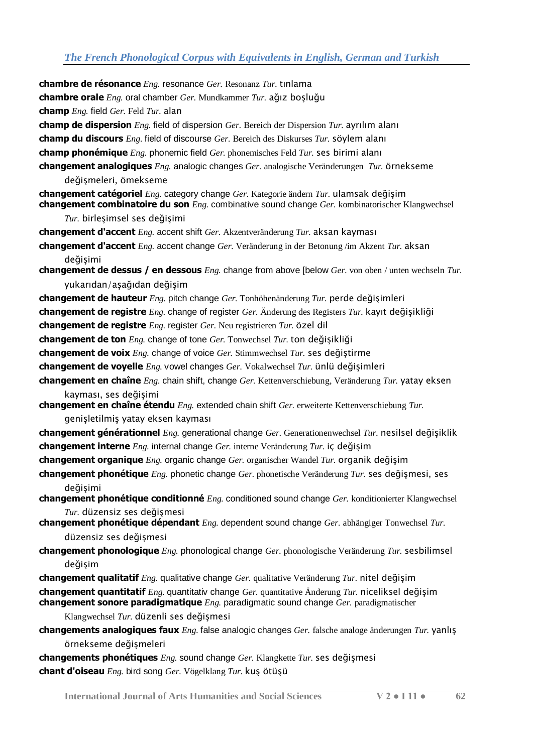**chambre de résonance** *Eng.* resonance *Ger.* Resonanz *Tur.* tınlama **chambre orale** *Eng.* oral chamber *Ger.* Mundkammer *Tur.* ağız boşluğu **champ** *Eng.* field *Ger.* Feld *Tur.* alan **champ de dispersion** *Eng.* field of dispersion *Ger.* Bereich der Dispersion *Tur.* ayrılım alanı **champ du discours** *Eng.* field of discourse *Ger.* Bereich des Diskurses *Tur.* söylem alanı **champ phonémique** *Eng.* phonemic field *Ger.* phonemisches Feld *Tur.* ses birimi alanı **changement analogiques** *Eng.* analogic changes *Ger.* analogische Veränderungen *Tur.* örnekseme değişmeleri, ömekseme **changement catégoriel** *Eng.* category change *Ger.* Kategorie ändern *Tur.* ulamsak değişim **changement combinatoire du son** *Eng.* combinative sound change *Ger.* kombinatorischer Klangwechsel *Tur.* birleşimsel ses değişimi **changement d'accent** *Eng.* accent shift *Ger.* Akzentveränderung *Tur.* aksan kayması **changement d'accent** *Eng.* accent change *Ger.* Veränderung in der Betonung /im Akzent *Tur.* aksan değişimi **changement de dessus / en dessous** *Eng.* change from above [below *Ger.* von oben / unten wechseln *Tur.*  yukarıdan/aşağıdan değişim **changement de hauteur** *Eng.* pitch change *Ger.* Tonhöhenänderung *Tur.* perde değişimleri **changement de registre** *Eng.* change of register *Ger.* Änderung des Registers *Tur.* kayıt değişikliği **changement de registre** *Eng.* register *Ger.* Neu registrieren *Tur.* özel dil **changement de ton** *Eng.* change of tone *Ger.* Tonwechsel *Tur.* ton değişikliği **changement de voix** *Eng.* change of voice *Ger.* Stimmwechsel *Tur.* ses değiştirme **changement de voyelle** *Eng.* vowel changes *Ger.* Vokalwechsel *Tur.* ünlü değişimleri **changement en chaîne** *Eng.* chain shift, change *Ger.* Kettenverschiebung, Veränderung *Tur.* yatay eksen kayması, ses değişimi **changement en chaîne étendu** *Eng.* extended chain shift *Ger.* erweiterte Kettenverschiebung *Tur.*  genişletilmiş yatay eksen kayması **changement générationnel** *Eng.* generational change *Ger.* Generationenwechsel *Tur.* nesilsel değişiklik **changement interne** *Eng.* internal change *Ger.* interne Veränderung *Tur.* iç değişim **changement organique** *Eng.* organic change *Ger.* organischer Wandel *Tur.* organik değişim **changement phonétique** *Eng.* phonetic change *Ger.* phonetische Veränderung *Tur.* ses değişmesi, ses değişimi **changement phonétique conditionné** *Eng.* conditioned sound change *Ger.* konditionierter Klangwechsel *Tur.* düzensiz ses değişmesi **changement phonétique dépendant** *Eng.* dependent sound change *Ger.* abhängiger Tonwechsel *Tur.*  düzensiz ses değişmesi **changement phonologique** *Eng.* phonological change *Ger.* phonologische Veränderung *Tur.* sesbilimsel değişim **changement qualitatif** *Eng.* qualitative change *Ger.* qualitative Veränderung *Tur.* nitel değişim **changement quantitatif** *Eng.* quantitativ change *Ger.* quantitative Änderung *Tur.* niceliksel değişim **changement sonore paradigmatique** *Eng.* paradigmatic sound change *Ger.* paradigmatischer Klangwechsel *Tur.* düzenli ses değişmesi **changements analogiques faux** *Eng.* false analogic changes *Ger.* falsche analoge änderungen *Tur.* yanlış örnekseme değişmeleri

**changements phonétiques** *Eng.* sound change *Ger.* Klangkette *Tur.* ses değişmesi **chant d'oiseau** *Eng.* bird song *Ger.* Vögelklang *Tur.* kuş ötüşü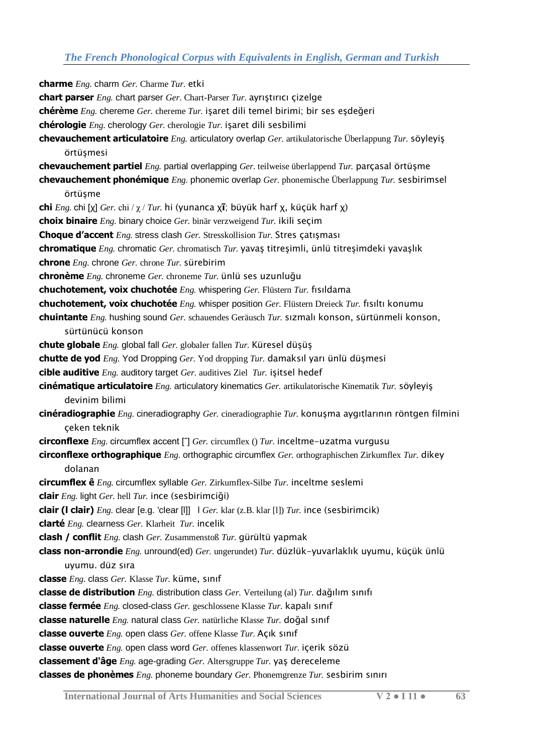**charme** *Eng.* charm *Ger.* Charme *Tur.* etki **chart parser** *Eng.* chart parser *Ger.* Chart-Parser *Tur.* ayrıştırıcı çizelge **chérème** *Eng.* chereme *Ger.* chereme *Tur.* işaret dili temel birimi; bir ses eşdeğeri **chérologie** *Eng.* cherology *Ger.* cherologie *Tur.* işaret dili sesbilimi **chevauchement articulatoire** *Eng.* articulatory overlap *Ger.* artikulatorische Überlappung *Tur.* söyleyiş örtüsmesi **chevauchement partiel** *Eng.* partial overlapping *Ger.* teilweise überlappend *Tur.* parçasal örtüşme **chevauchement phonémique** *Eng.* phonemic overlap *Ger.* phonemische Überlappung *Tur.* sesbirimsel örtüşme **chi** *Eng.* chi [χ] *Ger.* chi / χ / *Tur.* hi (yunanca χ**ῖ**; büyük harf χ, küçük harf χ) **choix binaire** *Eng.* binary choice *Ger.* binär verzweigend *Tur.* ikili seçim **Choque d'accent** *Eng.* stress clash *Ger.* Stresskollision *Tur.* Stres çatışması **chromatique** *Eng.* chromatic *Ger.* chromatisch *Tur.* yavaş titreşimli, ünlü titreşimdeki yavaşlık **chrone** *Eng.* chrone *Ger.* chrone *Tur.* sürebirim **chronème** *Eng.* chroneme *Ger.* chroneme *Tur.* ünlü ses uzunluğu **chuchotement, voix chuchotée** *Eng.* whispering *Ger.* Flüstern *Tur.* fısıldama **chuchotement, voix chuchotée** *Eng.* whisper position *Ger.* Flüstern Dreieck *Tur.* fısıltı konumu **chuintante** *Eng.* hushing sound *Ger.* schauendes Geräusch *Tur.* sızmalı konson, sürtünmeli konson, sürtünücü konson **chute globale** *Eng.* global fall *Ger.* globaler fallen *Tur.* Küresel düşüş **chutte de yod** *Eng.* Yod Dropping *Ger.* Yod dropping *Tur.* damaksıl yarı ünlü düşmesi **cible auditive** *Eng.* auditory target *Ger.* auditives Ziel *Tur.* işitsel hedef **cinématique articulatoire** *Eng.* articulatory kinematics *Ger.* artikulatorische Kinematik *Tur.* söyleyiş devinim bilimi **cinéradiographie** *Eng.* cineradiography *Ger.* cineradiographie *Tur.* konuşma aygıtlarının röntgen filmini çeken teknik **circonflexe** *Eng.* circumflex accent [ˆ] *Ger.* circumflex () *Tur.* inceltme-uzatma vurgusu **circonflexe orthographique** *Eng.* orthographic circumflex *Ger.* orthographischen Zirkumflex *Tur.* dikey dolanan **circumflex ê** *Eng.* circumflex syllable *Ger.* Zirkumflex-Silbe *Tur.* inceltme seslemi **clair** *Eng.* light *Ger.* hell *Tur.* ince (sesbirimciği) **clair (l clair)** *Eng.* clear [e.g. 'clear [l]] l *Ger.* klar (z.B. klar [l]) *Tur.* ince (sesbirimcik) **clarté** *Eng.* clearness *Ger.* Klarheit *Tur.* incelik **clash / conflit** *Eng.* clash *Ger.* Zusammenstoß *Tur.* gürültü yapmak **class non-arrondie** *Eng.* unround(ed) *Ger.* ungerundet) *Tur.* düzlük-yuvarlaklık uyumu, küçük ünlü uyumu. düz sıra **classe** *Eng.* class *Ger.* Klasse *Tur.* küme, sınıf **classe de distribution** *Eng.* distribution class *Ger.* Verteilung (al) *Tur.* dağılım sınıfı **classe fermée** *Eng.* closed-class *Ger.* geschlossene Klasse *Tur.* kapalı sınıf **classe naturelle** *Eng.* natural class *Ger.* natürliche Klasse *Tur.* doğal sınıf **classe ouverte** *Eng.* open class *Ger.* offene Klasse *Tur.* Açık sınıf **classe ouverte** *Eng.* open class word *Ger.* offenes klassenwort *Tur.* içerik sözü **classement d'âge** *Eng.* age-grading *Ger.* Altersgruppe *Tur.* yaş dereceleme **classes de phonèmes** *Eng.* phoneme boundary *Ger.* Phonemgrenze *Tur.* sesbirim sınırı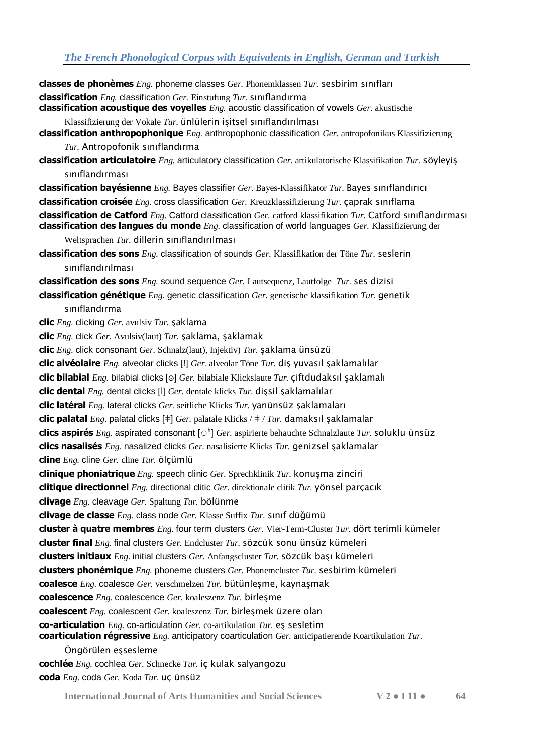**classes de phonèmes** *Eng.* phoneme classes *Ger.* Phonemklassen *Tur.* sesbirim sınıfları **classification** *Eng.* classification *Ger.* Einstufung *Tur.* sınıflandırma **classification acoustique des voyelles** *Eng.* acoustic classification of vowels *Ger.* akustische Klassifizierung der Vokale *Tur.* ünlülerin işitsel sınıflandırılması **classification anthropophonique** *Eng.* anthropophonic classification *Ger.* antropofonikus Klassifizierung *Tur.* Antropofonik sınıflandırma **classification articulatoire** *Eng.* articulatory classification *Ger.* artikulatorische Klassifikation *Tur.* söyleyiş sınıflandırması **classification bayésienne** *Eng.* Bayes classifier *Ger.* Bayes-Klassifikator *Tur.* Bayes sınıflandırıcı **classification croisée** *Eng.* cross classification *Ger.* Kreuzklassifizierung *Tur.* çaprak sınıflama **classification de Catford** *Eng.* Catford classification *Ger.* catford klassifikation *Tur.* Catford sınıflandırması **classification des langues du monde** *Eng.* classification of world languages *Ger.* Klassifizierung der Weltsprachen *Tur.* dillerin sınıflandırılması **classification des sons** *Eng.* classification of sounds *Ger.* Klassifikation der Töne *Tur.* seslerin sınıflandırılması **classification des sons** *Eng.* sound sequence *Ger.* Lautsequenz, Lautfolge *Tur.* ses dizisi **classification génétique** *Eng.* genetic classification *Ger.* genetische klassifikation *Tur.* genetik sınıflandırma **clic** *Eng.* clicking *Ger.* avulsiv *Tur.* şaklama **clic** *Eng.* click *Ger.* Avulsiv(laut) *Tur.* şaklama, şaklamak **clic** *Eng.* click consonant *Ger.* Schnalz(laut), Injektiv) *Tur.* şaklama ünsüzü **clic alvéolaire** *Eng.* alveolar clicks [ǃ] *Ger.* alveolar Töne *Tur.* diş yuvasıl şaklamalılar **clic bilabial** *Eng.* bilabial clicks [ʘ] *Ger.* bilabiale Klickslaute *Tur.* çiftdudaksıl şaklamalı **clic dental** *Eng.* dental clicks [ǀ] *Ger.* dentale klicks *Tur.* dişsil şaklamalılar **clic latéral** *Eng.* lateral clicks *Ger.* seitliche Klicks *Tur.* yanünsüz şaklamaları **clic palatal** *Eng.* palatal clicks [ǂ] *Ger.* palatale Klicks / ǂ / *Tur.* damaksıl şaklamalar **clics aspirés** *Eng.* aspirated consonant [◌ʰ] *Ger.* aspirierte behauchte Schnalzlaute *Tur.* soluklu ünsüz **clics nasalisés** *Eng.* nasalized clicks *Ger.* nasalisierte Klicks *Tur.* genizsel şaklamalar **cline** *Eng.* cline *Ger.* cline *Tur.* ölçümlü **clinique phoniatrique** *Eng.* speech clinic *Ger.* Sprechklinik *Tur.* konuşma zinciri **clitique directionnel** *Eng.* directional clitic *Ger.* direktionale clitik *Tur.* yönsel parçacık **clivage** *Eng.* cleavage *Ger.* Spaltung *Tur.* bölünme **clivage de classe** *Eng.* class node *Ger.* Klasse Suffix *Tur.* sınıf düğümü **cluster à quatre membres** *Eng.* four term clusters *Ger.* Vier-Term-Cluster *Tur.* dört terimli kümeler **cluster final** *Eng.* final clusters *Ger.* Endcluster *Tur.* sözcük sonu ünsüz kümeleri **clusters initiaux** *Eng.* initial clusters *Ger.* Anfangscluster *Tur.* sözcük başı kümeleri **clusters phonémique** *Eng.* phoneme clusters *Ger.* Phonemcluster *Tur.* sesbirim kümeleri **coalesce** *Eng.* coalesce *Ger.* verschmelzen *Tur.* bütünleşme, kaynaşmak **coalescence** *Eng.* coalescence *Ger.* koaleszenz *Tur.* birleşme **coalescent** *Eng.* coalescent *Ger.* koaleszenz *Tur.* birleşmek üzere olan **co-articulation** *Eng.* co-articulation *Ger.* co-artikulation *Tur.* eş sesletim **coarticulation régressive** *Eng.* anticipatory coarticulation *Ger.* anticipatierende Koartikulation *Tur.*  Öngörülen eşsesleme **cochlée** *Eng.* cochlea *Ger.* Schnecke *Tur.* iç kulak salyangozu **coda** *Eng.* coda *Ger.* Koda *Tur.* uç ünsüz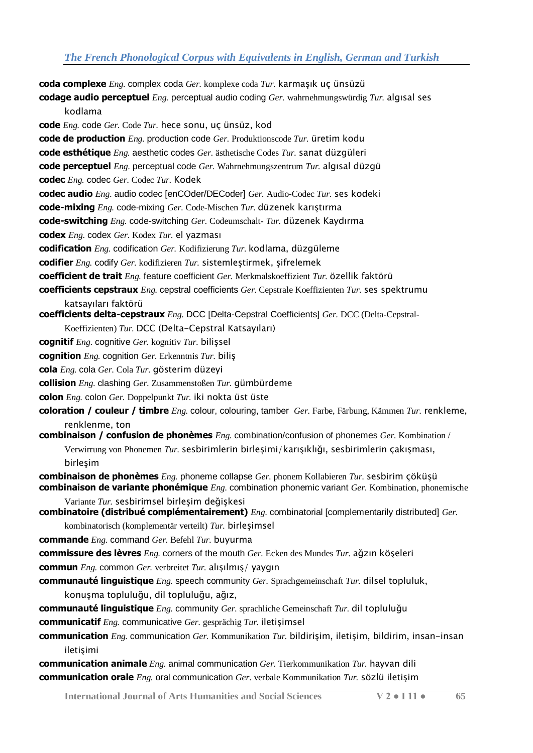**coda complexe** *Eng.* complex coda *Ger.* komplexe coda *Tur.* karmaşık uç ünsüzü **codage audio perceptuel** *Eng.* perceptual audio coding *Ger.* wahrnehmungswürdig *Tur.* algısal ses kodlama **code** *Eng.* code *Ger.* Code *Tur.* hece sonu, uç ünsüz, kod **code de production** *Eng.* production code *Ger.* Produktionscode *Tur.* üretim kodu **code esthétique** *Eng.* aesthetic codes *Ger.* ästhetische Codes *Tur.* sanat düzgüleri **code perceptuel** *Eng.* perceptual code *Ger.* Wahrnehmungszentrum *Tur.* algısal düzgü **codec** *Eng.* codec *Ger.* Codec *Tur.* Kodek **codec audio** *Eng.* audio codec [enCOder/DECoder] *Ger.* Audio-Codec *Tur.* ses kodeki **code-mixing** *Eng.* code-mixing *Ger.* Code-Mischen *Tur.* düzenek karıştırma **code-switching** *Eng.* code-switching *Ger.* Codeumschalt- *Tur.* düzenek Kaydırma **codex** *Eng.* codex *Ger.* Kodex *Tur.* el yazması **codification** *Eng.* codification *Ger.* Kodifizierung *Tur.* kodlama, düzgüleme **codifier** *Eng.* codify *Ger.* kodifizieren *Tur.* sistemleştirmek, şifrelemek **coefficient de trait** *Eng.* feature coefficient *Ger.* Merkmalskoeffizient *Tur.* özellik faktörü **coefficients cepstraux** *Eng.* cepstral coefficients *Ger.* Cepstrale Koeffizienten *Tur.* ses spektrumu katsayıları faktörü **coefficients delta-cepstraux** *Eng.* DCC [Delta-Cepstral Coefficients] *Ger.* DCC (Delta-Cepstral-Koeffizienten) *Tur.* DCC (Delta-Cepstral Katsayıları) **cognitif** *Eng.* cognitive *Ger.* kognitiv *Tur.* bilişsel **cognition** *Eng.* cognition *Ger.* Erkenntnis *Tur.* biliş **cola** *Eng.* cola *Ger.* Cola *Tur.* gösterim düzeyi **collision** *Eng.* clashing *Ger.* Zusammenstoßen *Tur.* gümbürdeme **colon** *Eng.* colon *Ger.* Doppelpunkt *Tur.* iki nokta üst üste **coloration / couleur / timbre** *Eng.* colour, colouring, tamber *Ger.* Farbe, Färbung, Kämmen *Tur.* renkleme, renklenme, ton **combinaison / confusion de phonèmes** *Eng.* combination/confusion of phonemes *Ger.* Kombination / Verwirrung von Phonemen *Tur.* sesbirimlerin birleşimi/karışıklığı, sesbirimlerin çakışması, birleşim **combinaison de phonèmes** *Eng.* phoneme collapse *Ger.* phonem Kollabieren *Tur.* sesbirim çöküşü **combinaison de variante phonémique** *Eng.* combination phonemic variant *Ger.* Kombination, phonemische Variante *Tur.* sesbirimsel birleşim değişkesi **combinatoire (distribué complémentairement)** *Eng.* combinatorial [complementarily distributed] *Ger.*  kombinatorisch (komplementär verteilt) *Tur.* birleşimsel **commande** *Eng.* command *Ger.* Befehl *Tur.* buyurma **commissure des lèvres** *Eng.* corners of the mouth *Ger.* Ecken des Mundes *Tur.* ağzın köşeleri **commun** *Eng.* common *Ger.* verbreitet *Tur.* alışılmış/ yaygın **communauté linguistique** *Eng.* speech community *Ger.* Sprachgemeinschaft *Tur.* dilsel topluluk, konuşma topluluğu, dil topluluğu, ağız, **communauté linguistique** *Eng.* community *Ger.* sprachliche Gemeinschaft *Tur.* dil topluluğu **communicatif** *Eng.* communicative *Ger.* gesprächig *Tur.* iletişimsel **communication** *Eng.* communication *Ger.* Kommunikation *Tur.* bildirişim, iletişim, bildirim, insan-insan iletişimi **communication animale** *Eng.* animal communication *Ger.* Tierkommunikation *Tur.* hayvan dili

**communication orale** *Eng.* oral communication *Ger.* verbale Kommunikation *Tur.* sözlü iletişim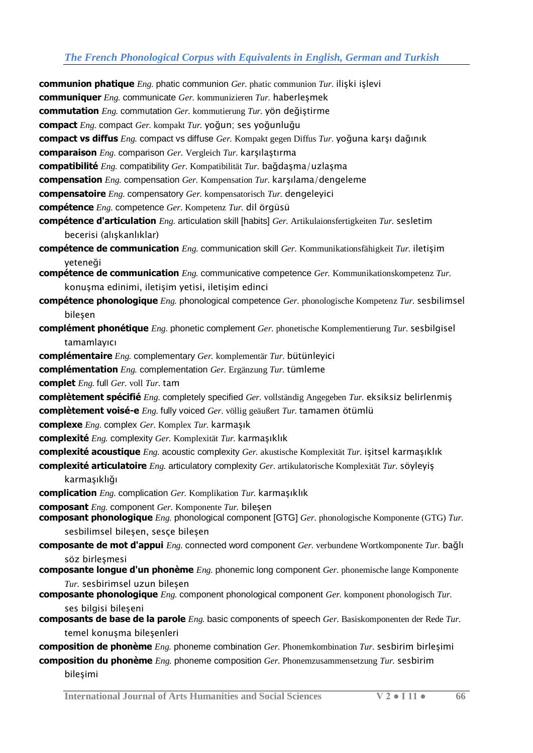**communion phatique** *Eng.* phatic communion *Ger.* phatic communion *Tur.* ilişki işlevi **communiquer** *Eng.* communicate *Ger.* kommunizieren *Tur.* haberleşmek **commutation** *Eng.* commutation *Ger.* kommutierung *Tur.* yön değiştirme **compact** *Eng.* compact *Ger.* kompakt *Tur.* yoğun; ses yoğunluğu **compact vs diffus** *Eng.* compact vs diffuse *Ger.* Kompakt gegen Diffus *Tur.* yoğuna karşı dağınık **comparaison** *Eng.* comparison *Ger.* Vergleich *Tur.* karşılaştırma **compatibilité** *Eng.* compatibility *Ger.* Kompatibilität *Tur.* bağdaşma/uzlaşma **compensation** *Eng.* compensation *Ger.* Kompensation *Tur.* karşılama/dengeleme **compensatoire** *Eng.* compensatory *Ger.* kompensatorisch *Tur.* dengeleyici **compétence** *Eng.* competence *Ger.* Kompetenz *Tur.* dil örgüsü **compétence d'articulation** *Eng.* articulation skill [habits] *Ger.* Artikulaionsfertigkeiten *Tur.* sesletim becerisi (alışkanlıklar) **compétence de communication** *Eng.* communication skill *Ger.* Kommunikationsfähigkeit *Tur.* iletişim yeteneği **compétence de communication** *Eng.* communicative competence *Ger.* Kommunikationskompetenz *Tur.*  konuşma edinimi, iletişim yetisi, iletişim edinci **compétence phonologique** *Eng.* phonological competence *Ger.* phonologische Kompetenz *Tur.* sesbilimsel bileşen **complément phonétique** *Eng.* phonetic complement *Ger.* phonetische Komplementierung *Tur.* sesbilgisel tamamlayıcı **complémentaire** *Eng.* complementary *Ger.* komplementär *Tur.* bütünleyici **complémentation** *Eng.* complementation *Ger.* Ergänzung *Tur.* tümleme **complet** *Eng.* full *Ger.* voll *Tur.* tam **complètement spécifié** *Eng.* completely specified *Ger.* vollständig Angegeben *Tur.* eksiksiz belirlenmiş **complètement voisé-e** *Eng.* fully voiced *Ger.* völlig geäußert *Tur.* tamamen ötümlü **complexe** *Eng.* complex *Ger.* Komplex *Tur.* karmaşık **complexité** *Eng.* complexity *Ger.* Komplexität *Tur.* karmaşıklık **complexité acoustique** *Eng.* acoustic complexity *Ger.* akustische Komplexität *Tur.* işitsel karmaşıklık **complexité articulatoire** *Eng.* articulatory complexity *Ger.* artikulatorische Komplexität *Tur.* söyleyiş karmaşıklığı **complication** *Eng.* complication *Ger.* Komplikation *Tur.* karmaşıklık **composant** *Eng.* component *Ger.* Komponente *Tur.* bileşen **composant phonologique** *Eng.* phonological component [GTG] *Ger.* phonologische Komponente (GTG) *Tur.*  sesbilimsel bileşen, sesçe bileşen **composante de mot d'appui** *Eng.* connected word component *Ger.* verbundene Wortkomponente *Tur.* bağlı söz birleşmesi **composante longue d'un phonème** *Eng.* phonemic long component *Ger.* phonemische lange Komponente *Tur.* sesbirimsel uzun bileşen **composante phonologique** *Eng.* component phonological component *Ger.* komponent phonologisch *Tur.*  ses bilgisi bileşeni **composants de base de la parole** *Eng.* basic components of speech *Ger.* Basiskomponenten der Rede *Tur.*  temel konuşma bileşenleri **composition de phonème** *Eng.* phoneme combination *Ger.* Phonemkombination *Tur.* sesbirim birleşimi **composition du phonème** *Eng.* phoneme composition *Ger.* Phonemzusammensetzung *Tur.* sesbirim

bileşimi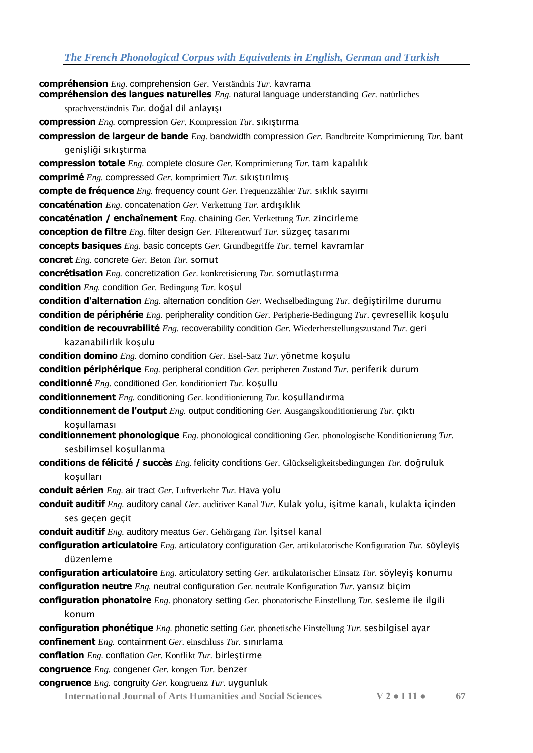**compréhension** *Eng.* comprehension *Ger.* Verständnis *Tur.* kavrama **compréhension des langues naturelles** *Eng.* natural language understanding *Ger.* natürliches sprachverständnis *Tur.* doğal dil anlayışı **compression** *Eng.* compression *Ger.* Kompression *Tur.* sıkıştırma **compression de largeur de bande** *Eng.* bandwidth compression *Ger.* Bandbreite Komprimierung *Tur.* bant genişliği sıkıştırma **compression totale** *Eng.* complete closure *Ger.* Komprimierung *Tur.* tam kapalılık **comprimé** *Eng.* compressed *Ger.* komprimiert *Tur.* sıkıştırılmış **compte de fréquence** *Eng.* frequency count *Ger.* Frequenzzähler *Tur.* sıklık sayımı **concaténation** *Eng.* concatenation *Ger.* Verkettung *Tur.* ardışıklık **concaténation / enchaînement** *Eng.* chaining *Ger.* Verkettung *Tur.* zincirleme **conception de filtre** *Eng.* filter design *Ger.* Filterentwurf *Tur.* süzgeç tasarımı **concepts basiques** *Eng.* basic concepts *Ger.* Grundbegriffe *Tur.* temel kavramlar **concret** *Eng.* concrete *Ger.* Beton *Tur.* somut **concrétisation** *Eng.* concretization *Ger.* konkretisierung *Tur.* somutlaştırma **condition** *Eng.* condition *Ger.* Bedingung *Tur.* koşul **condition d'alternation** *Eng.* alternation condition *Ger.* Wechselbedingung *Tur.* değiştirilme durumu **condition de périphérie** *Eng.* peripherality condition *Ger.* Peripherie-Bedingung *Tur.* çevresellik koşulu **condition de recouvrabilité** *Eng.* recoverability condition *Ger.* Wiederherstellungszustand *Tur.* geri kazanabilirlik koşulu **condition domino** *Eng.* domino condition *Ger.* Esel-Satz *Tur.* yönetme koşulu **condition périphérique** *Eng.* peripheral condition *Ger.* peripheren Zustand *Tur.* periferik durum **conditionné** *Eng.* conditioned *Ger.* konditioniert *Tur.* koşullu **conditionnement** *Eng.* conditioning *Ger.* konditionierung *Tur.* koşullandırma **conditionnement de l'output** *Eng.* output conditioning *Ger.* Ausgangskonditionierung *Tur.* çıktı koşullaması **conditionnement phonologique** *Eng.* phonological conditioning *Ger.* phonologische Konditionierung *Tur.*  sesbilimsel koşullanma **conditions de félicité / succès** *Eng.* felicity conditions *Ger.* Glückseligkeitsbedingungen *Tur.* doğruluk koşulları **conduit aérien** *Eng.* air tract *Ger.* Luftverkehr *Tur.* Hava yolu **conduit auditif** *Eng.* auditory canal *Ger.* auditiver Kanal *Tur.* Kulak yolu, işitme kanalı, kulakta içinden ses geçen geçit **conduit auditif** *Eng.* auditory meatus *Ger.* Gehörgang *Tur.* İşitsel kanal **configuration articulatoire** *Eng.* articulatory configuration *Ger.* artikulatorische Konfiguration *Tur.* söyleyiş düzenleme **configuration articulatoire** *Eng.* articulatory setting *Ger.* artikulatorischer Einsatz *Tur.* söyleyiş konumu **configuration neutre** *Eng.* neutral configuration *Ger.* neutrale Konfiguration *Tur.* yansız biçim **configuration phonatoire** *Eng.* phonatory setting *Ger.* phonatorische Einstellung *Tur.* sesleme ile ilgili konum **configuration phonétique** *Eng.* phonetic setting *Ger.* phonetische Einstellung *Tur.* sesbilgisel ayar **confinement** *Eng.* containment *Ger.* einschluss *Tur.* sınırlama **conflation** *Eng.* conflation *Ger.* Konflikt *Tur.* birleştirme **congruence** *Eng.* congener *Ger.* kongen *Tur.* benzer

**congruence** *Eng.* congruity *Ger.* kongruenz *Tur.* uygunluk

**International Journal of Arts Humanities and Social Sciences V 2 ● I 11 ● 67**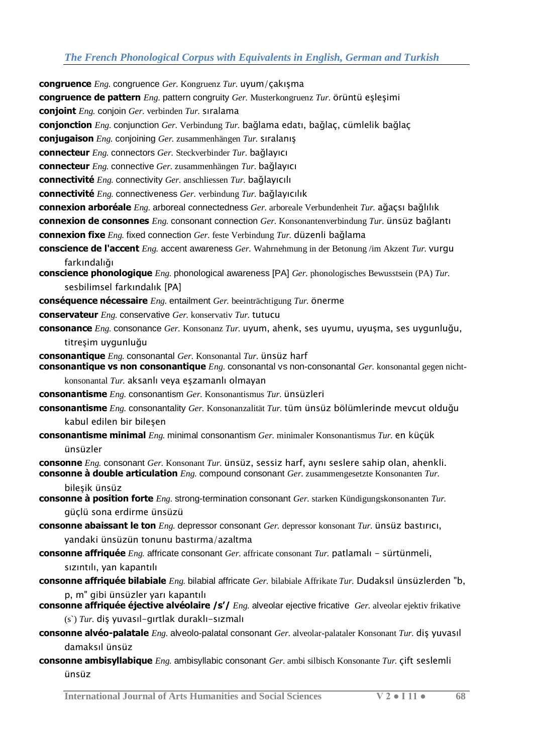**congruence** *Eng.* congruence *Ger.* Kongruenz *Tur.* uyum/çakışma **congruence de pattern** *Eng.* pattern congruity *Ger.* Musterkongruenz *Tur.* örüntü eşleşimi **conjoint** *Eng.* conjoin *Ger.* verbinden *Tur.* sıralama **conjonction** *Eng.* conjunction *Ger.* Verbindung *Tur.* bağlama edatı, bağlaç, cümlelik bağlaç **conjugaison** *Eng.* conjoining *Ger.* zusammenhängen *Tur.* sıralanış **connecteur** *Eng.* connectors *Ger.* Steckverbinder *Tur.* bağlayıcı **connecteur** *Eng.* connective *Ger.* zusammenhängen *Tur.* bağlayıcı **connectivité** *Eng.* connectivity *Ger.* anschliessen *Tur.* bağlayıcılı **connectivité** *Eng.* connectiveness *Ger.* verbindung *Tur.* bağlayıcılık **connexion arboréale** *Eng.* arboreal connectedness *Ger.* arboreale Verbundenheit *Tur.* ağaçsı bağlılık **connexion de consonnes** *Eng.* consonant connection *Ger.* Konsonantenverbindung *Tur.* ünsüz bağlantı **connexion fixe** *Eng.* fixed connection *Ger.* feste Verbindung *Tur.* düzenli bağlama **conscience de l'accent** *Eng.* accent awareness *Ger.* Wahrnehmung in der Betonung /im Akzent *Tur.* vurgu farkındalığı **conscience phonologique** *Eng.* phonological awareness [PA] *Ger.* phonologisches Bewusstsein (PA) *Tur.*  sesbilimsel farkındalık [PA] **conséquence nécessaire** *Eng.* entailment *Ger.* beeinträchtigung *Tur.* önerme **conservateur** *Eng.* conservative *Ger.* konservativ *Tur.* tutucu **consonance** *Eng.* consonance *Ger.* Konsonanz *Tur.* uyum, ahenk, ses uyumu, uyuşma, ses uygunluğu, titreşim uygunluğu **consonantique** *Eng.* consonantal *Ger.* Konsonantal *Tur.* ünsüz harf **consonantique vs non consonantique** *Eng.* consonantal vs non-consonantal *Ger.* konsonantal gegen nichtkonsonantal *Tur.* aksanlı veya eşzamanlı olmayan **consonantisme** *Eng.* consonantism *Ger.* Konsonantismus *Tur.* ünsüzleri **consonantisme** *Eng.* consonantality *Ger.* Konsonanzalität *Tur.* tüm ünsüz bölümlerinde mevcut olduğu kabul edilen bir bileşen **consonantisme minimal** *Eng.* minimal consonantism *Ger.* minimaler Konsonantismus *Tur.* en küçük ünsüzler **consonne** *Eng.* consonant *Ger.* Konsonant *Tur.* ünsüz, sessiz harf, aynı seslere sahip olan, ahenkli. **consonne à double articulation** *Eng.* compound consonant *Ger.* zusammengesetzte Konsonanten *Tur.*  bileşik ünsüz **consonne à position forte** *Eng.* strong-termination consonant *Ger.* starken Kündigungskonsonanten *Tur.*  güçlü sona erdirme ünsüzü **consonne abaissant le ton** *Eng.* depressor consonant *Ger.* depressor konsonant *Tur.* ünsüz bastırıcı, yandaki ünsüzün tonunu bastırma/azaltma **consonne affriquée** *Eng.* affricate consonant *Ger.* affricate consonant *Tur.* patlamalı - sürtünmeli, sızıntılı, yan kapantılı **consonne affriquée bilabiale** *Eng.* bilabial affricate *Ger.* bilabiale Affrikate *Tur.* Dudaksıl ünsüzlerden "b, p, m" gibi ünsüzler yarı kapantılı **consonne affriquée éjective alvéolaire /s'/** *Eng.* alveolar ejective fricative *Ger.* alveolar ejektiv frikative (s`) *Tur.* diş yuvasıl-gırtlak duraklı-sızmalı **consonne alvéo-palatale** *Eng.* alveolo-palatal consonant *Ger.* alveolar-palataler Konsonant *Tur.* diş yuvasıl damaksıl ünsüz

**consonne ambisyllabique** *Eng.* ambisyllabic consonant *Ger.* ambi silbisch Konsonante *Tur.* çift seslemli ünsüz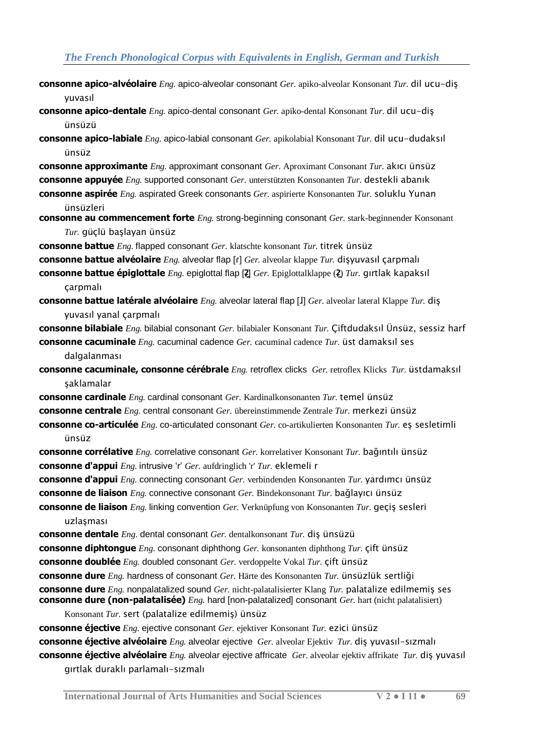- **consonne apico-alvéolaire** *Eng.* apico-alveolar consonant *Ger.* apiko-alveolar Konsonant *Tur.* dil ucu-diş yuvasıl
- **consonne apico-dentale** *Eng.* apico-dental consonant *Ger.* apiko-dental Konsonant *Tur.* dil ucu-diş ünsüzü
- **consonne apico-labiale** *Eng.* apico-labial consonant *Ger.* apikolabial Konsonant *Tur.* dil ucu-dudaksıl ünsüz
- **consonne approximante** *Eng.* approximant consonant *Ger.* Aproximant Consonant *Tur.* akıcı ünsüz **consonne appuyée** *Eng.* supported consonant *Ger.* unterstützten Konsonanten *Tur.* destekli abanık
- **consonne aspirée** *Eng.* aspirated Greek consonants *Ger.* aspirierte Konsonanten *Tur.* soluklu Yunan ünsüzleri
- **consonne au commencement forte** *Eng.* strong-beginning consonant *Ger.* stark-beginnender Konsonant *Tur.* güçlü başlayan ünsüz
- **consonne battue** *Eng.* flapped consonant *Ger.* klatschte konsonant *Tur.* titrek ünsüz
- **consonne battue alvéolaire** *Eng.* alveolar flap [ɾ] *Ger.* alveolar klappe *Tur.* dişyuvasıl çarpmalı
- **consonne battue épiglottale** *Eng.* epiglottal flap [ʡ**̯**] *Ger.* Epiglottalklappe (ʡ**̯**) *Tur.* gırtlak kapaksıl çarpmalı
- **consonne battue latérale alvéolaire** *Eng.* alveolar lateral flap [ɺ] *Ger.* alveolar lateral Klappe *Tur.* diş yuvasıl yanal çarpmalı
- **consonne bilabiale** *Eng.* bilabial consonant *Ger.* bilabialer Konsonant *Tur.* Çiftdudaksıl Ünsüz, sessiz harf **consonne cacuminale** *Eng.* cacuminal cadence *Ger.* cacuminal cadence *Tur.* üst damaksıl ses
	- dalgalanması
- **consonne cacuminale, consonne cérébrale** *Eng.* retroflex clicks *Ger.* retroflex Klicks *Tur.* üstdamaksıl şaklamalar
- **consonne cardinale** *Eng.* cardinal consonant *Ger.* Kardinalkonsonanten *Tur.* temel ünsüz **consonne centrale** *Eng.* central consonant *Ger.* übereinstimmende Zentrale *Tur.* merkezi ünsüz **consonne co-articulée** *Eng.* co-articulated consonant *Ger.* co-artikulierten Konsonanten *Tur.* eş sesletimli ünsüz
- **consonne corrélative** *Eng.* correlative consonant *Ger.* korrelativer Konsonant *Tur.* bağıntılı ünsüz **consonne d'appui** *Eng.* intrusive 'r' *Ger.* aufdringlich 'r' *Tur.* eklemeli r
- **consonne d'appui** *Eng.* connecting consonant *Ger.* verbindenden Konsonanten *Tur.* yardımcı ünsüz **consonne de liaison** *Eng.* connective consonant *Ger.* Bindekonsonant *Tur.* bağlayıcı ünsüz
- **consonne de liaison** *Eng.* linking convention *Ger.* Verknüpfung von Konsonanten *Tur.* geçiş sesleri uzlaşması
- **consonne dentale** *Eng.* dental consonant *Ger.* dentalkonsonant *Tur.* diş ünsüzü **consonne diphtongue** *Eng.* consonant diphthong *Ger.* konsonanten diphthong *Tur.* çift ünsüz **consonne doublée** *Eng.* doubled consonant *Ger.* verdoppelte Vokal *Tur.* çift ünsüz **consonne dure** *Eng.* hardness of consonant *Ger.* Härte des Konsonanten *Tur.* ünsüzlük sertliği **consonne dure** *Eng.* nonpalatalized sound *Ger.* nicht-palatalisierter Klang *Tur.* palatalize edilmemiş ses **consonne dure (non-palatalisée)** *Eng.* hard [non-palatalized] consonant *Ger.* hart (nicht palatalisiert)
- Konsonant *Tur.* sert (palatalize edilmemiş) ünsüz **consonne éjective** *Eng.* ejective consonant *Ger.* ejektiver Konsonant *Tur.* ezici ünsüz **consonne éjective alvéolaire** *Eng.* alveolar ejective *Ger.* alveolar Ejektiv *Tur.* diş yuvasıl-sızmalı **consonne éjective alvéolaire** *Eng.* alveolar ejective affricate *Ger.* alveolar ejektiv affrikate *Tur.* diş yuvasıl
	- gırtlak duraklı parlamalı-sızmalı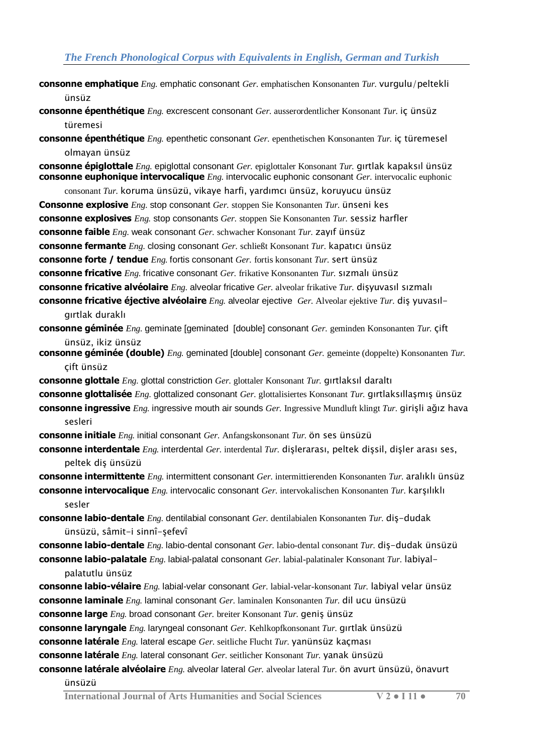- **consonne emphatique** *Eng.* emphatic consonant *Ger.* emphatischen Konsonanten *Tur.* vurgulu/peltekli ünsüz
- **consonne épenthétique** *Eng.* excrescent consonant *Ger.* ausserordentlicher Konsonant *Tur.* iç ünsüz türemesi
- **consonne épenthétique** *Eng.* epenthetic consonant *Ger.* epenthetischen Konsonanten *Tur.* iç türemesel olmayan ünsüz

**consonne épiglottale** *Eng.* epiglottal consonant *Ger.* epiglottaler Konsonant *Tur.* gırtlak kapaksıl ünsüz **consonne euphonique intervocalique** *Eng.* intervocalic euphonic consonant *Ger.* intervocalic euphonic

consonant *Tur.* koruma ünsüzü, vikaye harfi, yardımcı ünsüz, koruyucu ünsüz **Consonne explosive** *Eng.* stop consonant *Ger.* stoppen Sie Konsonanten *Tur.* ünseni kes **consonne explosives** *Eng.* stop consonants *Ger.* stoppen Sie Konsonanten *Tur.* sessiz harfler **consonne faible** *Eng.* weak consonant *Ger.* schwacher Konsonant *Tur.* zayıf ünsüz **consonne fermante** *Eng.* closing consonant *Ger.* schließt Konsonant *Tur.* kapatıcı ünsüz **consonne forte / tendue** *Eng.* fortis consonant *Ger.* fortis konsonant *Tur.* sert ünsüz **consonne fricative** *Eng.* fricative consonant *Ger.* frikative Konsonanten *Tur.* sızmalı ünsüz **consonne fricative alvéolaire** *Eng.* alveolar fricative *Ger.* alveolar frikative *Tur.* dişyuvasıl sızmalı **consonne fricative éjective alvéolaire** *Eng.* alveolar ejective *Ger.* Alveolar ejektive *Tur.* diş yuvasıl-

```
gırtlak duraklı
```
**consonne géminée** *Eng.* geminate [geminated [double] consonant *Ger.* geminden Konsonanten *Tur.* çift ünsüz, ikiz ünsüz

**consonne géminée (double)** *Eng.* geminated [double] consonant *Ger.* gemeinte (doppelte) Konsonanten *Tur.*  çift ünsüz

**consonne glottale** *Eng.* glottal constriction *Ger.* glottaler Konsonant *Tur.* gırtlaksıl daraltı

**consonne glottalisée** *Eng.* glottalized consonant *Ger.* glottalisiertes Konsonant *Tur.* gırtlaksıllaşmış ünsüz **consonne ingressive** *Eng.* ingressive mouth air sounds *Ger.* Ingressive Mundluft klingt *Tur.* girişli ağız hava

sesleri

**consonne initiale** *Eng.* initial consonant *Ger.* Anfangskonsonant *Tur.* ön ses ünsüzü

**consonne interdentale** *Eng.* interdental *Ger.* interdental *Tur.* dişlerarası, peltek dişsil, dişler arası ses, peltek diş ünsüzü

**consonne intermittente** *Eng.* intermittent consonant *Ger.* intermittierenden Konsonanten *Tur.* aralıklı ünsüz **consonne intervocalique** *Eng.* intervocalic consonant *Ger.* intervokalischen Konsonanten *Tur.* karşılıklı sesler

**consonne labio-dentale** *Eng.* dentilabial consonant *Ger.* dentilabialen Konsonanten *Tur.* diş-dudak ünsüzü, sâmit-i sinnî-şefevî

**consonne labio-dentale** *Eng.* labio-dental consonant *Ger.* labio-dental consonant *Tur.* diş-dudak ünsüzü **consonne labio-palatale** *Eng.* labial-palatal consonant *Ger.* labial-palatinaler Konsonant *Tur.* labiyal-

palatutlu ünsüz

**consonne labio-vélaire** *Eng.* labial-velar consonant *Ger.* labial-velar-konsonant *Tur.* labiyal velar ünsüz **consonne laminale** *Eng.* laminal consonant *Ger.* laminalen Konsonanten *Tur.* dil ucu ünsüzü

**consonne large** *Eng.* broad consonant *Ger.* breiter Konsonant *Tur.* geniş ünsüz

**consonne laryngale** *Eng.* laryngeal consonant *Ger.* Kehlkopfkonsonant *Tur.* gırtlak ünsüzü

**consonne latérale** *Eng.* lateral escape *Ger.* seitliche Flucht *Tur.* yanünsüz kaçması

**consonne latérale** *Eng.* lateral consonant *Ger.* seitlicher Konsonant *Tur.* yanak ünsüzü

#### **consonne latérale alvéolaire** *Eng.* alveolar lateral *Ger.* alveolar lateral *Tur.* ön avurt ünsüzü, önavurt ünsüzü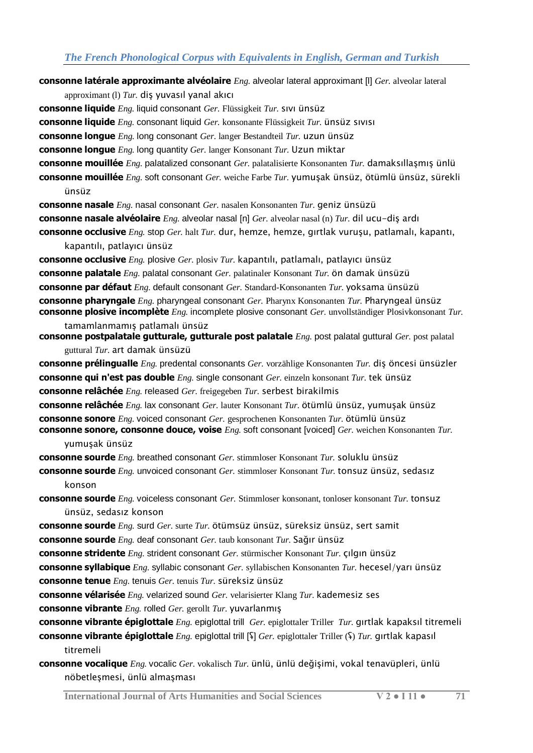**consonne latérale approximante alvéolaire** *Eng.* alveolar lateral approximant [l] *Ger.* alveolar lateral

approximant (l) *Tur.* diş yuvasıl yanal akıcı

**consonne liquide** *Eng.* liquid consonant *Ger.* Flüssigkeit *Tur.* sıvı ünsüz

**consonne liquide** *Eng.* consonant liquid *Ger.* konsonante Flüssigkeit *Tur.* ünsüz sıvısı

**consonne longue** *Eng.* long consonant *Ger.* langer Bestandteil *Tur.* uzun ünsüz

**consonne longue** *Eng.* long quantity *Ger.* langer Konsonant *Tur.* Uzun miktar

**consonne mouillée** *Eng.* palatalized consonant *Ger.* palatalisierte Konsonanten *Tur.* damaksıllaşmış ünlü

**consonne mouillée** *Eng.* soft consonant *Ger.* weiche Farbe *Tur.* yumuşak ünsüz, ötümlü ünsüz, sürekli ünsüz

**consonne nasale** *Eng.* nasal consonant *Ger.* nasalen Konsonanten *Tur.* geniz ünsüzü

**consonne nasale alvéolaire** *Eng.* alveolar nasal [n] *Ger.* alveolar nasal (n) *Tur.* dil ucu-diş ardı

**consonne occlusive** *Eng.* stop *Ger.* halt *Tur.* dur, hemze, hemze, gırtlak vuruşu, patlamalı, kapantı, kapantılı, patlayıcı ünsüz

**consonne occlusive** *Eng.* plosive *Ger.* plosiv *Tur.* kapantılı, patlamalı, patlayıcı ünsüz **consonne palatale** *Eng.* palatal consonant *Ger.* palatinaler Konsonant *Tur.* ön damak ünsüzü **consonne par défaut** *Eng.* default consonant *Ger.* Standard-Konsonanten *Tur.* yoksama ünsüzü **consonne pharyngale** *Eng.* pharyngeal consonant *Ger.* Pharynx Konsonanten *Tur.* Pharyngeal ünsüz **consonne plosive incomplète** *Eng.* incomplete plosive consonant *Ger.* unvollständiger Plosivkonsonant *Tur.* 

tamamlanmamış patlamalı ünsüz **consonne postpalatale gutturale, gutturale post palatale** *Eng.* post palatal guttural *Ger.* post palatal

guttural *Tur.* art damak ünsüzü

**consonne prélingualle** *Eng.* predental consonants *Ger.* vorzählige Konsonanten *Tur.* diş öncesi ünsüzler **consonne qui n'est pas double** *Eng.* single consonant *Ger.* einzeln konsonant *Tur.* tek ünsüz **consonne relâchée** *Eng.* released *Ger.* freigegeben *Tur.* serbest birakilmis

**consonne relâchée** *Eng.* lax consonant *Ger.* lauter Konsonant *Tur.* ötümlü ünsüz, yumuşak ünsüz **consonne sonore** *Eng.* voiced consonant *Ger.* gesprochenen Konsonanten *Tur.* ötümlü ünsüz **consonne sonore, consonne douce, voise** *Eng.* soft consonant [voiced] *Ger.* weichen Konsonanten *Tur.*  yumuşak ünsüz

**consonne sourde** *Eng.* breathed consonant *Ger.* stimmloser Konsonant *Tur.* soluklu ünsüz

**consonne sourde** *Eng.* unvoiced consonant *Ger.* stimmloser Konsonant *Tur.* tonsuz ünsüz, sedasız konson

**consonne sourde** *Eng.* voiceless consonant *Ger.* Stimmloser konsonant, tonloser konsonant *Tur.* tonsuz ünsüz, sedasız konson

**consonne sourde** *Eng.* surd *Ger.* surte *Tur.* ötümsüz ünsüz, süreksiz ünsüz, sert samit

**consonne sourde** *Eng.* deaf consonant *Ger.* taub konsonant *Tur.* Sağır ünsüz

**consonne stridente** *Eng.* strident consonant *Ger.* stürmischer Konsonant *Tur.* çılgın ünsüz

**consonne syllabique** *Eng.* syllabic consonant *Ger.* syllabischen Konsonanten *Tur.* hecesel/yarı ünsüz **consonne tenue** *Eng.* tenuis *Ger.* tenuis *Tur.* süreksiz ünsüz

**consonne vélarisée** *Eng.* velarized sound *Ger.* velarisierter Klang *Tur.* kademesiz ses **consonne vibrante** *Eng.* rolled *Ger.* gerollt *Tur.* yuvarlanmış

**consonne vibrante épiglottale** *Eng.* epiglottal trill *Ger.* epiglottaler Triller *Tur.* gırtlak kapaksıl titremeli

**consonne vibrante épiglottale** *Eng.* epiglottal trill [ʢ] *Ger.* epiglottaler Triller (ʢ) *Tur.* gırtlak kapasıl titremeli

**consonne vocalique** *Eng.* vocalic *Ger.* vokalisch *Tur.* ünlü, ünlü değişimi, vokal tenavüpleri, ünlü nöbetleşmesi, ünlü almaşması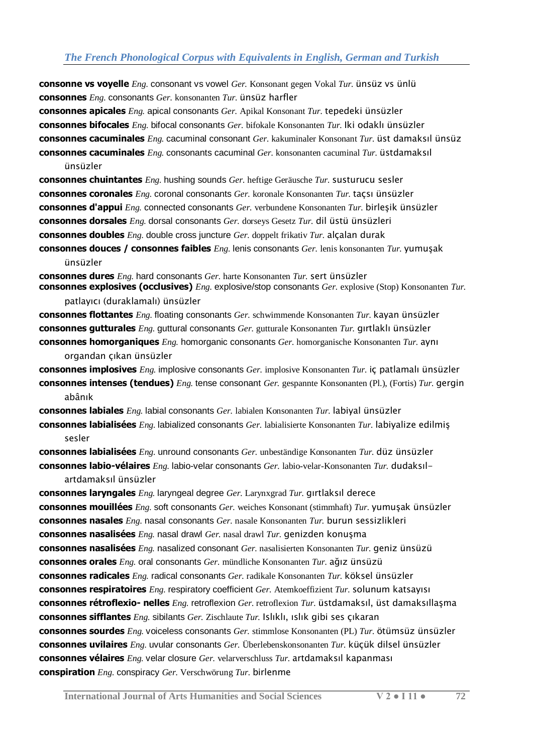**consonne vs voyelle** *Eng.* consonant vs vowel *Ger.* Konsonant gegen Vokal *Tur.* ünsüz vs ünlü **consonnes** *Eng.* consonants *Ger.* konsonanten *Tur.* ünsüz harfler

**consonnes apicales** *Eng.* apical consonants *Ger.* Apikal Konsonant *Tur.* tepedeki ünsüzler **consonnes bifocales** *Eng.* bifocal consonants *Ger.* bifokale Konsonanten *Tur.* Iki odaklı ünsüzler **consonnes cacuminales** *Eng.* cacuminal consonant *Ger.* kakuminaler Konsonant *Tur.* üst damaksıl ünsüz **consonnes cacuminales** *Eng.* consonants cacuminal *Ger.* konsonanten cacuminal *Tur.* üstdamaksıl

#### ünsüzler

**consonnes chuintantes** *Eng.* hushing sounds *Ger.* heftige Geräusche *Tur.* susturucu sesler **consonnes coronales** *Eng.* coronal consonants *Ger.* koronale Konsonanten *Tur.* taçsı ünsüzler **consonnes d'appui** *Eng.* connected consonants *Ger.* verbundene Konsonanten *Tur.* birleşik ünsüzler **consonnes dorsales** *Eng.* dorsal consonants *Ger.* dorseys Gesetz *Tur.* dil üstü ünsüzleri **consonnes doubles** *Eng.* double cross juncture *Ger.* doppelt frikativ *Tur.* alçalan durak

**consonnes douces / consonnes faibles** *Eng.* lenis consonants *Ger.* lenis konsonanten *Tur.* yumuşak ünsüzler

**consonnes dures** *Eng.* hard consonants *Ger.* harte Konsonanten *Tur.* sert ünsüzler **consonnes explosives (occlusives)** *Eng.* explosive/stop consonants *Ger.* explosive (Stop) Konsonanten *Tur.*  patlayıcı (duraklamalı) ünsüzler

**consonnes flottantes** *Eng.* floating consonants *Ger.* schwimmende Konsonanten *Tur.* kayan ünsüzler **consonnes gutturales** *Eng.* guttural consonants *Ger.* gutturale Konsonanten *Tur.* gırtlaklı ünsüzler **consonnes homorganiques** *Eng.* homorganic consonants *Ger.* homorganische Konsonanten *Tur.* aynı

organdan çıkan ünsüzler

**consonnes implosives** *Eng.* implosive consonants *Ger.* implosive Konsonanten *Tur.* iç patlamalı ünsüzler **consonnes intenses (tendues)** *Eng.* tense consonant *Ger.* gespannte Konsonanten (Pl.), (Fortis) *Tur.* gergin abânık

**consonnes labiales** *Eng.* labial consonants *Ger.* labialen Konsonanten *Tur.* labiyal ünsüzler **consonnes labialisées** *Eng.* labialized consonants *Ger.* labialisierte Konsonanten *Tur.* labiyalize edilmiş sesler

**consonnes labialisées** *Eng.* unround consonants *Ger.* unbeständige Konsonanten *Tur.* düz ünsüzler **consonnes labio-vélaires** *Eng.* labio-velar consonants *Ger.* labio-velar-Konsonanten *Tur.* dudaksıl-

#### artdamaksıl ünsüzler

**consonnes laryngales** *Eng.* laryngeal degree *Ger.* Larynxgrad *Tur.* gırtlaksıl derece **consonnes mouillées** *Eng.* soft consonants *Ger.* weiches Konsonant (stimmhaft) *Tur.* yumuşak ünsüzler **consonnes nasales** *Eng.* nasal consonants *Ger.* nasale Konsonanten *Tur.* burun sessizlikleri **consonnes nasalisées** *Eng.* nasal drawl *Ger.* nasal drawl *Tur.* genizden konuşma **consonnes nasalisées** *Eng.* nasalized consonant *Ger.* nasalisierten Konsonanten *Tur.* geniz ünsüzü **consonnes orales** *Eng.* oral consonants *Ger.* mündliche Konsonanten *Tur.* ağız ünsüzü **consonnes radicales** *Eng.* radical consonants *Ger.* radikale Konsonanten *Tur.* köksel ünsüzler **consonnes respiratoires** *Eng.* respiratory coefficient *Ger.* Atemkoeffizient *Tur.* solunum katsayısı **consonnes rétroflexio- nelles** *Eng.* retroflexion *Ger.* retroflexion *Tur.* üstdamaksıl, üst damaksıllaşma **consonnes sifflantes** *Eng.* sibilants *Ger.* Zischlaute *Tur.* Islıklı, ıslık gibi ses çıkaran **consonnes sourdes** *Eng.* voiceless consonants *Ger.* stimmlose Konsonanten (PL) *Tur.* ötümsüz ünsüzler **consonnes uvilaires** *Eng.* uvular consonants *Ger.* Überlebenskonsonanten *Tur.* küçük dilsel ünsüzler **consonnes vélaires** *Eng.* velar closure *Ger.* velarverschluss *Tur.* artdamaksıl kapanması **conspiration** *Eng.* conspiracy *Ger.* Verschwörung *Tur.* birlenme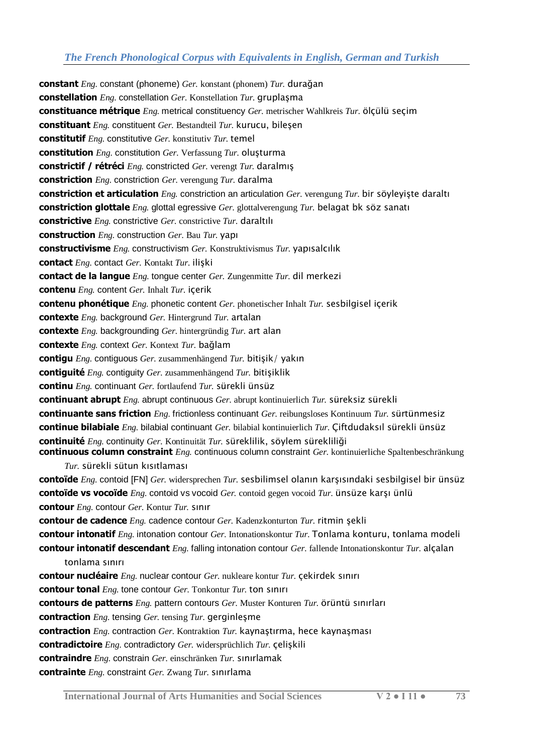**constant** *Eng.* constant (phoneme) *Ger.* konstant (phonem) *Tur.* durağan **constellation** *Eng.* constellation *Ger.* Konstellation *Tur.* gruplaşma **constituance métrique** *Eng.* metrical constituency *Ger.* metrischer Wahlkreis *Tur.* ölçülü seçim **constituant** *Eng.* constituent *Ger.* Bestandteil *Tur.* kurucu, bileşen **constitutif** *Eng.* constitutive *Ger.* konstitutiv *Tur.* temel **constitution** *Eng.* constitution *Ger.* Verfassung *Tur.* oluşturma **constrictif / rétréci** *Eng.* constricted *Ger.* verengt *Tur.* daralmış **constriction** *Eng.* constriction *Ger.* verengung *Tur.* daralma **constriction et articulation** *Eng.* constriction an articulation *Ger.* verengung *Tur.* bir söyleyişte daraltı **constriction glottale** *Eng.* glottal egressive *Ger.* glottalverengung *Tur.* belagat bk söz sanatı **constrictive** *Eng.* constrictive *Ger.* constrictive *Tur.* daraltılı **construction** *Eng.* construction *Ger.* Bau *Tur.* yapı **constructivisme** *Eng.* constructivism *Ger.* Konstruktivismus *Tur.* yapısalcılık **contact** *Eng.* contact *Ger.* Kontakt *Tur.* ilişki **contact de la langue** *Eng.* tongue center *Ger.* Zungenmitte *Tur.* dil merkezi **contenu** *Eng.* content *Ger.* Inhalt *Tur.* içerik **contenu phonétique** *Eng.* phonetic content *Ger.* phonetischer Inhalt *Tur.* sesbilgisel içerik **contexte** *Eng.* background *Ger.* Hintergrund *Tur.* artalan **contexte** *Eng.* backgrounding *Ger.* hintergründig *Tur.* art alan **contexte** *Eng.* context *Ger.* Kontext *Tur.* bağlam **contigu** *Eng.* contiguous *Ger.* zusammenhängend *Tur.* bitişik/ yakın **contiguité** *Eng.* contiguity *Ger.* zusammenhängend *Tur.* bitişiklik **continu** *Eng.* continuant *Ger.* fortlaufend *Tur.* sürekli ünsüz **continuant abrupt** *Eng.* abrupt continuous *Ger.* abrupt kontinuierlich *Tur.* süreksiz sürekli **continuante sans friction** *Eng.* frictionless continuant *Ger.* reibungsloses Kontinuum *Tur.* sürtünmesiz **continue bilabiale** *Eng.* bilabial continuant *Ger.* bilabial kontinuierlich *Tur.* Çiftdudaksıl sürekli ünsüz **continuité** *Eng.* continuity *Ger.* Kontinuität *Tur.* süreklilik, söylem sürekliliği **continuous column constraint** *Eng.* continuous column constraint *Ger.* kontinuierliche Spaltenbeschränkung *Tur.* sürekli sütun kısıtlaması **contoïde** *Eng.* contoid [FN] *Ger.* widersprechen *Tur.* sesbilimsel olanın karşısındaki sesbilgisel bir ünsüz **contoïde vs vocoïde** *Eng.* contoid vs vocoid *Ger.* contoid gegen vocoid *Tur.* ünsüze karşı ünlü **contour** *Eng.* contour *Ger.* Kontur *Tur.* sınır **contour de cadence** *Eng.* cadence contour *Ger.* Kadenzkonturton *Tur.* ritmin şekli **contour intonatif** *Eng.* intonation contour *Ger.* Intonationskontur *Tur.* Tonlama konturu, tonlama modeli **contour intonatif descendant** *Eng.* falling intonation contour *Ger.* fallende Intonationskontur *Tur.* alçalan tonlama sınırı **contour nucléaire** *Eng.* nuclear contour *Ger.* nukleare kontur *Tur.* çekirdek sınırı **contour tonal** *Eng.* tone contour *Ger.* Tonkontur *Tur.* ton sınırı **contours de patterns** *Eng.* pattern contours *Ger.* Muster Konturen *Tur.* örüntü sınırları **contraction** *Eng.* tensing *Ger.* tensing *Tur.* gerginleşme **contraction** *Eng.* contraction *Ger.* Kontraktion *Tur.* kaynaştırma, hece kaynaşması **contradictoire** *Eng.* contradictory *Ger.* widersprüchlich *Tur.* çelişkili **contraindre** *Eng.* constrain *Ger.* einschränken *Tur.* sınırlamak **contrainte** *Eng.* constraint *Ger.* Zwang *Tur.* sınırlama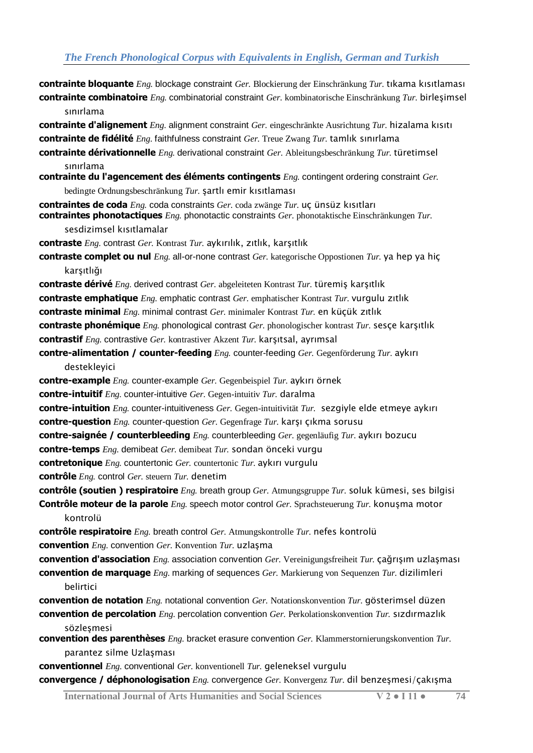**contrainte bloquante** *Eng.* blockage constraint *Ger.* Blockierung der Einschränkung *Tur.* tıkama kısıtlaması **contrainte combinatoire** *Eng.* combinatorial constraint *Ger.* kombinatorische Einschränkung *Tur.* birleşimsel sınırlama

**contrainte d'alignement** *Eng.* alignment constraint *Ger.* eingeschränkte Ausrichtung *Tur.* hizalama kısıtı **contrainte de fidélité** *Eng.* faithfulness constraint *Ger.* Treue Zwang *Tur.* tamlık sınırlama

**contrainte dérivationnelle** *Eng.* derivational constraint *Ger.* Ableitungsbeschränkung *Tur.* türetimsel sınırlama

**contrainte du l'agencement des éléments contingents** *Eng.* contingent ordering constraint *Ger.* bedingte Ordnungsbeschränkung *Tur.* şartlı emir kısıtlaması

**contraintes de coda** *Eng.* coda constraints *Ger.* coda zwänge *Tur.* uç ünsüz kısıtları **contraintes phonotactiques** *Eng.* phonotactic constraints *Ger.* phonotaktische Einschränkungen *Tur.* 

sesdizimsel kısıtlamalar

**contraste** *Eng.* contrast *Ger.* Kontrast *Tur.* aykırılık, zıtlık, karşıtlık

**contraste complet ou nul** *Eng.* all-or-none contrast *Ger.* kategorische Oppostionen *Tur.* ya hep ya hiç karsıtlığı

**contraste dérivé** *Eng.* derived contrast *Ger.* abgeleiteten Kontrast *Tur.* türemiş karşıtlık

**contraste emphatique** *Eng.* emphatic contrast *Ger.* emphatischer Kontrast *Tur.* vurgulu zıtlık

**contraste minimal** *Eng.* minimal contrast *Ger.* minimaler Kontrast *Tur.* en küçük zıtlık

**contraste phonémique** *Eng.* phonological contrast *Ger.* phonologischer kontrast *Tur.* sesçe karşıtlık

**contrastif** *Eng.* contrastive *Ger.* kontrastiver Akzent *Tur.* karşıtsal, ayrımsal

**contre-alimentation / counter-feeding** *Eng.* counter-feeding *Ger.* Gegenförderung *Tur.* aykırı destekleyici

**contre-example** *Eng.* counter-example *Ger.* Gegenbeispiel *Tur.* aykırı örnek

**contre-intuitif** *Eng.* counter-intuitive *Ger.* Gegen-intuitiv *Tur.* daralma

**contre-intuition** *Eng.* counter-intuitiveness *Ger.* Gegen-intuitivität *Tur.* sezgiyle elde etmeye aykırı

**contre-question** *Eng.* counter-question *Ger.* Gegenfrage *Tur.* karşı çıkma sorusu

**contre-saignée / counterbleeding** *Eng.* counterbleeding *Ger.* gegenläufig *Tur.* aykırı bozucu

**contre-temps** *Eng.* demibeat *Ger.* demibeat *Tur.* sondan önceki vurgu

**contretonique** *Eng.* countertonic *Ger.* countertonic *Tur.* aykırı vurgulu

**contrôle** *Eng.* control *Ger.* steuern *Tur.* denetim

**contrôle (soutien ) respiratoire** *Eng.* breath group *Ger.* Atmungsgruppe *Tur.* soluk kümesi, ses bilgisi

**Contrôle moteur de la parole** *Eng.* speech motor control *Ger.* Sprachsteuerung *Tur.* konuşma motor kontrolü

**contrôle respiratoire** *Eng.* breath control *Ger.* Atmungskontrolle *Tur.* nefes kontrolü **convention** *Eng.* convention *Ger.* Konvention *Tur.* uzlaşma

**convention d'association** *Eng.* association convention *Ger.* Vereinigungsfreiheit *Tur.* çağrışım uzlaşması **convention de marquage** *Eng.* marking of sequences *Ger.* Markierung von Sequenzen *Tur.* dizilimleri

#### belirtici

**convention de notation** *Eng.* notational convention *Ger.* Notationskonvention *Tur.* gösterimsel düzen

**convention de percolation** *Eng.* percolation convention *Ger.* Perkolationskonvention *Tur.* sızdırmazlık sözleşmesi

**convention des parenthèses** *Eng.* bracket erasure convention *Ger.* Klammerstornierungskonvention *Tur.*  parantez silme Uzlaşması

**conventionnel** *Eng.* conventional *Ger.* konventionell *Tur.* geleneksel vurgulu

**convergence / déphonologisation** *Eng.* convergence *Ger.* Konvergenz *Tur.* dil benzeşmesi/çakışma

**International Journal of Arts Humanities and Social Sciences V 2 ● I 11 ● 74**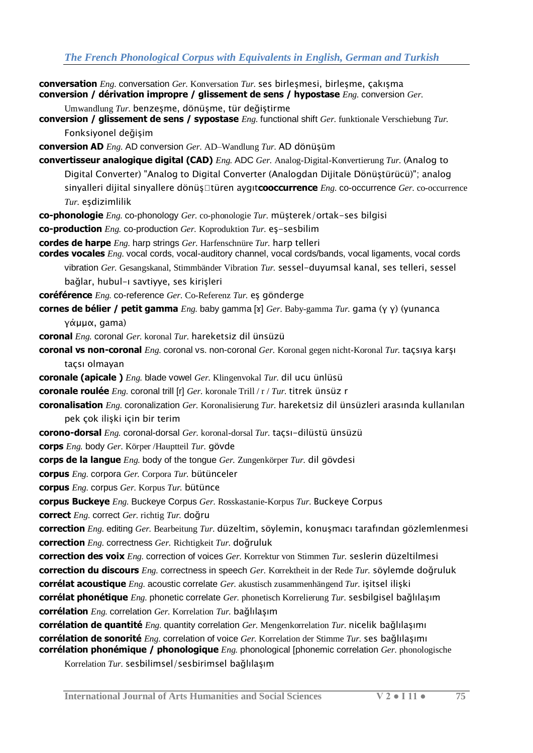| <b>conversation</b> <i>Eng.</i> conversation <i>Ger.</i> Konversation <i>Tur.</i> ses birleşmesi, birleşme, çakışma<br>conversion / dérivation impropre / glissement de sens / hypostase $Eng.$ conversion $Ger.$                  |
|------------------------------------------------------------------------------------------------------------------------------------------------------------------------------------------------------------------------------------|
| Umwandlung Tur. benzeşme, dönüşme, tür değiştirme<br>conversion / glissement de sens / sypostase <i>Eng.</i> functional shift <i>Ger.</i> funktionale Verschiebung Tur.                                                            |
| Fonksiyonel değişim                                                                                                                                                                                                                |
| <b>conversion AD</b> $Eng.$ AD conversion $Ger.$ AD-Wandlung Tur. AD dönüşüm                                                                                                                                                       |
| <b>convertisseur analogique digital (CAD)</b> <i>Eng.</i> ADC <i>Ger.</i> Analog-Digital-Konvertierung <i>Tur.</i> (Analog to                                                                                                      |
| Digital Converter) "Analog to Digital Converter (Analogdan Dijitale Dönüştürücü)"; analog                                                                                                                                          |
| sinyalleri dijital sinyallere dönüş vtüren aygıtcooccurrence Eng. co-occurrence Ger. co-occurrence                                                                                                                                 |
| Tur. eşdizimlilik                                                                                                                                                                                                                  |
| co-phonologie <i>Eng.</i> co-phonology <i>Ger.</i> co-phonologie <i>Tur.</i> müşterek/ortak-ses bilgisi                                                                                                                            |
| co-production <i>Eng.</i> co-production <i>Ger.</i> Koproduktion <i>Tur.</i> eş-sesbilim                                                                                                                                           |
| cordes de harpe <i>Eng.</i> harp strings <i>Ger.</i> Harfenschnüre Tur. harp telleri<br>cordes vocales Eng. vocal cords, vocal-auditory channel, vocal cords/bands, vocal ligaments, vocal cords                                   |
| vibration Ger. Gesangskanal, Stimmbänder Vibration Tur. sessel-duyumsal kanal, ses telleri, sessel<br>bağlar, hubul-ı savtiyye, ses kirişleri                                                                                      |
| coréférence Eng. co-reference Ger. Co-Referenz Tur. es gönderge                                                                                                                                                                    |
| <b>cornes de bélier / petit gamma</b> Eng. baby gamma [x] Ger. Baby-gamma Tur. gama ( $\gamma$ $\gamma$ ) (yunanca                                                                                                                 |
| γάμμα, gama)                                                                                                                                                                                                                       |
| coronal Eng. coronal Ger. koronal Tur. hareketsiz dil ünsüzü                                                                                                                                                                       |
| coronal vs non-coronal <i>Eng.</i> coronal vs. non-coronal Ger. Koronal gegen nicht-Koronal Tur. taçsıya karşı                                                                                                                     |
| taçsı olmayan                                                                                                                                                                                                                      |
| coronale (apicale ) Eng. blade vowel Ger. Klingenvokal Tur. dil ucu ünlüsü                                                                                                                                                         |
| <b>coronale roulée</b> <i>Eng.</i> coronal trill [r] <i>Ger.</i> koronale Trill / $r$ / <i>Tur.</i> titrek ünsüz r                                                                                                                 |
| <b>coronalisation</b> $Eng$ . coronalization Ger. Koronalisierung Tur. hareketsiz dil ünsüzleri arasında kullanılan                                                                                                                |
| pek çok ilişki için bir terim                                                                                                                                                                                                      |
| corono-dorsal <i>Eng.</i> coronal-dorsal <i>Ger.</i> koronal-dorsal <i>Tur.</i> taçsı-dilüstü ünsüzü                                                                                                                               |
| corps Eng. body Ger. Körper /Hauptteil Tur. gövde                                                                                                                                                                                  |
| corps de la langue <i>Eng.</i> body of the tongue <i>Ger.</i> Zungenkörper Tur. dil gövdesi                                                                                                                                        |
| corpus Eng. corpora Ger. Corpora Tur. bütünceler                                                                                                                                                                                   |
| corpus <i>Eng.</i> corpus <i>Ger.</i> Korpus <i>Tur.</i> bütünce                                                                                                                                                                   |
| <b>corpus Buckeye</b> Eng. Buckeye Corpus Ger. Rosskastanie-Korpus Tur. Buckeye Corpus                                                                                                                                             |
| correct <i>Eng.</i> correct <i>Ger.</i> richtig Tur. doğru                                                                                                                                                                         |
| correction Eng. editing Ger. Bearbeitung Tur. düzeltim, söylemin, konuşmacı tarafından gözlemlenmesi                                                                                                                               |
| correction <i>Eng.</i> correctness <i>Ger.</i> Richtigkeit Tur. doğruluk                                                                                                                                                           |
| <b>correction des voix</b> <i>Eng.</i> correction of voices <i>Ger.</i> Korrektur von Stimmen <i>Tur.</i> seslerin düzeltilmesi                                                                                                    |
| correction du discours <i>Eng.</i> correctness in speech Ger. Korrektheit in der Rede Tur. söylemde doğruluk                                                                                                                       |
| <b>corrélat acoustique</b> <i>Eng.</i> acoustic correlate <i>Ger.</i> akustisch zusammenhängend <i>Tur.</i> işitsel ilişki                                                                                                         |
| corrélat phonétique <i>Eng.</i> phonetic correlate Ger. phonetisch Korrelierung Tur. sesbilgisel bağlılaşım                                                                                                                        |
| corrélation <i>Eng.</i> correlation Ger. Korrelation Tur. bağlılaşım                                                                                                                                                               |
| <b>corrélation de quantité</b> <i>Eng.</i> quantity correlation <i>Ger.</i> Mengenkorrelation $Tur$ . nicelik bağlılaşımı                                                                                                          |
| <b>corrélation de sonorité</b> Eng. correlation of voice Ger. Korrelation der Stimme Tur. ses bağlılaşımı<br><b>corrélation phonémique / phonologique</b> <i>Eng.</i> phonological [phonemic correlation <i>Ger.</i> phonologische |
| Korrelation Tur. sesbilimsel/sesbirimsel bağlılaşım                                                                                                                                                                                |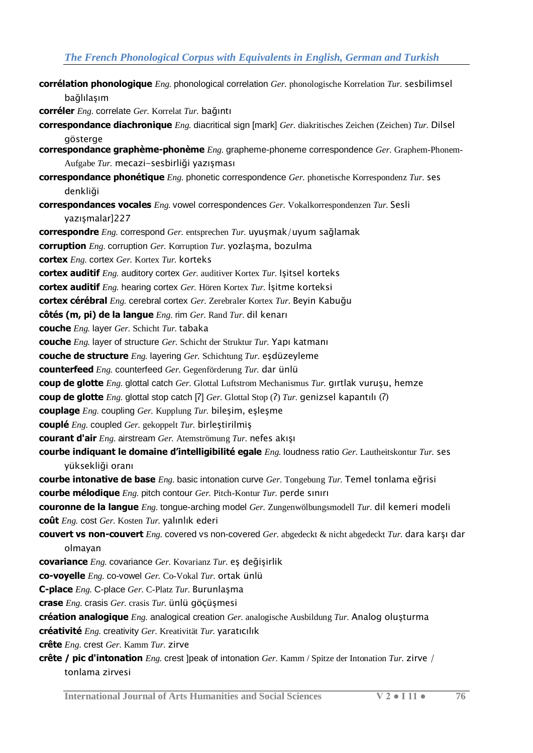**corrélation phonologique** *Eng.* phonological correlation *Ger.* phonologische Korrelation *Tur.* sesbilimsel bağlılaşım

**corréler** *Eng.* correlate *Ger.* Korrelat *Tur.* bağıntı

- **correspondance diachronique** *Eng.* diacritical sign [mark] *Ger.* diakritisches Zeichen (Zeichen) *Tur.* Dilsel gösterge
- **correspondance graphème-phonème** *Eng.* grapheme-phoneme correspondence *Ger.* Graphem-Phonem-Aufgabe *Tur.* mecazi-sesbirliği yazışması
- **correspondance phonétique** *Eng.* phonetic correspondence *Ger.* phonetische Korrespondenz *Tur.* ses denkliği
- **correspondances vocales** *Eng.* vowel correspondences *Ger.* Vokalkorrespondenzen *Tur.* Sesli yazışmalar]227

**correspondre** *Eng.* correspond *Ger.* entsprechen *Tur.* uyuşmak/uyum sağlamak

**corruption** *Eng.* corruption *Ger.* Korruption *Tur.* yozlaşma, bozulma

**cortex** *Eng.* cortex *Ger.* Kortex *Tur.* korteks

- **cortex auditif** *Eng.* auditory cortex *Ger.* auditiver Kortex *Tur.* Işitsel korteks
- **cortex auditif** *Eng.* hearing cortex *Ger.* Hören Kortex *Tur.* İşitme korteksi

**cortex cérébral** *Eng.* cerebral cortex *Ger.* Zerebraler Kortex *Tur.* Beyin Kabuğu

**côtés (m, pi) de la langue** *Eng.* rim *Ger.* Rand *Tur.* dil kenarı

**couche** *Eng.* layer *Ger.* Schicht *Tur.* tabaka

**couche** *Eng.* layer of structure *Ger.* Schicht der Struktur *Tur.* Yapı katmanı

**couche de structure** *Eng.* layering *Ger.* Schichtung *Tur.* eşdüzeyleme

**counterfeed** *Eng.* counterfeed *Ger.* Gegenförderung *Tur.* dar ünlü

**coup de glotte** *Eng.* glottal catch *Ger.* Glottal Luftstrom Mechanismus *Tur.* gırtlak vuruşu, hemze

**coup de glotte** *Eng.* glottal stop catch [ʔ] *Ger.* Glottal Stop (ʔ) *Tur.* genizsel kapantılı (ʔ)

**couplage** *Eng.* coupling *Ger.* Kupplung *Tur.* bileşim, eşleşme

- **couplé** *Eng.* coupled *Ger.* gekoppelt *Tur.* birleştirilmiş
- **courant d'air** *Eng.* airstream *Ger.* Atemströmung *Tur.* nefes akışı
- **courbe indiquant le domaine d'intelligibilité egale** *Eng.* loudness ratio *Ger.* Lautheitskontur *Tur.* ses yüksekliği oranı

**courbe intonative de base** *Eng.* basic intonation curve *Ger.* Tongebung *Tur.* Temel tonlama eğrisi **courbe mélodique** *Eng.* pitch contour *Ger.* Pitch-Kontur *Tur.* perde sınırı

**couronne de la langue** *Eng.* tongue-arching model *Ger.* Zungenwölbungsmodell *Tur.* dil kemeri modeli **coût** *Eng.* cost *Ger.* Kosten *Tur.* yalınlık ederi

**couvert vs non-couvert** *Eng.* covered vs non-covered *Ger.* abgedeckt & nicht abgedeckt *Tur.* dara karşı dar olmayan

**covariance** *Eng.* covariance *Ger.* Kovarianz *Tur.* eş değişirlik

**co-voyelle** *Eng.* co-vowel *Ger.* Co-Vokal *Tur.* ortak ünlü

**C-place** *Eng.* C-place *Ger.* C-Platz *Tur.* Burunlaşma

**crase** *Eng.* crasis *Ger.* crasis *Tur.* ünlü göçüşmesi

**création analogique** *Eng.* analogical creation *Ger.* analogische Ausbildung *Tur.* Analog oluşturma

**créativité** *Eng.* creativity *Ger.* Kreativität *Tur.* yaratıcılık

**crête** *Eng.* crest *Ger.* Kamm *Tur.* zirve

**crête / pic d'intonation** *Eng.* crest ]peak of intonation *Ger.* Kamm / Spitze der Intonation *Tur.* zirve / tonlama zirvesi